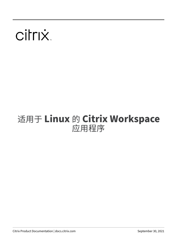# citrix.

# 适用于 **Linux** 的 **Citrix Workspace** 应用程序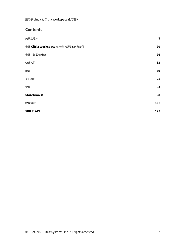# **Contents**

| 关于此版本                           | $\mathbf{3}$ |
|---------------------------------|--------------|
| 安装 Citrix Workspace 应用程序所需的必备条件 | 20           |
| 安装、卸载和升级                        | 26           |
| 快速入门                            | 33           |
| 配置                              | 39           |
| 身份验证                            | 91           |
| 安全                              | 93           |
| <b>Storebrowse</b>              | 98           |
| 故障排除                            | 108          |
| SDK 和 API                       | 123          |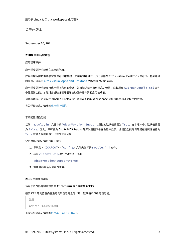关于此版本

<span id="page-2-0"></span>September 10, 2021

#### **2108** 中的新增功能

应用程序保护

应用程序保护功能现在完全起作用。

应用程序保护功能要求您在许可证服务器上安装附加许可证。还必须存在 Citrix Virtual Desktops 许可证。有关许可 的信息,请参阅 Citrix Virtual Apps and Desktops 文档中的 "配置" 部分。

应用程序保护功能支持应用程序和桌面会话,并且默认处于启用状态。但是,您必须在 AuthManConfig.xml 文件 中配置该功能,[才能对身份验证管理器和自助服务插件界](https://docs.citrix.com/zh-cn/citrix-virtual-apps-desktops.html)面启用该功能。

自本版本起,您可以在 Mozilla Firefox 运行期间从 Citrix Workspace 应用程序中启动受保护的资源。

有关详细信息,请参阅应用程序保护。

#### 音频配置增强功能

以前, module.ini 文件中的 VdcamVersion4Support 属性的默认值设置为 True。在本版本中,默认值设置 为 False。因此,只有名为 **Citrix HDX Audio** 的默认音频设备在会话中显示。此增强功能的目的是在将属性设置为 True 时最大限度地减少出现的音频问题。

要启用此功能,请执行以下操作:

- 1. 导航到 \<ICAROOT\>/config/ 文件夹并打开 module.ini 文件。
- 2. 转至 clientaudio 部分并添加以下条目:

VdcamVersion4Support=True

3. 重新启动会话以使更改生效。

**2106** 中的新增功能

#### 适用于浏览器内容重定向的 **Chromium** 嵌入式框架 **(CEF)**

#### 基于 CEF 的浏览器内容重定向现在已完全起作用。默认情况下启用该功能。

注意:

armhf 平台不支持此功能。

#### 有关详细信息,请参阅启用基于 CEF 的 BCR。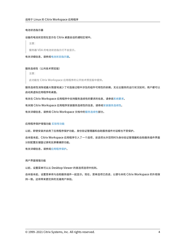# 电池状态指示器

#### 设备的电池状态现在显示在 Citrix 桌面会话的通知区域中。

注意:

服务器 VDA 的电池状态指示灯不会显示。

有关详细信息,请参阅电池状态指示器。

#### 服务连续性(公共技术[预览版\)](https://docs.citrix.com/zh-cn/citrix-workspace-app-for-linux/configure-xenapp.html#battery-status-indicator)

注意:

此功能在 Citrix Workspace 应用程序的公开技术预览版中提供。

服务连续性消除或最大限度地减少了对连接过程中涉及的组件可用性的依赖。无论云服务的运行状况如何,用户都可以 启动其虚拟应用程序和桌面。

有关在 Citrix Workspace 应用程序中支持服务连续性的要求的信息,请参阅系统要求。

有关随 Citrix Workspace 应用程序安装服务连续性的信息,请参阅安装服务连续性。

有关详细信息,请参阅 Citrix Workspace 文档中的服务连续性部分。

应用程序保护增强功能 实验性功能

以前,即使安装并启用了应用程序保护功能,身份验证管理器和自助服务插件对话框也不受保护。

自本版本起,Citrix W[orkspace](https://docs.citrix.com/zh-cn/citrix-workspace-app-for-linux/whats-new.html#experimental-features) 应用程序引入了一个选项,该选项允许您同时为身份验证管理器和自助服务插件界面 分别配置反键盘记录和反屏幕捕获功能。

有关详细信息,请参阅应用程序保护。

#### 用户界面增强功能

以前,设置菜单可以从 Desktop Viewer 的首选项选项中找到。

自本版本起,设置菜单将与自助服务插件一起显示。现在,菜单选项已改进,以便与本机 Citrix Workspace 的外观保 持一致。这将带来更优异的无缝用户体验。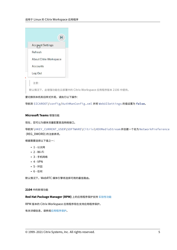|                         | н |
|-------------------------|---|
| <b>Account Settings</b> |   |
| Refresh                 |   |
| About Citrix Workspace  |   |
| Accounts                |   |
| Log Out                 |   |
|                         |   |

注意:

默认情况下,此增强功能在云部署中的 Citrix Workspace 应用程序版本 2106 中提供。

# 要切换到本机和旧样式外观,请执行以下操作:

导航到 \$ICAROOT/config/AuthManConfig.xml 并将 WebUISettings 的值设置为 **false**。

# **Microsoft Teams** 增强功能

现在,您可以为媒体流量配置首选网络接口。

导航到 \HKEY\_CURRENT\_USER\SOFTWARE\Citrix\HDXMediaStream 并创建一个名为 NetworkPreference (REG\_DWORD) 的注册表项。

根据需要选择以下值之一:

- 1 ‑ 以太网
- $\cdot$  2 Wi-Fi
- 3 ‑ 手机网络
- $4 VPN$
- 5 ‑ 环回
- 6 ‑ 任何

默认情况下,WebRTC 媒体引擎将选择可用的最佳路由。

**2104** 中的新增功能

**Red Hat Package Manager (RPM)** 上的应用程序保护支持 实验性功能

RPM 版本的 Citrix Workspace 应用程序现在支持应用程序保护。

有关详细信息,请参阅应用程序保护。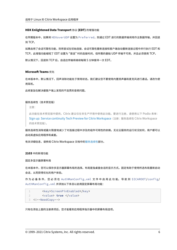#### **HDX Enlightened Data Transport** 协议 **(EDT)** 的增强功能

在早期版本中,如果将 HDXoverUDP 设置为 Preferred,则通过 EDT 进行的数据传输将用作主数据传输,并回退 到 TCP。

如果启用了会话可靠性功能,则将尝试在初始连接、会话可靠性重新连接和客户端自动重新连接过程中并行执行 EDT 和 TCP。此增强功能缩短了 EDT 设置为 "首选" 时的连接时间,但所需的基础 UDP 传输不可用,并且必须使用 TCP。

默认情况下,回退到 TCP 后,自适应传输将继续每隔 5 分钟搜寻一次 EDT。

#### **Microsoft Teams** 优化

在本版本中,默认情况下,回声消除功能处于禁用状态。我们建议您不要使用内置扬声器和麦克风进行通话。请改为使 用耳机。

此修复旨在解决瘦客户端上发现的不连贯的音频问题。

#### 服务连续性(技术预览版)

注意:

此功能在技术预览版中提供。Citrix 建议仅在非生产环境中使用此功能。要进行注册,请使用以下 Podio 表单: Sign up: Service continuity Tech Preview for Citrix Workspace(注册:服务连续性 Citrix Workspace 的技术预览版)。

服务连续性消除或最大限度地减少了对连接过程中涉及的组件可用性的依赖。无论云服务的运行状况如何,用户都可以 启[动其虚拟应用程序和桌面。](https://podio.com/webforms/25148648/1854298)

有关详细信息,请参阅 Citrix Workspace 文档中的服务连续性部分。

**2103** 中的新增功能

固定多显示器屏幕布局

在本版本中,您可以保存多显示器屏幕布局的选择。布局是指桌面会话的显示方式。固定有助于使用所选布局重新启动 会话,从而获得优化的用户体验。

作 为 必 备 条 件, 您 必 须 在 AuthManConfig.xml 文 件 中 启 用 此 功 能。 导 航 到 \$ICAROOT/config/ AuthManConfig.xml 并添加以下条目以启用固定屏幕布局功能:

```
1 <key>ScreenPinEnabled</key>
2 <value> true </value>
3 <!--NeedCopy-->
```
只有在添加上面的注册表项后,您才能看到应用程序指示器中的屏幕布局选项。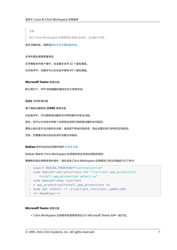注意:

执行 Citrix Workspace 应用程序的 Web 启动时,此功能不可用。

有关详细信息,请参阅固定多显示器屏幕布局。

#### 支持的虚拟通道数量增[加](https://docs.citrix.com/zh-cn/citrix-workspace-app-for-linux/configure-xenapp.html#pinning-multi-monitor-screen-layout)

在早期版本的客户端中,会话最多支持 32 个虚拟通道。

在本版本中,您最多可以在会话中使用 64 个虚拟通道。

#### **Microsoft Teams** 增强功能

默认情况下,VP9 视频编解码器现在处于禁用状态。

#### **2101** 中的新增功能

客户端驱动器映射 **(CDM)** 增强功能

在此版本中,对已映射驱动器的访问带有额外的安全功能。

现在,您可以为会话中的每个应用商店选择已映射驱动器的访问级别。

要阻止每次显示访问级别对话框,请选择不再询问我选项。将此设置应用于该特定应用商店。

否则,您需要在每次启动会话时设置访问级别。

# **Debian** 软件包支持应用程序保护 实验性功能

Debian 版本的 Citrix Workspace 应用程序现在支持应用程序保护。

要静默安装应用程序保护组件,请在安装 [Citri](https://docs.citrix.com/zh-cn/citrix-workspace-app-for-linux/whats-new.html#experimental-features)x Workspace 应用程序之前从终端运行以下命令:

```
1 export DEBIAN_FRONTEND="noninteractive"
2 sudo debconf-set-selections <<< "icaclient app_protection/
     install_app_protection select no"
3 sudo debconf-show icaclient
```
4 \* app\_protection/install\_app\_protection: no

5 sudo apt install -f ./icaclient\_<version>.\_amd64.deb

6 <!--NeedCopy-->

# **Microsoft Teams** 增强功能

• Citrix Workspace 应用程序安装程序现在已与 Microsoft Teams 铃声一起打包。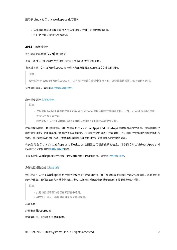- 音频输出会自动切换到新插入的音频设备,并处于合适的音频音量。
- HTTP 代理支持匿名身份验证。

#### **2012** 中的新增功能

#### 客户端驱动器映射 **(CDM)** 增强功能

以前,通过 CDM 访问文件的设置已应用于所有已配置的应用商店。

#### 自本版本起,Citrix Workspace 应用程序允许您配置每应用商店 CDM 文件访问。

注意:

使用适用于 Web 的 Workspace 时,文件访问设置在会话中保持不变。该设置默认设置为每次都询问选项。

#### 有关详细信息,请参阅客户端驱动器映射。

#### 应用程序保护 实验性[功能](https://docs.citrix.com/zh-cn/citrix-workspace-app-for-linux/configure-xenapp.html#client-drive-mapping)

注意:

- 仅当使用 tarball 软件包安装 Citrix Workspace 应用程序时才支持此功能。此外,x64 和 armhf 是唯一 受[支持的两个软](https://docs.citrix.com/zh-cn/citrix-workspace-app-for-linux/whats-new.html#experimental-features)件包。
- 此功能仅在 Citrix Virtual Apps and Desktops 的本地部署中受支持。

应用程序保护是一项附加功能,可以在使用 Citrix Virtual Apps and Desktops 时提供增强的安全性。该功能限制了 客户端受键盘记录和屏幕捕获恶意软件影响的能力。应用程序保护可防止泄露屏幕上显示的用户凭据和敏感信息等机密 信息。该功能可防止用户和攻击者截取屏幕截图以及使用键盘记录器收集和利用敏感信息。

有关如何在 Citrix Virtual Apps and Desktops 上配置应用程序保护的信息,请参阅 Citrix Virtual Apps and Desktops 文档中的应用程序保护部分。

有关 Citrix Workspace 应用程序中的应用程序保护的详细信息,请参阅应用程序保护。

#### 身份验证增强功能 实验性功能

我们现在在 Citrix Workspace 应用程序中显示身份验证对话框,并在登录屏幕上显示应用商店详细信息,以获得更好 的用户体验。我们[会加密和存储](https://docs.citrix.com/zh-cn/citrix-workspace-app-for-linux/whats-new.html#experimental-features)身份验证令牌,以便您在系统或会话重新启动时不需要重新输入凭据。

注意:

- 此身份验证增强功能仅在云部署中适用。
- ARMHF 平台上不提供此身份验证增强功能。

必备条件:

必须安装 libsecret 库。

默认情况下,此功能处于禁用状态。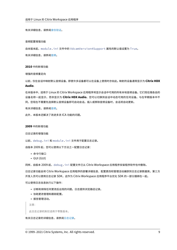有关详细信息,请参阅身份验证。

#### 音频配置增强功能

自本版本起,module.ini 文件中的 VdcamVersion4Support 属性的默认值设置为 True。

有关详细信息,请参阅音频。

#### **2010** 中的新增功能

增强的音频重定向

以前,仅在会话中映射默认音频设备,即使许多设备都可以在设备上使用时亦如此。映射的设备通常显示为 **Citrix HDX Audio**.

在本版本中,适用于 Linux 的 Citrix Workspace 应用程序将显示会话中可用的所有本地音频设备。它们现在随各自的 设备名称一起显示,而非显示为 **Citrix HDX Audio**。您可以切换到会话中动态可用的任何设备。与在早期版本中不 同,您现在不需要先选择默认音频设备即可启动会话。插入或移除音频设备时,会话将自动更新。

有关详细信息,请参阅音频。

此外,本版本还解决了改进多流 ICA 功能的问题。

#### **2009** 中的新增功能

#### 日志记录的增强功能

以前,debug.ini 和 module.ini 文件用于配置日志记录。

自版本 2009 起,您可以使用以下方法之一配置日志记录:

- 命令行接口
- GUI (GUI)

同样,自版本 2009 起, debug.ini 配置文件已从 Citrix Workspace 应用程序安装程序软件包中删除。

日志记录功能会将 Citrix Workspace 应用程序的部署详细信息、配置更改和管理活动捕获到日志记录数据库。第三方 开发人员可以使用日志记录 SDK, 这作为 Citrix Workspace 应用程序平台优化 SDK 的一部分捆绑在一起。

可以使用日志信息执行以下操作:

- 诊断和排除任何更改后出现的问题。日志提供浏览路径记录。
- 协助更改管理和跟踪配置。
- 报告管理活动。

注意:

此日志记录机制仅适用于零售版本。

有关日志记录的详细信息,请参阅日志记录。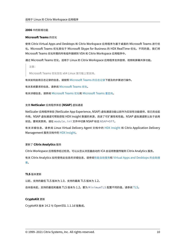#### **2006** 中的新增功能

#### **Microsoft Teams** 的优化

使用 Citrix Virtual Apps and Desktops 和 Citrix Workspace 应用程序为基于桌面的 Microsoft Teams 进行优 化。Microsoft Teams 优化类似于 Microsoft Skype for Business 的 HDX RealTime 优化。不同的是,我们将 Microsoft Teams 优化所需的所有组件捆绑到 VDA 和 Citrix Workspace 应用程序中。

通过 Microsoft Teams 优化,适用于 Linux 的 Citrix Workspace 应用程序支持音频、视频和屏幕共享功能。

注意:

Microsoft Teams 优化仅在 x64 Linux 发行版上受支持。

有关如何启用日志记录的信息,请按照 Microsoft Teams 的日志记录下提及的步骤进行操作。

有关系统要求的信息,请参阅 Microsoft Teams 优化。

有关详细信息,请参阅 Microsoft Teams 优化和 [Microsoft Teams](https://docs.citrix.com/zh-cn/citrix-workspace-app-for-linux/configure-xenapp.html#logging-for-microsoft-teams) 重定向。

#### 支持 **NetScaler** 应用程序体验 **[\(NSAP\)](https://docs.citrix.com/zh-cn/citrix-virtual-apps-desktops/multimedia/opt-ms-teams.html)** 虚拟通道

NetScaler 应用程序体验 (NetScaler App Expe[rience, NSAP\)](https://docs.citrix.com/zh-cn/citrix-virtual-apps-desktops/policies/reference/ica-policy-settings/multimedia-policy-settings.html#microsoft-teams-redirection) 虚拟通道功能以前作为实验性功能提供,现已完全起 作用。NSAP 虚拟通道可帮助获取 HDX Insight 数据的来源,改进了可扩展性和性能。NSAP 虚拟通道默认处于启用 状态。要将其禁用,请在 module.ini 文件中切换 NSAP 标志 NSAP=Off。

有关详细信息,请参阅 Linux Virtual Delivery Agent 文档中的 HDX Insight 和 Citrix Application Delivery Management 服务文档中的 HDX Insight。

# 更新了 **Citrix Analytics** 服务

Citrix Workspace 应用程序[经过检测,可以](https://docs.citrix.com/zh-cn/citrix-application-delivery-management-service/analytics/hdx-insight.html)从您从浏览器启动的 ICA 会话将数据传输到 Citrix Analytics 服务。

有关 Citrix Analytics 如何使用此信息的详细信息,请参阅性能自助服务和 Virtual Apps and Desktops 的自助搜 索。

#### **[TL](https://docs.citrix.com/zh-cn/security-analytics/self-service-search/self-service-search-virtual-apps-desktops.html)S** 版本更新

以前,支持的最低 TLS 版本为 1.0,支持的最高 TLS 版本为 1.2。

自本版本起,支持的最低和最高 TLS 版本为 1.2。要为 MinimumTLS 配置不同的值,请参阅 TLS。

# **CryptoKit** 更新

CryptoKit 版本 14.2 与 OpenSSL 1.1.1d 版集成。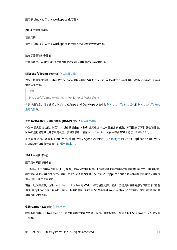#### **2004** 中的新增功能

#### 语言支持

适用于 Linux 的 Citrix Workspace 应用程序现在提供意大利语版本。

#### 改进了登录和枚举性能

在本版本中,云用户帐户将注意到登录时间和应用枚举时间都变得更短。

#### **Microsoft Teams** 的音频优化 实验性功能

作为一项实验性功能,Citrix Workspace 应用程序可为在 Citrix Virtual Desktops 会话中运行的 Microsoft Teams 提供音频优化。

注意:

Microsoft Teams 音频优化仅在 x64 Linux 发行版上受支持。

有关详细信息,请参阅 Citrix Virtual Apps and Desktops 文档中的 Microsoft Teams 优化和 Microsoft Teams 重定向部分。

#### 支持 **[N](https://docs.citrix.com/zh-cn/citrix-virtual-apps-desktops/policies/reference/ica-policy-settings/multimedia-policy-settings.html#microsoft-teams-redirection)etScaler** 应用程序体验 **(NSAP)** 虚拟通道 实验性功能

作为一项实验性功能,HDX Insight 数据来自 NSAP 虚拟通道并以未压缩方式发送,从而提高了可扩展性和性能。 NSAP 虚拟通道默认处于启用状态。要将其禁用,请在 [modul](https://docs.citrix.com/zh-cn/citrix-workspace-app-for-linux/whats-new.html#experimental-features)e.ini 文件中切换 NSAP 标志 NSAP=Off。

有关详细信息,请参阅 Linux Virtual Delivery Agent 文档中的 HDX Insight 和 Citrix Application Delivery Management 服务文档中的 HDX Insight。

#### **1912** 中的新增功能

#### 透明用户界面增强功能

1910 版引入了透明用户界面 (TUI) 功能,包括 **VDTUI** 标志。此功能可帮助客户端系统接收服务器发送的 TUI 数据包, 客户端可以访问 UI 相关组件。但是,将此标志设置为关时,"正在启动 <Application>" 对话框将呈现在其他应用程序 窗口顶部,覆盖登录提示。

现在,默认情况下,位于 module.ini 文件中的 **VDTUI** 标志设置为开。因此,当您启动应用程序时不再显示 "正在 启动 <Application>" 对话框。相反,将随进度条一起显示 "正在连接到 <Application>" 对话框。该对话框还显示应 用程序启动的进度。

#### **GStreamer 1.x** 支持 实验性功能

在早期版本中,GStreamer 0.10 是支持多媒体重定向的默认版本。自本版本起,您可以将 GStreamer 1.x 配置为默 认版本。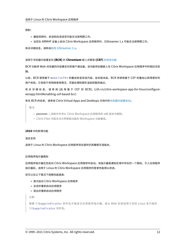限制:

- 播放视频时,前进和后退选项可能无法按预期工作。
- 当您在 ARMHF 设备上启动 Citrix Workspace 应用程序时,GStreamer 1.x 可能无法按预期工作。

有关详细信息,请参阅启用 GStreamer 1.x。

#### 适用于浏览器内容重定向 **(BCR)** 的 **[Chrom](https://docs.citrix.com/zh-cn/citrix-workspace-app-for-linux/configure-xenapp.html#enabling-gstreamer-1x)ium** 嵌入式框架 **(CEF)** 实验性功能

BCR 功能将 Web 浏览器的内容重定向到客户端设备。该功能将创建嵌入在 Citrix Workspace 应用程序中的相应浏览 器。

以前, BCR 使用基于 WebkitGTK+ 的叠加来呈现该内容。自本版本起, BCR 将使用基于 CEF 的叠加以获得更好的 用户体验。它有助于将网络使用情况、页面处理和图形渲染卸载到端点。

有关详细信息,请参阅 [启用基于 CEF 的 BCR]。(/zh-cn/citrix-workspace-app-for-linux/configurexenapp.html#enabling‑cef‑based‑bcr)

有关 BCR 的信息,请参阅 Citrix Virtual Apps and Desktops 文档中的浏览器内容重定向。

备注:

- **pacexec** 二进制文件将从 Citrix Workspace 应用程序的 x86 [版本中删除。](https://docs.citrix.com/zh-cn/citrix-virtual-apps-desktops/multimedia/browser-content-redirection.html)
- Citrix Files 可能无法与带智能功能的 Workspace 功能兼容。

#### **1910** 中的新增功能

语言支持

适用于 Linux 的 Citrix Workspace 应用程序现在提供巴西葡萄牙语版本。

#### 应用程序指示器图标

应用程序指示器在您启动 Citrix Workspace 应用程序时启动。该指示器是通知区域中存在的一个图标。引入应用程序 指示器后,适用于 Linux 的 Citrix Workspace 应用程序的登录性能得以改进。

您可以在以下情况下观察性能提高:

- 首次启动 Citrix Workspace 应用程序
- 关闭并重新启动应用程序
- 退出并重新启动应用程序

注意:

需要 libappindicator 软件包才能显示应用程序指示器。请从 Web 安装适用于您的 Linux 发行版的 libappindicator 软件包。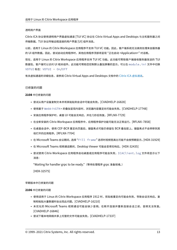#### 透明用户界面

Citrix ICA 协议使用透明用户界面虚拟通道 [TUI VC] 协议在 Citrix Virtual Apps and Desktops 与主机服务器之间 传输数据。TUI 协议传输远程连接的用户界面 [UI] 组件消息。

以前,适用于 Linux 的 Citrix Workspace 应用程序不支持 TUI VC 功能。因此,客户端系统无法高效处理来自服务器 的 UI 组件数据。因此,尝试启动应用程序时,其他应用程序顶部将呈现 "正在启动 <Application>" 对话框。

现在,适用于 Linux 的 Citrix Workspace 应用程序支持 TUI VC 功能。此功能可帮助客户端接收服务器发送的 TUI 数据包,客户端可以访问 UI 相关组件。此功能可帮助您控制默认叠加屏幕的显示。可以在 module.ini 文件中切换 VDTUI 标志: VDTUI - On/Off

有关虚拟通道的详细信息,请参阅 Citrix Virtual Apps and Desktops 文档中的 Citrix ICA 虚拟通道。

#### 已修复的问题

#### **2108** 中已修复的问题

- 尝试从用户设备复制文本并将其粘贴到会话中可能会失败。[CVADHELP‑16828]
- 使用基于 WebkitGTK+ 的叠加呈现内容时,浏览器内容重定向可能会失败。[CVADHELP‑17748]
- 安装应用程序保护时,桌面 UI 可能会无响应,并在几秒后恢复。[RFLNX-7729]
- 在全新安装的 Citrix Workspace 应用程序中,应用程序保护功能可能无法正常运行。[RFLNX–7858]
- 在桌面会话中,使用 CEF‑BCR 重定向页面后,键盘焦点可能仍保留在 BCR 叠加层上。键盘焦点不会转移到其 他打开的应用程序。[RFLNX‑7704]
- 在 Microsoft Teams 会议期间,选择 "Fill frame" 选项时视频宽高比可能不会按预期显示。[HDX‑31929]
- 在 Microsoft Teams 视频通话期间,Desktop Viewer 可能会变得无响应。[HDX-32435]
- 尝试使用 Citrix Workspace 应用程序启动桌面或应用程序可能会失败,ICAClient . log 文件将显示以下 消息:

"Waiting for handler grpc to be ready."(等待处理程序 grpc 准备就绪。)

[HDX‑32575]

#### 早期版本中已修复的问题

- 使用适用于 Linux 的 Citrix Workspace 应用程序 1912 时,剪贴板重定向可能会失败,导致会话无响应。复 制和粘贴大量数据时会出现此问题。[CVADHELP‑16210]
- 未优化的 Microsoft Teams 视频通话可能会缺少音频。在断开连接并重新连接会话之前,音频无法恢复。 [CVADHELP‑16846]
- 尝试下载本地网络共享上托管的文件可能会失败。[CVADHELP‑17337]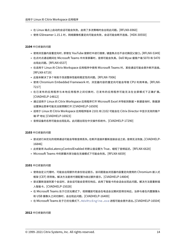- 在 Linux 端点上启动的会话可能会失败。启用了多流策略时会出现此问题。[RFLNX-6960]
- 使用 GStreamer 1.15.1 时,网络摄像机重定向可能会失败,会话可能会断开连接。[HDX‑30550]

# **2104** 中已修复的问题

- 使用浏览器内容重定向时,即使在 YouTube 搜索栏中进行搜索,键盘焦点也不会切换回父窗口。[RFLNX‑5349]
- 在点对点通话期间在 Microsoft Teams 中共享屏幕时,音频可能会失真。Dell Wyse 瘦客户端 5070 和 5470 出现此问题。[RFLNX‑6537]
- 在适用于 Linux 的 Citrix Workspace 应用程序中使用 Microsoft Teams 时,某些通话可能会意外断开连接。 [RFLNX‑6719]
- 此版本解决了多个有助于改进整体性能和稳定性的问题。[RFLNX‑7006]
- 使用 Chromium Embedded Framework 时, 浏览器内容的重定向可能会导致 CPU 利用率高。[RFLNX-7217]
- 在已发布的应用程序与本地应用程序之间切换时,已发布的应用程序可能无法在全屏模式下正确扩展。 [CVADHELP‑14812]
- 通过适用于 Linux 的 Citrix Workspace 应用程序打开 Microsoft Excel 并导航到数据 > 新建查询时,数据源 设置弹出菜单可能无法按预期打开 [CVADHELP‑16509]
- 适用于 Linux 的 Citrix Workspace 应用程序版本 2101 和 2102 可能会在 Citrix Director 中显示无效的客户 端 IP 地址 [CVADHELP‑16923]
- 音频设备的名称可能会出现乱码。此问题出现在中文操作系统中。[CVADHELP‑17290]

# **2103** 中已修复的问题

- 尝试进行未优化的视频通话可能会导致音频丢失。在断开连接并重新连接会话之前,音频无法恢复。[CVADHELP‑ 16846]
- 此修复将 AudioLatencyControlEnabled 的默认值设置为 True,缩短了音频延迟。[RFLNX-6620]
- Microsoft Teams 中的屏幕共享功能在无缝模式下可能会失败。[RFLNX‑6659]

**2101** 中已修复的问题

- 使用自定义代理时,可能会出现额外的身份验证提示。该问题是由浏览器内容重定向使用的 Chromium 嵌入式 框架 (CEF) 而导致。解决方法是将代理配置为绕过额外提示。[CVADHELP‑14804]
- 尝试重新连接到某个会话时,该会话可能会变得无响应。启用了智能卡的会话会出现此问题。解决方法是重新插 入智能卡。[CVADHELP‑15028]
- 在 Microsoft Teams 处于已优化模式下,视频播放可能会在电话会议期间变得无响应。当参与者在内置摄像头 和 USB 摄像头之间切换时,会出现此问题。[CVADHELP‑16400]
- 在 Microsoft Teams 处于已优化模式下,HdxRtcEngine.exe 进程可能会意外退出。[CVADHELP‑16504]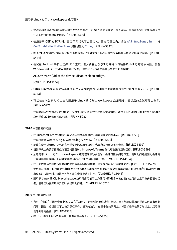- 尝试启动使用浏览器内容重定向的 Web 页面时,该 Web 页面可能会变得无响应。单击在新窗口或新选项卡中 打开的链接时会出现此问题。[RFLNX‑5306]
- 使用基于 CEF 的 BCR 时,麦克风和相机不会重定向。要启用重定向,请在 All\_Regions.ini 中将 CefEnableMediaDevices 属性设置为 True。[RFLNX‑5337]
- 按 Alt+Ctrl 键时,键可能会保持卡住状态。"键盘布局" 选项设置为服务器默认值时会出现此问题。[RFLNX-5444]
- 尝试在 Android 手机上选择 USB 选项、图片传输协议 (PTP) 和媒体传输协议 (MTP) 可能会失败。要在 Windows 和 Linux VDA 中修复此问题,请在 usb.conf 文件中添加以下允许规则:

ALLOW: VID = (vid of the device) disableselectconfig=1

[CVADHELP‑15304]

- Citrix Director 可能会错误地将 Citrix Workspace 应用程序的版本号报告为 2009 而非 2010。[RFLNX‑ 5743]
- 可以在首次尝试时成功启动适用于 Linux 的 Citrix Workspace 应用程序, 但以后的尝试可能会失败。 [RFLNX‑5971]
- 尝试添加未经身份验证的(匿名)应用商店时,可能会出现两条错误消息。适用于 Linux 的 Citrix Workspace 应用程序 2010 会出现此问题。[RFLNX‑5980]

# **2010** 中已修复的问题

- 在 Microsoft Teams 中运行视频通话或共享屏幕时,屏幕可能会闪烁不定。[RFLNX‑4778]
- 尝试自定义 webrpc.log 和 webrtc.log 文件失败。[RFLNX‑5221]
- 即使在使用 storebrowse 实用程序删除应用商店后,也会为应用商店枚举资源。[RFLNX‑5499]
- 当计算机上安装了德语或法语区域设置时,Microsoft Teams 优化可能无法正常运行。[RFLNX‑5599]
- 从适用于 Linux 的 Citrix Workspace 应用程序启动会话时,会话可能会闪烁不定。出现此问题是因为会话断 开连接并重新连接。此问题主要在 Microsoft 应用程序中出现。[CVADHELP‑14194]
- 在不同的会话之间执行复制和粘贴内容等剪贴板操作时,这些操作可能会间歇性失败。[CVADHELP‑15228]
- 使用通过适用于 Linux 的 Citrix Workspace 应用程序版本 1906 或更高版本启动的 Microsoft PowerPoint 启动幻灯片演示时,该演示可能不会在全屏模式下打开。[CVADHELP‑15648]
- 适用于 Linux 的 Citrix Workspace 应用程序可能不会为使用 HTML5 本地存储的应用商店显示身份验证对话 框。使用自助服务用户界面时会出现此问题。[CVADHELP‑15720]

- 有时,"会议" 视图不会在 Microsoft Teams 中的多任务处理过程中还原。当本地窗口叠加远程窗口时会出现此 问题。因此,远程窗口不会收到鼠标事件。解决方法为,在最小化的屏幕上,将鼠标悬停在数字时钟上,然后双 击呼叫者的姓名。[RFLNX‑4937]
- 在 UDP 连接上运行的会话中,性能可能会降低。[RFLNX‑5135]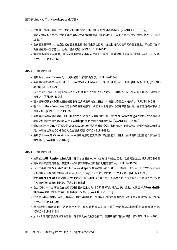- 在屏幕上拖动无缝第三方已发布应用程序的窗口时,窗口可能会自动最小化。[CVADHELP-13677]
- 重定向到设备上运行的会话的单个 USB 设备可能会意外地重定向到同一设备上运行的传入会话。[CVADHELP‑ 13684]
- 在多显示器环境中,当您尝试在显示器上重新启动全屏会话时,连接栏将保持在不同的显示器上。即使鼠标光标 仍保留在同一显示器上,也会出现此问题。[CVADHELP‑14642]
- 尝试重新连接到会话时,会话可能会在桌面出现后立即断开连接。需要智能卡身份验证的会话会出现此问题。 [CVADHELP‑15036]

# **2006** 中已修复的问题

- 使用 Microsoft Teams 时, "测试通话" 选项不会显示。[RFLNX-4234]
- 会话启动可能会在 Red Hat 8.2、CentOS 8.x、Fedora 29、30 和 31 发行版上失败。[RFLNX‑3114] [RFLNX‑ 4438] [RFLNX‑4296]
- 将 wfica\_for\_plugins 二进制文件添加回平台优化 SDK 后,在 LIBS\_GTK 中引入的不必要的依赖项现 已删除。[RFLNX‑4604]
- 面向基于 CEF 的 BCR 的服务器提取和客户端呈现失败。因此,浏览器内容重定向将失败。[RFLNX‑4459]
- 在 Citrix StoreFront 中单击已发布的应用程序后,将显示一个连接对话框并保留在此处。在非无缝模式下会出 现此问题。[CVADHELP‑13896]
- 选择激活选项以激活桌面上的 Citrix Workspace 应用程序后,将下载 **receiverconfig.cr** 文件。尝试通过启 动该文件将应用商店添加到 Citrix Workspace 应用程序可能会失败。[CVADHELP‑14389]
- 尝试将适用于 Linux 的 Citrix Workspace 应用程序映射到 COM 串行端口可能会失败,这表明该端口无法访 问。未填充以前的 COM 条目时会出现此问题 [CVADHELP‑14391]
- 适用于 Linux 的 Citrix Workspace 应用程序可能无法识别某些智能卡。因此,尝试使用这些智能卡启动会话 将失败。[CVADHELP-14878]

- 如果您从 **All\_Regions.ini** 文件中删除首选项部分,wfica 进程将失败。因此,会话无法连接。[RFLNX‑3965]
- 首次添加云应用商店后,首选项 > 帐户子菜单不会显示在自助服务窗口中。[RFLNX‑3605]
- Linux 平台优化 SDK 不适用于 Citrix Workspace 应用程序版本 1908、1910 和 1912。从 Citrix Workspace 应用程序安装程序包中删除 wfica\_for\_plugins 二进制文件时会出现此问题。[RFLNX‑4298]
- 使用 **storebrowse** 命令添加应用商店时,该应用商店不会显示在首选项 > 帐户选项卡上。自助服务用户界面 在后端运行时会出现此问题。[RFLNX‑3683]
- 在会话中,wfica 可能会在启用了浏览器内容重定向 (BCR) 的 Web 站点上意外退出。如果您将 AllowMulti-**Stream** 的值设置为 True, 则会出现此问题。 [CVADHELP-13168]
- 在双显示器设置中,当显示器具有不同的分辨率时,尝试将已发布的桌面的显示更改为全屏模式可能会失败。 [CVADHELP‑13990]
- 您可能会在无缝会话中遇到显示问题。调整无缝窗口的大小或在无缝窗口之间切换时会出现此问题。 [CVADHELP‑13458]
- 从 PNA 应用商店启动桌面会话后,除非手动关闭进度条窗口,否则该窗口可能会保留。[CVADHELP-14405]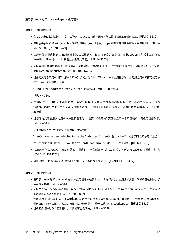# **1912** 中已修复的问题

- 在 Ubuntu16.04x64 中, Citrix Workspace 应用程序图标可能会错误地显示在任务栏上。[RFLNX-3582]
- 使用 gst-play1.0 更改 gst-play 的符号链接 [symlink] 后, .mp4 视频文件可能会在后台中使用黑屏呈现, 并 且没有音频。[RFLNX‑2429]
- 从屏幕保护程序模式切换到全屏 ICA 会话模式时,键盘可能会失去焦点。在 Raspberry Pi OS 上运行的 ArmHardFloat (armhf) 设备上会出现此问题。[RFLNX‑3553]
- 使用自助服务用户界面时,首选项窗口选项可能无法按预期工作。libwebkit1 软件包不可用时会出现此问题, 就像 Debian 10 buster 客户端一样。[RFLNX‑3596]
- 当任何其他系统用户(而非第一个用户)尝试启动 Citrix Workspace 应用程序时,自助服务用户界面可能无法 打开,并显示以下错误消息:

"Bind Error ‑ address already in use."(绑定错误 ‑ 地址已在使用中。)

[RFLNX‑3601]

- 在 Ubuntu 18.04 及更高版本中,当您使用自助服务用户界面启动应用程序时,启动的应用程序名为 "wfica\_seamless" ‑ 而不是在应用程序之后。出现此问题的原因是默认的桌面环境为 GNOME。[RFLNX‑ 3650]
- 当您注销然后使用其他用户帐户重新登录时,"主页">"收藏夹" 页面会显示一个不正确的收藏应用程序列表。 [RFLNX‑3458]
- 关闭自助服务用户界面后,将显示以下错误消息:

"free(): double free detected in tcache 2 Aborted."(free(): 在 tcache 2 中检测到两次释放已终止。)

在 Raspbian Buster OS 上运行的 ArmHardFloat (armhf) 设备上会出现此问题。[RFLNX‑3578]

- 禁用统一体验策略后,已禁用的应用程序仍可能在适用于 Linux 的 Citrix Workspace 应用程序中枚举。 [CVADHELP‑13742]
- 可移除的 USB 驱动器无法映射到 CentOS 7.7 客户端上的 VDA。 [CVADHELP-13422]

- 适用于 Linux 的 Citrix Workspace 应用程序依赖于 libcurl3 进行安装。应用此修复后,依赖项已被删除,以 便更容易安装。[RFLNX‑3487]
- 使用 Video Decode and the Presentation API for Unix (VDPAU) Optimization Pack 呈现 H.264 编码 的数据可能无法按预期工作。[RFLNX‑2892]
- 使用适用于 Linux 的 Citrix Workspace 应用程序版本 1906 或 1908 时, 共享用户注销其 Workspace 时, 登录页面可能不会显示。相反,将显示以下登录提示:登录以访问您的 Workspace。[RFLNX-3519]
- 当桌面会话跨越多个显示器时,工具栏可能会消失。[RFLNX‑3248]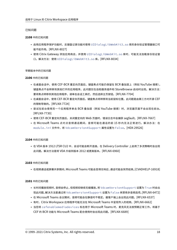# 已知问题

# **2108** 中的已知问题

- 启用应用程序保护功能时,反键盘记录功能对使用 UIDialogLibWebKit3.so 库的身份验证管理器接口可 能不起作用。[RFLNX‑8027]
- 使用 Citrix Gateway 添加应用商店,并使用 UIDialogLibWebKit.so 库时,可能无法加载身份验证窗 口。解决方法:使用 UIDialogLibWebKit3.so 库。[RFLNX‑8034]

# 早期版本中的已知问题

# **2106** 中的已知问题

- 在桌面会话中,使用 CEF‑BCR 重定向页面后,键盘焦点可能仍保留在 BCR 叠加层上(例如 YouTube 搜索)。 键盘焦点不会转移到其他打开的应用程序。此问题仅在自助服务插件和 StoreBrowse 启动时出现。解决方法: 要将焦点转移到其他应用程序,请单击会话工具栏,然后选择主页按钮。[RFLNX‑7704]
- 在桌面会话中,使用 CEF‑BCR 重定向页面后,键盘焦点将转移到当前鼠标位置。此问题是由第三方对开源 CEF 的限制导致的。[RFLNX‑7724]
- 尝试在前台使用另一个应用程序单击 BCR 叠加层 (例如 YouTube 搜索) 时, 浏览器页面不会出现在前台。 [RFLNX‑7730]
- 使用 CEF-BCR 重定向页面后,关闭重定向的 Web 页面时,错误日志中会捕获 segfault。[RFLNX-7667]
- 在 Microsoft Teams 点对点音频通话期间,音频可能在通话的前 15 秒内无法正常进行。解决办法:在 module.ini 文件中,将 VdcamVersion4Support 属性设置为 False。[HDX‑29526]

# **2104** 中的已知问题

• 在 VDA 版本 1912 LTSR CU2 中,会话可能会断开连接。在 Delivery Controller 上启用了多流策略时会出现 此问题。解决方法是将 VDA 升级到版本 2012 或更高版本。[RFLNX‑6960]

# **2103** 中的已知问题

• 在视频通话或屏幕共享期间,Microsoft Teams 可能会变得无响应,通话可能会突然结束。[CVADHELP‑16918]

# **2101** 中的已知问题

- 长时间播放视频时,音频会停止,但视频却继续无缝播放。将 VdcamVersion4Support 设置为 True 时会出 现此问题。解决方法是通过将 VdcamVersion4Support 设置为 False 来禁用多音频选项。[RFLNX‑6472]
- 在 Microsoft Teams 会议期间,音频可能会在静音时不稳定。瘦客户端上会出现此问题。[RFLNX-6537]
- 有时,Citrix Workspace 应用程序可能无法在 Microsoft Teams 中呈现传入的视频。[RFLNX-6662]
- 当您将 cefenablemediadevices 标志用于 Microsoft Teams 时,麦克风无法按预期正常工作。将基于 CEF 的 BCR 功能与 Microsoft Teams 配合使用时会出现此问题。[RFLNX‑6689]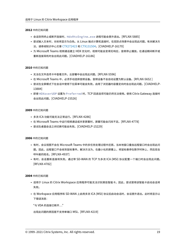#### **2012** 中的已知问题

- 会话突然终止或断开连接时, HdxRtcEngine.exe 进程可能会意外退出。[RFLNX-5885]
- 尝试输入文本时,光标将显示为白色。从 Linux 端点计算机连接时,在双跃点场景中会出现此问题。有关解决方 法,请参阅知识中心文章 CTX272423 和 CTX131504。[CVADHELP-16170]
- 为 Microsoft Teams 视频通话建立 HDX 优化时,视频可能会变得无响应,音频停止播放。在通话期间断开或 重新连接耳机时会出现此问题。[CVADHELP‑16186]

**2010** 中的已知问题

- 无法在文件选项卡中查看文件。云部署中会出现此问题。[RFLNX‑5596]
- 在 Microsoft Teams 中,必须手动选择音频设备。音频设备不会自动设置为默认设备。[RFLNX-5652 ]
- 尝试在全屏模式下在会话中使用下拉菜单可能会失败。启用了浏览器内容重定向时会出现此问题。[CVADHELP‑ 13884]
- 即使 HDXoverUDP 设置为 Preferred 时,TCP 回退选项可能仍然无法使用。使用 Citrix Gateway 连接时 会出现此问题。[CVADHELP‑15526]

#### **2009** 中的已知问题

- 多流 ICA 功能可能无法正常运行。[RFLNX‑4286]
- 在 Microsoft Teams 中运行视频通话或共享屏幕时,屏幕可能会闪烁不定。[RFLNX-4778]
- 尝试在桌面会话之间切换可能会失败。[CVADHELP‑15229]

#### **2006** 中的已知问题

- 有时,会议视图不会在 Microsoft Teams 中的多任务处理过程中还原。当本地窗口叠加远程窗口时会出现此问 题。因此,远程窗口不会收到鼠标事件。解决方法为,在最小化的屏幕上,将鼠标悬停在数字时钟上,然后双击 呼叫者的姓名。[RFLNX‑4937]
- 有时,会话重新连接将失败。通过带 SD‑WAN 的 TCP 为多流 ICA (MSI) 协议配置一个端口时会出现此问题。 [RFLNX‑4782]

#### **2004** 中的已知问题

- 适用于 Linux 的 Citrix Workspace 应用程序可能无法识别某些智能卡。因此,尝试使用该智能卡启动会话将 失败。
- 在 Workspace 应用程序和 SD-WAN 上启用多流 ICA (MSI) 协议后启动会话时,会话意外退出。此时将显示以 下错误消息:

"与 VDA 的连接已断开…"

出现此问题的原因是不支持单端口 MSI。[RFLNX‑4219]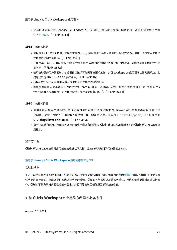• 会话启动可能会在 CentOS 8.x、Fedora 29、30 和 31 发行版上失败。解决方法:请参阅知识中心文章 CTX270926。[RFLNX‑3114]

# **1912** [中的已知问题](https://support.citrix.com/article/CTX270926)

- 使用基于 CEF 的 BCR 时,如果您重定向 URL,键盘焦点不会指回主窗口。解决方法为,创建一个浏览器选项卡 并切换以访问主选项卡。[RFLNX‑3871]
- 在使用基于 CEF 的 BCR 时,您可能会看到提示 webcontainer 进程已停止的通知。关闭浏览器实例时会出现 此问题。[RFLNX‑3872]
- 使用自助服务用户界面时,首选项窗口选项可能无法按预期工作,并且 Workspace 应用程序会暂时无响应。此 问题出现在 Ubuntu 19.10 发行版中。[RFLNX‑3720]
- Citrix Workspace 应用程序版本 1912 不支持工作区智能源。
- 网络摄像机重定向不适用于 Microsoft Teams。这是一项限制,因为 Citrix 不支持适用于 Linux 的 Citrix Workspace 应用程序中的 Microsoft Teams 优化 [MTOP]。[RFLNX-3674]

**1910** 中的已知问题

- 使用自助服务用户界面时,首选项窗口选项可能无法按预期工作。libwebkit1 软件包不可用时会出现 此问题,就像 Debian 10 buster 客户端一样。解决方法为,删除位于 install/path/lib 目录中的 **UIDialogLibWebKit.so** 库。[RFLNX‑3596]
- 由于体系结构更改,您无法再连接到云应用商店 [云设置]。Citrix 建议您使用最新版本的 Citrix Workspace 应 用程序。

第三方声明

Citrix Workspace 应用程序可能包含根据以下文档中定义的条款进行许可的第三方软件:

# 适用于 **Linux** 的 **Citrix Workspace** 应用程序第三方声明

# 实验性功能

有时,Citrix [会发布实验性功能,作为寻求客户提供有关新技](https://docs.citrix.com/en-us/citrix-workspace-app-for-linux/downloads/third-party-notices-linux.pdf)术或功能的潜在可取性的反馈的机制。Citrix 不接受实验 性功能的支持案例,但欢迎提供改进这些功能的反馈。Citrix 可能会根据反馈的严重性、紧迫性和重要性对反馈执行操 作。Citrix 不致力于将实验性功能产品化,并且可能随时因任何原因撤销这些功能。

# 安装 **Citrix Workspace** 应用程序所需的必备条件

<span id="page-19-0"></span>August 20, 2021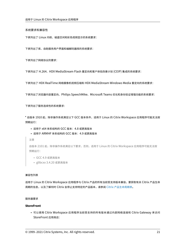#### 系统要求和兼容性

下表列出了 Linux 内核、磁盘空间和彩色视频显示的系统要求:

下表列出了库、自助服务用户界面和编解码器库的系统要求:

下表列出了网络协议的要求:

下表列出了 H.264、HDX MediaStream Flash 重定向和客户体验改善计划 (CEIP) 集成的系统要求:

下表列出了 HDX RealTime 网络摄像机视频压缩和 HDX MediaStream Windows Media 重定向的系统要求:

下表列出了浏览器内容重定向、Philips SpeechMike、Microsoft Teams 优化和身份验证增强功能的系统要求:

下表列出了服务连续性的系统要求:

\*自版本 1910 起,除非操作系统满足以下 GCC 版本条件,适用于 Linux 的 Citrix Workspace 应用程序可能无法按 预期运行:

- 适用于 x64 体系结构的 GCC 版本:4.8 或更高版本
- 适用于 ARMHF 体系结构的 GCC 版本:4.9 或更高版本
- 注意

自版本 2101 起,除非操作系统满足以下要求,否则,适用于 Linux 的 Citrix Workspace 应用程序可能无法按 预期运行:

- GCC 4.9 或更高版本
- glibcxx 3.4.20 或更高版本

#### 兼容性列表

适用于 Linux 的 Citrix Workspace 应用程序与 Citrix 产品的所有当前受支持版本兼容。要获取有关 Citrix 产品生命 周期的信息,以及了解何时 Citrix 会停止支持特定的产品版本,请参阅 Citrix 产品生命周期表。

#### 服务器要求

#### **StoreFront**

• 可以使用 Citrix Workspace 应用程序当前受支持的所有版本通过内部网络连接和 Citrix Gateway 来访问 StoreFront 应用商店: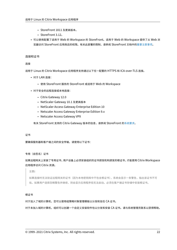- **–** StoreFront 1811 及更高版本。
- **–** StoreFront 3.12。
- 可以使用配置了适用于 Web 的 Workspace 的 StoreFront。适用于 Web 的 Workspace 提供了从 Web 浏 览器访问 StoreFront 应用商店的权限。有关此部署的限制,请参阅 StoreFront 文档中的重要注意事项。

#### 连接和证书

#### 连接

适用于 Linux 的 Citrix Workspace 应用程序支持通过以下任一配置的 HTTPS 和 ICA‑over‑TLS 连接。

- 对于 LAN 连接:
	- **–** 使用 StoreFront 服务的 StoreFront 或适用于 Web 的 Workspace
- 对于安全的远程连接或本地连接:
	- **–** Citrix Gateway 12.0
	- **–** NetScaler Gateway 10.1 及更高版本
	- **–** NetScaler Access Gateway Enterprise Edition 10
	- **–** Netscaler Access Gateway Enterprise Edition 9.x
	- **–** Netscaler Access Gateway VPX

有关 StoreFront 支持的 Citrix Gateway 版本的信息,请参阅 StoreFront 的系统要求。

#### 证书

要确保服务器和客户端之间的安全传输,请使用以下证书:

#### 专用(自签名)证书

# 如果远程网关上安装了专用证书,用户设备上必须安装组织的证书颁发机构颁发的根证书,才能使用 Citrix Workspace 应用程序访问 Citrix 资源。

#### 注意**:**

如果连接时无法验证远程网关的证书(因为本地密钥库中不包含根证书),系统会显示一条警告,指出该证书不可 信。如果用户选择忽略警告并继续,则会显示应用程序但无法启动。必须在客户端证书存储中安装根证书。

#### 根证书

#### 对于加入了域的计算机,您可以使用组策略对象管理模板以分发和信任 CA 证书。

对于未加入域的计算机,组织可以创建一个自定义安装软件包以分发和安装 CA 证书。请与系统管理员联系以获得帮助。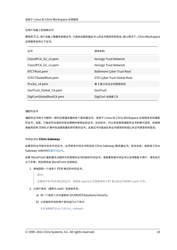#### 在用户设备上安装根证书

要使用 TLS,用户设备上需要安装根证书,才能验证服务器证书上的证书颁发机构签名。默认情况下,Citrix Workspace 应用程序支持以下证书。

| 证书                       | 颁发机构                               |
|--------------------------|------------------------------------|
| Class4PCA_G2_v2.pem      | Verisign Trust Network             |
| Class3PCA_G2_v2.pem      | Verisign Trust Network             |
| BTCTRoot.pem             | <b>Baltimore Cyber Trust Root</b>  |
| GTECTGlobalRoot.pem      | <b>GTE Cyber Trust Global Root</b> |
| Pcs3ss_v4.pem            | 第 3 类公共主证书颁发机构                     |
| GeoTrust_Global_CA.pem   | GeoTrust                           |
| DigiCertGlobalRootCA.pem | DigiCert 全局根 CA                    |

#### 通配符证书

通配符证书用于代替同一域内任意服务器的各个服务器证书。适用于 Linux 的 Citrix Workspace 应用程序支持通配 符证书,但是,只能在符合组织的安全策略时使用这些证书。在实际中,可以考虑使用通配符证书的替代选项,如使用 者备用名称 (SAN) 扩展中包含服务器名称列表的证书。此类证书可能由私有证书颁发机构或公共证书颁发机构签发。

#### 中间证书与 **Citrix Gateway**

如果您的证书链中包含中间证书,必须将该中间证书附加到 Citrix Gateway 服务器证书。有关信息,请参阅 Citrix Gateway 文档中的配置中间证书。

如果 StoreFront 服务器无法提供与所使用的证书匹配的中间证书,或者要安装中间证书以支持智能卡用户,请先执行 以下步骤,然后再添加 [StoreFron](https://docs.citrix.com/en-us/citrix-gateway/12-1/install/certificate-management/configure-intermediate-cert.html)t 应用商店:

1. 单独获取一个或多个 PEM 格式的中间证书。

# 提示**:**

如果找不到 PEM 格式的证书,请使用 openssl 实用程序将 CRT 格式的证书转换为.pem 文件。

- 2. 以用户身份(通常为 root)安装软件包:
	- a) 将一个或多个文件复制到 \$ICAROOT/keystore/intcerts。
	- b) 以安装软件包的用户身份运行以下命令:

\$ICAROOT/util/ctx\_rehash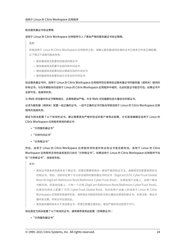#### 联合服务器证书验证策略

#### 适用于 Linux 的 Citrix Workspace 应用程序引入了更加严格的服务器证书验证策略。

重要:

安装适用于 Linux 的 Citrix Workspace 应用程序之前,请确认服务器或网关端的证书已按本文所述正确配置。 以下情况下连接可能会失败:

- 服务器或网关配置包括错误的根证书
- 服务器或网关配置不包括所有中间证书
- 服务器或网关配置包括过期或无效的中间证书
- 服务器或网关配置包括交叉签名的中间证书

验证服务器证书时,适用于 Linux 的 Citrix Workspace 应用程序现在使用验证服务器证书时服务器(或网关)提供的 所有证书。与在早期版本的适用于 Linux 的 Citrix Workspace 应用程序中相同,也会检查证书是否可信。如果证书不 全部可信,连接将失败。

与 Web 浏览器中的证书策略相比,此策略更加严格。许多 Web 浏览器都包括大量信任的根证书。

必须为服务器(或网关)配置一组正确的证书。一组不正确的证书可能会导致适用于 Linux 的 Citrix Workspace 应用 程序的连接失败。

假定为网关配置了以下有效的证书。建议需要更加严格的验证的客户使用此配置,方式是准确确定适用于 Linux 的 Citrix Workspace 应用程序使用的根证书:

- "示例服务器证书"
- "示例中间证书"
- "示例根证书"

然后,适用于 Linux 的 Citrix Workspace 应用程序将检查所有这些证书是否都有效。适用于 Linux 的 Citrix Workspace 应用程序还将检查其是否已信任 "示例根证书"。如果适用于 Linux 的 Citrix Workspace 应用程序不信 任"示例根证书",连接将失败。

重要:

- 某些证书颁发机构具有多个根证书。如果您需要使用这一更加严格的验证方法,请确保您的配置使用恰当 的根证书。例如,当前存在两个可以验证相同的服务器证书的证书(DigiCert/GTE CyberTrust Global Root 和 DigiCert Baltimore Root/Baltimore CyberTrust Root)。在某些用户设备上,这两个根证 书都可用。在其他设备上,只有一个可用 (DigiCert Baltimore Root/Baltimore CyberTrust Root)。 如果您在网关上配置了 GTE CyberTrust Global Root, 则这些用户设备上的适用于 Linux 的 Citrix Workspace 应用程序连接将失败。请参阅证书颁发机构的文档以确定应使用的根证书。另请注意,根证书 最终会过期,所有证书也是如此。
- 某些服务器和网关从不发送根证书,即使已配置也是如此。更加严格的验证因而不可行。

现在假定为网关配置了以下有效的证书。通常推荐使用此配置(忽略根证书):

• "示例服务器证书"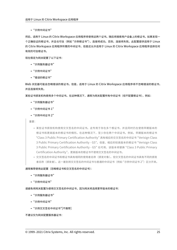• "示例中间证书"

然后,适用于 Linux 的 Citrix Workspace 应用程序将使用这两个证书。随后将搜索用户设备上的根证书。如果发现一 个正确验证的根证书,并且也可信(例如 "示例根证书"),连接将成功。否则,连接将失败。此配置提供适用于 Linux 的 Citrix Workspace 应用程序所需的中间证书,但是还允许适用于 Linux 的 Citrix Workspace 应用程序选择任何 有效的可信根证书。

现在假定为网关配置了以下证书:

- "示例服务器证书"
- "示例中间证书"
- "错误的根证书"

Web 浏览器可能会忽略错误的根证书。但是,适用于 Linux 的 Citrix Workspace 应用程序将不忽略错误的根证书, 并且连接将失败。

某些证书颁发机构使用多个中间证书。在这种情况下,通常为网关配置所有中间证书(但不配置根证书),例如:

- "示例服务器证书"
- "示例中间证书 1"
- "示例中间证书 2"

重要:

- 某些证书颁发机构使用交叉签名的中间证书。这专用于存在多个根证书,并且同时仍在使用早期版本的 根证书和更高版本的根证书的情形。在这种情况下,至少存在两个中间证书。例如,早期版本的根证书 "Class 3 Public Primary Certification Authority" 具有相应的交叉签名的中间证书 "Verisign Class 3 Public Primary Certification Authority ‑ G5"。但是,相应的较高版本的根证书 "Verisign Class 3 Public Primary Certification Authority - G5" 也可用,该版本将替换 "Class 3 Public Primary Certification Authority"。更高版本的根证书不使用交叉签名的中间证书。
- 交叉签名的中间证书和根证书具有相同的使用者名称(颁发对象)。但交叉签名的中间证书具有不同的颁发 者名称(颁发者)。这一差别将交叉签名的中间证书与普通的中间证书(例如"示例中间证书 2")区分开来。

通常推荐使用此配置(忽略根证书和交叉签名的中间证书):

- "示例服务器证书"
- "示例中间证书"

请避免将网关配置为使用交叉签名的中间证书,因为网关将选择更早版本的根证书:

- "示例服务器证书"
- "示例中间证书"
- "示例交叉签名中间证书"[不推荐]

不建议仅为网关配置服务器证书: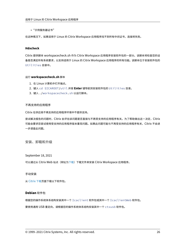• "示例服务器证书"

在这种情况下,如果适用于 Linux 的 Citrix Workspace 应用程序找不到所有中间证书,连接将失败。

# **Hdxcheck**

Citrix 提供脚本 workspacecheck.sh 作为 Citrix Workspace 应用程序安装软件包的一部分。该脚本将检查您的设 备是否满足所有系统要求,以支持适用于 Linux 的 Citrix Workspace 应用程序的所有功能。该脚本位于安装软件包的 Utilities 目录中。

#### 运行 **workspacecheck.sh** 脚本

- 1. 在 Linux 计算机中打开端点。
- 2. 键入 cd \$ICAROOT/util 并按 **Enter** 键导航到安装软件包的 Utilities 目录。
- 3. 键入 ./workspacecheck.sh 以运行脚本。

#### 不再支持的应用程序

Citrix 在供应商不再支持的应用程序环境中不提供支持。

尝试解决报告的问题时,Citrix 会评估该问题是否直接与不再受支持的应用程序有关。为了帮助做出这一决定,Citrix 可能会要求您尝试使用受支持的应用程序版本重现问题。如果此问题可能与不再受支持的应用程序有关,Citrix 不会进 一步调查此问题。

安装、卸载和升级

<span id="page-25-0"></span>September 18, 2021

可以通过从 Citrix Web 站点 (网址为下载) 下载文件来安装 Citrix Workspace 应用程序。

手动安装

从 Citrix 下载页面下载以下软件包。

# **D[ebian](https://www.citrix.com/downloads/workspace-app/linux/workspace-app-for-linux-latest.html)** 软件包

根据您的操作系统体系结构安装其中一个 Icaclient 软件包或其中一个 IcaclientWeb 软件包。

要使用通用 USB 重定向,请根据您的操作系统体系结构安装其中一个 ctxusb 软件包。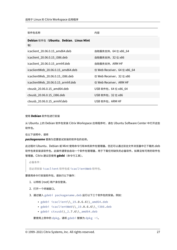| 软件包名称                                      | 内容                         |
|--------------------------------------------|----------------------------|
| Debian 软件包 (Ubuntu、Debian、Linux Mint<br>等) |                            |
| icaclient_20.06.0.15_amd64.deb             | 自助服务支持,64 位 x86_64         |
| icaclient_20.06.0.15_i386.deb              | 自助服务支持,32 位 x86            |
| icaclient_20.06.0.15_armhf.deb             | 自助服务支持,ARM HF              |
| icaclientWeb_20.06.0.15_amd64.deb          | 仅 Web Receiver,64 位 x86_64 |
| icaclientWeb_20.06.0.15_i386.deb           | 仅 Web Receiver, 32 位 x86   |
| icaclientWeb_20.06.0.15_armhf.deb          | 仅 Web Receiver,ARM HF      |
| ctxusb_20.06.0.15_amd64.deb                | USB 软件包,64 位 x86 64        |
| ctxusb_20.06.0.15_i386.deb                 | USB 软件包, 32 位 x86          |
| ctxusb 20.06.0.15 armhf.deb                | USB 软件包,ARM HF             |

# 使用 **Debian** 软件包进行安装

从 Ubuntu 上的 Debian 软件包安装 Citrix Workspace 应用程序时,请在 Ubuntu Software Center 中打开这些 软件包。

在以下说明中,请将

*packagename* 替换为您要尝试安装的软件包的名称。

此过程对 Ubuntu、Debian 或 Mint 使用命令行和本机软件包管理器。您还可以通过双击文件浏览器中已下载的.deb 软件包来安装该软件包。此操作通常会启动一个软件包管理器,用于下载任何缺失的必备软件。如果没有可用的软件包 管理器,Citrix 建议您使用 **gdebi**(命令行工具)。

必备条件:

您必须安装 icaclient 软件包或 icaclientWeb 软件包。

要使用命令行安装软件包,请执行以下操作:

- 1. 以特权 (root) 用户身份登录。
- 2. 打开一个终端窗口。
- 3. 通过键入 gdebi packagename.deb 运行以下三个软件包的安装。例如:
	- gdebi icaclient\\\_19.0.6.6\\\_amd64.deb
	- gdebi icaclientWeb\\\_19.0.6.6\\\_i386.deb
	- gdebi  $ctxush\\2.7.6\\ \mathrm{and}64.$ deb

要使用上例中的 dpkg,请将 gdebi 替换为 dpkg -i。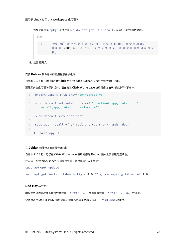如果使用的是 dpkg,请通过键入 sudo apt-get -f install. 安装任何缺失的依赖项。

```
注意:
 1 - 'ctxusb' 软件 包 为 可 选 项, 用 于 支 持 通 用 USB 重 定 向 功 能 。 -
       自 版 本 2101 起, 会 出 现 一 个 交 互 式 提 示, 要 求 您 安 装 应 用 程 序 保
       护 。
```
4. 接受 EULA。

安装 **Debian** 软件包中的应用程序保护组件

自版本 2102 起,Debian 版 Citrix Workspace 应用程序支持应用程序保护功能。

要静默安装应用程序保护组件,请在安装 Citrix Workspace 应用程序之前从终端运行以下命令:

```
1 `export DEBIAN_FRONTEND="noninteractive"`
2
3 `sudo debconf-set-selections <<< "icaclient app_protection/
      install_app_protection select no"`
4
5 `sudo debconf-show icaclient`
6
7 `sudo apt install -f ./icaclient_<version>._amd64.deb`
8
9 <!--NeedCopy-->
```
# 在 **Debian** 软件包上安装服务连续性

自版本 2106 起,可以在 Citrix Workspace 应用程序的 Debian 版本上安装服务连续性。

在安装 Citrix Workspace 应用程序之前,从终端运行以下命令:

sudo apt-get update

sudo apt-get install libwebkit2gtk-4.0-37 gnome-keyring libsecret-1-0

#### **Red Hat** 软件包

根据您的操作系统体系结构安装其中一个 ICAClient 软件包或其中一个 ICAClientWeb 软件包。

要使用通用 USB 重定向,请根据您的操作系统体系结构安装其中一个 ctxusb 软件包。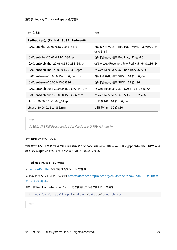| 软件包名称                                     | 内容                                                |
|-------------------------------------------|---------------------------------------------------|
| Redhat 软件包 (Redhat、SUSE、Fedora 等)         |                                                   |
| ICAClient-rhel-20.06.0.15-0.x86_64.rpm    | 自助服务支持, 基于 Red Hat (包括 Linux VDA), 64<br>位 x86_64 |
| ICAClient-rhel-20.06.0.15-0.i386.rpm      | 自助服务支持, 基于 Red Hat, 32 位 x86                      |
| ICAClientWeb-rhel-20.06.0.15-0.x86_64.rpm | 仅限于 Web Receiver, 基于 Red Hat, 64 位 x86_64         |
| ICAClientWeb-rhel-20.06.0.15-0.i386.rpm   | 仅 Web Receiver,基于 Red Hat,32 位 x86                |
| ICAClient-suse-20.06.0.15-0.x86_64.rpm    | 自助服务支持, 基于 SUSE, 64 位 x86 64                      |
| ICAClient-suse-20.06.0.15-0.i386.rpm      | 自助服务支持, 基于 SUSE, 32 位 x86                         |
| ICAClientWeb-suse-20.06.0.15-0.x86_64.rpm | 仅 Web Receiver, 基于 SUSE, 64 位 x86_64              |
| ICAClientWeb-suse-20.06.0.15-0.i386.rpm   | 仅 Web Receiver, 基于 SUSE, 32 位 x86                 |
| ctxusb-20.06.0.15-1.x86_64.rpm            | USB 软件包, 64 位 x86_64                              |
| ctxusb-20.06.0.15-1.i386.rpm              | USB 软件包, 32 位 x86                                 |

注意:

*SuSE 11 SP3 Full Package (Self‑Service Support)* RPM 软件包已弃用。

# 使用 **RPM** 软件包进行安装

如果要在 SUSE 上从 RPM 软件包安装 Citrix Workspace 应用程序,请使用 YaST 或 Zypper 实用程序。RPM 实用 程序将安装.rpm 软件包。如果缺少必需的依赖项,则将出现错误。

#### 在 **Red Hat** 上设置 **EPEL** 存储库

从 Fedora/Red Hat 页面下载恰当的源 RPM 软件包。

有 关 其 使 用 方 法 的 信 息, 请 参 阅 https://docs.fedoraproject.org/en‑US/epel/#how\_can\_i\_use\_these\_ ex[tra\\_packages](https://docs.fedoraproject.org/en-US/epel/#what_packages_and_versions_are_available_in_epel)。

例如, 在 Red Hat Enterprise 7.x 上, 可以使用以下命令安装 EPEL 存储库:

```
1 'yum localinstall epel-release-latest-7.noarch.rpm'
```
提示: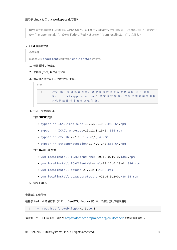RPM 软件包管理器不安装任何缺失的必备软件。要下载并安装此软件,我们建议您在 OpenSUSE 上在命令行中 使用 \*\*zypper install \*\*, 或者在 Fedora/Red Hat 上使用 \*\*yum localinstall \\*\*。文件名 >

#### 从 **RPM** 软件包安装

必备条件:

您必须安装 icaclient 软件包或 icaclientWeb 软件包。

- 1. 设置 EPEL 存储库。
- 2. 以特权 (root) 用户身份登录。
- 3. 通过键入运行以下三个软件包的安装。

注意:



4. 打开一个终端窗口。

对于 **SUSE** 安装:

- zypper in ICAClient-suse-19.12.0.19-0.x86\_64.rpm
- zypper in ICAClient-suse-19.12.0.19-0.i386.rpm
- zypper in ctxusb-2.7.19-1.x86\\\_64.rpm
- zypper in ctxappprotection-21.4.0.2-0.x86\_64.rpm

#### 对于 **Red Hat** 安装:

- yum localinstall ICAClient-rhel-19.12.0.19-0.i386.rpm
- yum localinstall ICAClientWeb-rhel-19.12.0.19-0.i386.rpm
- yum localinstall ctxusb-2.7.19-1.i386.rpm
- yum localinstall ctxappprotection-21.4.0.2-0.x86\_64.rpm
- 5. 接受 EULA。

#### 安装缺失的软件包

在基于 Red Hat 的发行版 (RHEL、CentOS、Fedora 等) 中, 如果出现以下错误消息:

1 " … requires libwebkitgtk-1.0.so.0"

请添加一个 EPEL 存储库(可以在 https://docs.fedoraproject.org/en‑US/epel/ 处找到详细信息)。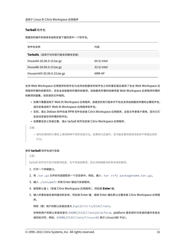# **Tarball** 软件包

根据您的操作系统体系结构安装下面的其中一个软件包。

| 软件包名称                        | 内容         |
|------------------------------|------------|
| Tarballs (适用于任何发行版本的脚本安装)    |            |
| linuxx64-20.06.0.15.tar.gz   | 64 位 Intel |
| linuxx86-20.06.0.15.tar.gz   | 32 位 Intel |
| linuxarmhf-20.06.0.15.tar.gz | ARM HF     |

支持 Web Workspace 应用程序的软件包与支持自助服务的软件包之间的差别是后者除了包含 Web Workspace 应 用程序所需的依赖项外,还包含自助服务所需的依赖项。自助服务所需的依赖项是 Web Workspace 应用程序所需的 依赖项的超集,但安装的文件相同。

- 如果只需要适用于 Web 的 Workspace 应用程序,或者您的发行版本中不包含支持自助服务所需的必要软件包, 请仅安装适用于 Web 的 Workspace 应用程序软件包。
- 否则,请从 Debian 软件包或 RPM 软件包安装 Citrix Workspace 应用程序。这些文件更易于使用,因为它们 会自动安装任何所需的软件包。
- 如果要自定义安装位置,请从 tarball 软件包安装 Citrix Workspace 应用程序。

注意:

• 请勿在相同的计算机上使用两种不同的安装方法。如果执行此操作,您可能会看到错误消息和不希望出现的 行为。

# 使用 **tarball** 软件包进行安装

注意:

tarball 软件包不执行依赖项检查,也不安装依赖项。您必须单独解决所有系统依赖项。

- 1. 打开一个终端窗口。
- 2. 将 .tar.gz 文件的内容提取到一个空目录中。例如,键入:tar xvfz packagename.tar.gz。
- 3. 键入 ./setupwfc 并按 Enter 键运行安装程序。
- 4. 接受默认值 1(安装 Citrix Workspace 应用程序),然后按 **Enter** 键。
- 5. 键入所需安装目录的路径和名称,然后按 Enter 键,或按 Enter 键在默认位置安装 Citrix Workspace 应用程 序。

特权(根)用户的默认安装目录为 /opt/Citrix/ICAClient。

非特权用户的默认安装目录为 \$HOME/ICAClient/platform。platform 是系统针对安装的操作系统生 成的标识符,例如,\$HOME/ICAClient/linuxx86 表示 Linux/x86 平台)。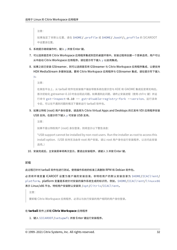注意: 如果指定了非默认位置,请在 \$HOME/.profile 或 \$HOME/.bash\\\_profile 的 \$ICAROOT 中设置该位置。

- 6. 系统提示继续操作时,键入 y 并按 Enter 键。
- 7. 可以选择是否将 Citrix Workspace 应用程序集成到您的桌面环境中。安装过程将创建一个菜单选项,用户可以 从中启动 Citrix Workspace 应用程序。请在提示符下键入 y 以启用集成。
- 8. 如果之前已安装 GStreamer, 则可以选择是否将 GStreamer 与 Citrix Workspace 应用程序集成, 以便支持 HDX MediaStream 多媒体加速。要将 Citrix Workspace 应用程序与 GStreamer 集成,请在提示符下键入

```
y。
```

```
注意:
在某些平台上,从 tarball 软件包安装客户端会导致系统在提示您与 KDE 和 GNOME 集成后变得无响应。
首次初始化 gstreamer‑0.10 时会出现此问题。如果遇到此问题,请终止安装进程(使用 ctrl+c 键)并运
行命令 gst-inspect-0.10 -- gst-disable-registry-fork --version。运行该命
令后,可以在不遇到问题的情况下重新运行 tarball 软件包。
```
9. 如果以特权 (root) 用户身份登录,请选择为 Citrix Virtual Apps and Desktops 的已发布 VDI 应用程序安装 USB 支持。在提示符下键入 y 可安装 USB 支持。

注意:

如果不是以特权用户 (root) 身份登录, 则将显示以下警告消息:

"USB support cannot be installed by non‑root users. Run the installer as root to access this install option.(USB 支持无法由非 root 用户安装。请以 root 用户身份运行安装程序,以访问此安装 选项。)

10. 安装完成后,主安装菜单将再次显示。要退出安装程序,请键入 3 并按 Enter 键。

# 卸载

此过程已针对 tarball 软件包进行测试。使用操作系统的标准工具删除 RPM 和 Debian 软件包。

必须将环境变量 ICAROOT 设置为客户端的安装目录。非特权用户的默认安装目录为 \$HOME/ICAClient/ platform。platform 变量是系统针对安装的操作系统生成的标识符,例如,\$HOME/ICAClient/linuxx86 表示 Linux/x86 平台。特权用户安装默认安装到 /opt/Citrix/ICAClient。

注意:

要卸载 Citrix Workspace 应用程序,必须以与执行安装的用户相同的用户身份登录。

# 在 **tarball** 软件上卸载 **Citrix Workspace** 应用程序

1. 键入 \$ICAROOT/setupwfc 并按 Enter 键运行安装程序。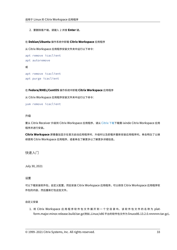2. 要删除客户端,请键入 2 并按 **Enter** 键。

# 在 **Debian/Ubuntu** 操作系统中卸载 **Citrix Workspace** 应用程序

从 Citrix Workspace 应用程序安装文件夹中运行以下命令:

```
apt remove icaclient
apt autoremove
或
apt remove icaclient
```

```
apt purge icaclient
```
#### 在 **Fedora/RHEL/CentOS** 操作系统中卸载 **Citrix Workspace** 应用程序

从 Citrix Workspace 应用程序安装文件夹中运行以下命令:

```
yum remove icaclient
```
# 升级

要从 Citrix Receiver 升级到 Citrix Workspace 应用程序,请从 Citrix 下载下载需 ixinde Citrix Workspace 应用 程序并进行安装。

**Citrix Workspace** 屏幕叠加显示在首次启动应用程序时、升级时以及卸载并重新安装应用程序时。单击明白了以继 续使用 Citrix Workspace 应用程序, 或者单击了解更多以了解更[多详细信息。](https://www.citrix.com/downloads/workspace-app/linux/workspace-app-for-linux-latest.html)

快速入门

<span id="page-32-0"></span>July 30, 2021

# 设置

可以下载安装软件包,自定义配置,然后安装 Citrix Workspace 应用程序。可以修改 Citrix Workspace 应用程序软 件包的内容,然后重新打包这些文件。

#### 自定义安装

1. 将 Citrix Workspace 应用程序软件包文件展开到一个空目录中。该软件包文件的名称为 platform.major.minor.release.build.tar.gz(例如,Linux/x86 平台的软件包文件为 linuxx86.13.2.0.nnnnnn.tar.gz)。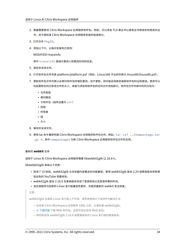- 2. 根据需要更改 Citrix Workspace 应用程序软件包。例如,可以添加 TLS 根证书以使用证书颁发机构颁发的证 书,这不是标准 Citrix Workspace 应用程序安装的组成部分。
- 3. 打开文件 PkgID。
- 4. 添加以下行,以指示安装包已修改:

MODIFIED=traceinfo

其中 traceinfo 是指示更改人和更改时间的信息。

- 5. 保存并关闭文件。
- 6. 打开软件包文件列表 platform/platform.psf(例如,Linux/x86 平台的列表为 linuxx86/linuxx86.psf)。
- 7. 更新软件包文件列表以反映对软件包所做的更改。如不更新,则可能会导致安装新软件包时出现错误。更改可以 包括更新任何已修改文件的大小,或者为添加到软件包的任何文件添加新行。软件包文件列表中的列分别为:
	- 文件类型
	- 相对路径
	- 子软件包(始终设置为 cor)
	- 权限
	- 所有者
	- 组
	- 大小
- 8. 保存并关闭文件。
- 9. 使用 tar 命令重新构建 Citrix Workspace 应用程序软件包文件。例如,tar czf ../newpackage.tar .gz \*, 其中 newpackagez 为新 Citrix Workspace 应用程序软件包文件的名称。

# 最新的 **webkit** 支持

适用于 Linux 的 Citrix Workspace 应用程序需要 libwebkit2gtk (2.16.6+)。

libwebkit2gtk 具有以下优势:

- 改进了 UI 体验。webkit2gtk 与浏览器内容重定向功能兼容。使用 webkit2gtk 版本 2.24 或更高版本获取更 加出色的 YouTube 观看体验。
- webkit2gtk 版本 2.16.6 及更高版本改进了登录体验以及登录所需的时间。
- 该应用程序与较新的 Linux 发行版兼容性更好,并提供最新的 webkit 安全修复。

注意:

webkit2gtk 在某些 Linux 发行版上不可用。请考虑使用以下选项作为解决方法:

- 在安装 Citrix Workspace 应用程序 1906 之前,从源构建 webkit2gtk。
- 从 下载页面 下载 Web 软件包。此软件包仅支持 Web 启动。
- 移动到支持 webkit2gtk 2.16.6 或更高版本的 Linux 发行版的更高版本。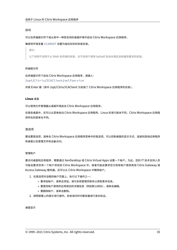# 启动

# 可以在终端提示符下或从其中一种受支持的桌面环境中启动 Citrix Workspace 应用程序。

# 确保将环境变量 ICAROOT 设置为指向实际的安装目录。

提示:

以下说明不适用于从 Web 包所做的安装,也不适用于使用 tarball 但尚未满足自助服务要求的安装。

# 终端提示符

在终端提示符下启动 Citrix Workspace 应用程序,请键入: /opt/Citrix/ICAClient/selfservice

并按 Enter 键(其中 /opt/Citrix/ICAClient 为安装了 Citrix Workspace 应用程序的目录)。

# **Linux** 桌面

可以使用文件管理器从桌面环境启动 Citrix Workspace 应用程序。

在某些桌面中,还可以从菜单启动 Citrix Workspace 应用程序。Linux 的发行版本不同, Citrix Workspace 应用程 序所在的菜单也不同。

# 首选项

要设置首选项,请单击 Citrix Workspace 应用程序菜单中的首选项。可以控制桌面的显示方式、连接到其他应用程序 和桌面以及管理文件和设备访问。

# 管理帐户

要访问桌面和应用程序,需要通过 XenDesktop 或 Citrix Virtual Apps 设置一个帐户。为此,您的 IT 技术支持人员 可能会要求您将一个帐户添加到 Citrix Workspace 中。或者可能会要求您为现有帐户使用其他 Citrix Gateway 或 Access Gateway 服务器。还可以从 Citrix Workspace 中删除帐户。

- 1. 在首选项对话框的帐户页面上,执行以下操作之一:
	- 要添加帐户,请单击添加。请与系统管理员联系以获取更多信息。
	- 要更改帐户使用的应用商店的详细信息(例如默认网关),请单击编辑。
	- 要删除帐户,请单击删除。
- 2. 按照屏幕上的提示进行操作。系统询问时对服务器进行身份验证。

桌面显示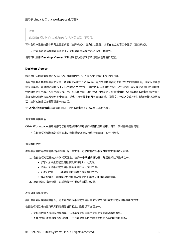# 注意:

此功能在 Citrix Virtual Apps for UNIX 会话中不可用。

可以在用户设备的整个屏幕上显示桌面(全屏模式),此为默认设置,或者在独立的窗口中显示(窗口模式)。

• 在首选项对话框的常规页面上,使用桌面显示模式选项选择一种模式。

使用可以启用 **Desktop Viewer** 工具栏功能动态修改您的远程会话的窗口配置。

#### **Desktop Viewer**

您对用户访问虚拟桌面的方式的要求可能会因用户的不同和企业需求的变化而不同。

当用户需要与其虚拟桌面交互时,请使用 Desktop Viewer。用户的虚拟桌面可以是已发布的虚拟桌面,也可以是共享 或专用桌面。在这种访问情况下,Desktop Viewer 工具栏功能允许用户在窗口化会话窗口与全屏会话窗口之间切换, 包括对相交显示器的多显示器支持。用户可以使用同一用户设备上的多个 Citrix Virtual Apps and Desktops 连接在 桌面会话之间切换以及使用多个桌面。提供了用于最小化所有桌面会话、发送 Ctrl+Alt+Del 序列、断开连接以及从会 话中注销的按钮以方便管理用户的会话。

按 **Ctrl+Alt+Break** 将在弹出窗口中显示 Desktop Viewer 工具栏按钮。

#### 自动重新连接会话

Citrix Workspace 应用程序可以重新连接到断开连接的桌面和应用程序。例如,网络基础结构问题。

• 在首选项对话框的常规页面上,选择重新连接应用程序和桌面中的一个选项。

#### 访问本地文件

虚拟桌面或应用程序需要访问您的设备上的文件。可以控制虚拟桌面对这些文件的访问程度。

- 1. 在首选项对话框的文件访问页面上,选择一个映射的驱动器,然后选择以下选项之一:
	- 读写 ‑ 允许桌面或应用程序读取和写入本地文件。
	- 只读 ‑ 允许桌面或应用程序读取但不写入本地文件。
	- 无访问权限 ‑ 不允许桌面或应用程序访问本地文件。
	- 每次都询问 桌面或应用程序每次需要访问本地文件时都显示提示。
- 2. 单击添加,指定位置,然后选择一个要映射到的驱动器。

麦克风和网络摄像头

要设置麦克风或网络摄像头,可以更改虚拟桌面或应用程序访问您的本地麦克风或网络摄像机的方式:

在首选项对话框的麦克风和网络摄像机页面上,选择以下选项之一:

- 使用我的麦克风和网络摄像机 允许桌面或应用程序使用麦克风和网络摄像机。
- 不使用我的麦克风和网络摄像机 不允许桌面或应用程序使用麦克风和网络摄像机。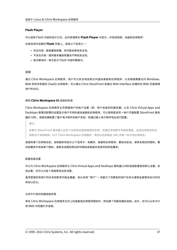## **Flash Player**

可以选择 Flash 内容的显示方式。此内容通常在 **Flash Player** 中显示,并包括视频、动画和应用程序:

在首选项对话框的 **Flash** 页面上,选择以下选项之一:

- 优化内容 ‑ 提高播放质量,但可能会降低安全性。
- 不优化内容 ‑ 提供基本播放质量但不降低安全性。
- 每次都询问 ‑ 每次显示 Flash 内容时都提示。

#### 连接

通过 Citrix Workspace 应用程序, 用户可以安全地自助访问虚拟桌面和应用程序, 以及根据需要访问 Windows、 Web 和软件即服务 (SaaS) 应用程序。可以通过 Citrix StoreFront 或通过 Web Interface 创建的旧 Web 页面管理 用户的访问。

#### 使用 **Citrix Workspace UI** 连接到资源

Citrix Workspace 应用程序主页根据用户的帐户设置(即,用户连接到的服务器)以及 Citrix Virtual Apps and Desktops 管理员配置的设置显示用户可用的虚拟桌面和应用程序。可以使用首选项 > 帐户页面配置 StoreFront 服务 器的 URL,或者如果配置了基于电子邮件的帐户发现,则通过输入电子邮件地址进行配置。

提示:

如果为 StoreFront 服务器上的多个应用商店使用相同的名称,则通过添加数字来避免重复。此类应用商店的名 称取决于添加顺序。对于 Citrix Workspace 应用程序,将显示应用商店 URL 并唯一标识该应用商店。

连接到某个应用商店后,自助服务将显示以下选项卡:收藏夹、桌面和应用程序。要启动会话,请单击相应的图标。要 向收藏夹中添加某个图标,请单击该图标旁边的详细信息链接并选择添加到收藏夹。

## 配置连接设置

可以为 Citrix Workspace 应用程序与 Citrix Virtual Apps and Desktops 服务器之间的连接配置某些默认设置。如 有必要,还可以为各个连接更改这些设置。

虽然管理员和用户的任务和职责可能会重叠,但分采用 "用户" 一词是为了将典型的用户任务与通常由管理员执行的任 务加以区分。

#### 从命令行或浏览器连接资源

单击 Citrix Workspace 应用程序主页上的桌面或应用程序图标时,即创建了到服务器的连接。此外,还可以从命令行 或 Web 浏览器打开连接。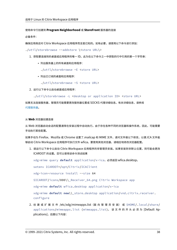#### 使用命令行创建到 **Program Neighborhood** 或 **StoreFront** 服务器的连接

必备条件:

确保应用商店对 Citrix Workspace 应用程序而言是已知的。如有必要,请使用以下命令进行添加:

./util/storebrowse --addstore \<store URL\>

- 1. 获取要连接到的桌面或应用程序的唯一 ID。此为在以下命令之一中获取的行中引用的第一个字符串:
	- 列出服务器上的所有桌面和应用程序:
		- ./util/storebrowse -E <store URL>
	- 列出已订阅的桌面和应用程序:
		- ./util/storebrowse -S <store URL>
- 2. 运行以下命令以启动桌面或应用程序:

./util/storebrowse -L <desktop or application ID> <store URL>

如果无法连接服务器,管理员可能需要更改服务器位置或 SOCKS 代理详细信息。有关详细信息,请参阅 代理服务器。

#### 从 **[Web](https://docs.citrix.com/zh-cn/citrix-workspace-app-for-linux/secure.html#proxy-server)** 浏览器创建连接

从 Web 浏览器启动会话的配置通常在安装过程中自动执行。由于存在各种不同的浏览器和操作系统,因此,可能需要 手动执行某些配置。

如果手动为 Firefox、Mozilla 或 Chrome 设置了.mailcap 和 MIME 文件,请对文件做以下修改,以便.ICA 文件能 够启动 Citrix Workspace 应用程序可执行文件 wfica。要使用其他浏览器,请相应地修改浏览器配置。

1. 请运行以下命令以启动 Citrix Workspace 应用程序的非管理员安装。如果安装到非默认位置,则可能会更改 ICAROOT 的设置。您可以使用该命令测试结果

xdg-mime query **default** application/x-ica,必须返回 wfica.desktop。

setenv ICAROOT=/opt/Citrix/ICAClient

xdg-icon-resource install --size 64

\$ICAROOT/icons/000\\\_Receiver\_64.png Citrix Workspace app

xdg-mime **default** wfica.desktop application/x-ica

xdg-mime **default new**\\\_store.desktop application/vnd.citrix.receiver. configure

2. 创 建 或 扩 展 文 件 /etc/xdg/mimeapps.list (面 向 管 理 员 安 装) 或 \$HOME/.local/share/ applications/mimeapps.list (mimeapps.list)。 该文件的开头必须为 [Default Applications],后跟以下内容: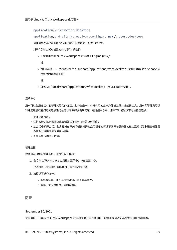application/x-ica=wfica.desktop;

application/vnd.citrix.receiver.configure=**new**\\\_store.desktop;

可能需要在其 "首选项"/"应用程序" 设置页面上配置 Firefox。

对于"Citrix ICA 设置文件内容",请选择:

• 下拉菜单中的 "Citrix Workspace 应用程序 Engine (默认)"

或

• "使用其他...",然后选择文件 /usr/share/applications/wfica.desktop (面向 Citrix Workspace 应 用程序的管理员安装)

或

• \$HOME/.local/share/applications/wfica.desktop(面向非管理员安装)。

#### 连接中心

用户可以使用连接中心管理其活动的连接。此功能是一个非常有用的生产力促进工具,通过该工具,用户和管理员可以 对速度缓慢或有问题的连接进行故障诊断并解决出现问题。在连接中心中,用户可以通过以下方法管理连接:

- 关闭应用程序。
- 注销会话。此步骤将结束会话并关闭任何打开的应用程序。
- 从会话中断开会话。此步骤将在不关闭任何打开的应用程序的情况下断开与服务器的选定连接(除非服务器配置 为在断开连接时关闭应用程序)。
- 查看连接传输统计数据。

管理连接

要使用连接中心管理连接,请执行以下操作:

1. 在 Citrix Workspace 应用程序菜单中,单击连接中心。

此时将显示使用的服务器并列出每个活动的会话。

- 2. 执行以下操作之一:
	- 选择服务器、断开连接或注销,或查看其属性。
	- 选择一个应用程序,关闭该窗口。

# 配置

September 30, 2021

使用适用于 Linux 的 Citrix Workspace 应用程序时,用户利用以下配置步骤可访问其托管应用程序和桌面。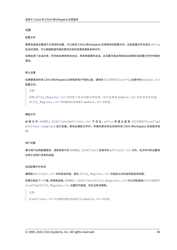## 设置

#### 配置文件

要更改高级设置或不太常用的设置,可以修改 Citrix Workspace 应用程序的配置文件。这些配置文件在每次 wfica 启动时读取。可以根据希望所做的更改实现的效果来更新各种文件。

如果启用了会话共享,则可能会使用现有会话,而非新配置的会话。此设置可能会导致会话忽略您在配置文件中所做的 更改。

默认设置

如果要更改所有 Citrix Workspace 应用程序用户的默认值,请修改 \$ICAROOT/config 目录中的 module.ini 配置文件。

注意:

如果 All\\\_Regions.ini 中的某个条目设置为特定值,则不会使用 module.ini 中的该条目的值。 All\\\_Regions.ini 中的值的优先级高于 module.ini 中的值。

## 模板文件

如果文件 \$HOME/.ICAClient/wfclient.ini 不存在, wfica 将通过复制 \$ICAROOT/config/ wfclient.template 进行创建。更改此模板文件时,所做的更改将应用到所有 Citrix Workspace 应用程序用 户。

## 用户设置

要为用户应用配置更改,请修改用户的 \$HOME/.ICAClient 目录中的 wfclient.ini 文件。此文件中的设置将 应用于该用户将来的连接。

## 验证配置文件条目

要限制 wfclient.ini 中的条目的值,请在 All\\\_Regions.ini 中指定允许的选项或选项范围。

如果仅指定了一个值,则使用该值。\$HOME/.ICAClient/All\\\_Regsions.ini 可以匹配或减少 \$ICAROOT /config/All\\\_Regions.ini 设置的可能值,则无法取消限制。

注意:

在 wfclient.ini 中设置的值优先级高于在 module.ini 中的值。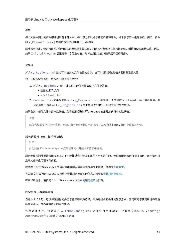#### 参数

每个文件中列出的参数都编组到各个部分中。每个部分都以括号括起的名称开头,指示属于同一组的参数;例如,参数 的 \[ClientDrive\] 与客户端驱动器映射 (CDM) 有关。

除非另有指定,否则将自动为任何缺失的参数指定默认值。如果某个参数存在但未指定值,则将自动应用默认值。例如, 如果 InitialProgram 后跟等号 (=) 但没有值,则将应用默认值(登录后不运行程序)。

#### 优先级

All\\\_Regions.ini 指定可以由其他文件设置的参数。它可以限制参数的值或者精确设置其值。

对于任何指定的连接,将按以下顺序签入文件:

- 1. All\\\_Regions.ini ‑ 此文件中的值将覆盖以下文件中的值:
	- 连接的.ICA 文件
	- wfclient.ini
- 2. module.ini ‑ 如果尚未在 All\\\_Regions.ini、连接的.ICA 文件或 wfclient.ini 中设置值,并 且这些值不通过 All\\\_Regions.ini 中的条目进行限制,则将使用此文件中值。

如果在其中任何文件中都未找到值,则将使用 Citrix Workspace 应用程序代码中的默认值。

注意:

此优先级顺序存在例外情况。例如,由于安全原因,代码会专门从 wfclient.ini 中读取某些值。

#### 服务连续性(公共技术预览版)

注意:

此功能在 Citrix Workspace 应用程序的公开技术预览版中提供。

服务连续性消除或最大限度地减少了对连接过程中涉及的组件可用性的依赖。无论云服务的运行状况如何,用户都可以 启动其虚拟应用程序和桌面。

有关在 Citrix Workspace 应用程序中支持服务连续性的要求的信息,请参阅系统要求。

有关随 Citrix Workspace 应用程序安装服务连续性的信息,请参阅安装服务连续性。

有关详细信息,请参阅 Citrix Workspace 文档中的服务连续性部分。

#### 固定多显示器屏幕布局

自版本 2103 起,可以保存所做的多显示器屏幕布局选择。布局是指桌面会话的显示方式。固定有助于使用所选布局重 新启动会话,从而获得优化的用户体验。

作 为 必 备 条 件, 您 必 须 在 AuthManConfig.xml 文 件 中 启 用 此 功 能。 导 航 到 \$ICAROOT/config/ AuthManConfig.xml 并添加以下条目: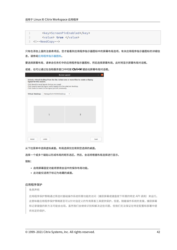1 <key>ScreenPinEnabled</key> 2 <value> **true** </value> 3 <!--NeedCopy-->

只有在添加上面的注册表项后,您才能看到应用程序指示器图标中的屏幕布局选项。有关应用程序指示器图标的详细信 息,请参阅应用程序指示器图标。

要选择屏幕布局,请单击任务栏中的应用程序指示器图标,然后选择屏幕布局。此时将显示屏幕布局对话框。

或者,也[可以通过在自助服务窗](https://docs.citrix.com/zh-cn/citrix-workspace-app-for-linux/configure-xenapp.html#app-indicator-icon)口中时按 **Ctrl+M** 键启动屏幕布局对话框。

|                                                                                                                 |                                                                                                                                                                                    | <b>Screen Layout</b> |      |
|-----------------------------------------------------------------------------------------------------------------|------------------------------------------------------------------------------------------------------------------------------------------------------------------------------------|----------------------|------|
| Select a virtual desktop from the list. Select one or more tiles to create a display<br>layout for the session. |                                                                                                                                                                                    |                      |      |
|                                                                                                                 | Click Reset to reset layout choices you saved.<br>Click Save to save the layout and to apply it to the selected desktop.<br>Click Undo to revert to the layout you set previously. |                      |      |
| <b>Virtual Desktop:</b>                                                                                         | Managed Win10 SIN Desktop                                                                                                                                                          | $\checkmark$         |      |
|                                                                                                                 |                                                                                                                                                                                    |                      |      |
|                                                                                                                 |                                                                                                                                                                                    |                      |      |
|                                                                                                                 |                                                                                                                                                                                    |                      |      |
|                                                                                                                 | $\mathbf{1}$                                                                                                                                                                       | $\overline{2}$       |      |
|                                                                                                                 |                                                                                                                                                                                    |                      |      |
|                                                                                                                 |                                                                                                                                                                                    |                      |      |
|                                                                                                                 |                                                                                                                                                                                    |                      |      |
|                                                                                                                 |                                                                                                                                                                                    |                      |      |
| Reset                                                                                                           | Undo                                                                                                                                                                               |                      | Save |
|                                                                                                                 |                                                                                                                                                                                    |                      |      |

从下拉菜单中选择虚拟桌面。布局选择仅应用到您选择的桌面。

选择一个或多个磁贴以形成布局的矩形选区。然后,会话将根据布局选择进行显示。

限制:

- 启用屏幕固定功能将禁用会话中的保存布局功能。
- 此功能仅适用于标记为收藏的桌面。

## 应用程序保护

免责声明

应用程序保护策略通过筛选对基础操作系统所需功能的访问(捕获屏幕或键盘按下所需的特定 API 调用)来运行。 这意味着应用程序保护策略甚至可以针对自定义的专用黑客工具提供保护。但是,随着操作系统的发展,捕获屏幕 和记录键盘的新方法可能会出现。虽然我们会继续识别和解决这些问题,但我们无法保证在特定配置和部署中提 供充足的保护。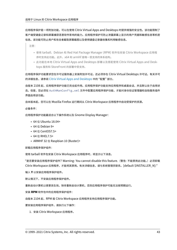应用程序保护是一项附加功能,可以在使用 Citrix Virtual Apps and Desktops 时提供增强的安全性。该功能限制了 客户端受键盘记录和屏幕捕获恶意软件影响的能力。应用程序保护可防止泄露屏幕上显示的用户凭据和敏感信息等机密 信息。该功能可防止用户和攻击者截取屏幕截图以及使用键盘记录器收集和利用敏感信息。

注意:

- 使用 tarball、Debian 和 Red Hat Package Manager (RPM) 软件包安装 Citrix Workspace 应用程 序时支持此功能。此外,x64 和 armhf 是唯一受支持的体系结构。
- 此功能在本地 Citrix Virtual Apps and Desktops 部署以及搭配使用 Citrix Virtual Apps and Desk‑ tops 服务和 StoreFront 的部署中受支持。

应用程序保护功能要求您在许可证服务器上安装附加许可证。还必须存在 Citrix Virtual Desktops 许可证。有关许可 的详细信息,请参阅 Citrix Virtual Apps and Desktops 中的 "配置" 部分。

自版本 2108 起,应用程序保护功能已完全起作用。应用程序保护功能支持应用程序和桌面会话,并且默认处于启用状 态。但是,您必须在 [AuthManConfig.xml](https://docs.citrix.com/zh-cn/citrix-virtual-apps-desktops.html) 文件中配置应用程序保护功能,才能对身份验证管理器和自助服务插件 界面启用该功能。

自本版本起,您可以在 Mozilla Firefox 运行期间从 Citrix Workspace 应用程序中启动受保护的资源。

必备条件:

应用程序保护功能最适合以下操作系统以及 Gnome Display Manager:

- 64 位 Ubuntu 18.04+
- 64 位 Debian 9+
- 64 位 CentOS7.5+
- 64 位 RHEL7.5+
- ARMHF 32 位 Raspbian 10 (Buster)+

## 卸载应用程序保护组件:

使用 tarball 软件包安装 Citrix Workspace 应用程序时,将显示以下消息。

"是否要安装应用程序保护组件? Warning: You cannot disable this feature. (警告: 不能禁用此功能。) 必须卸载 Citrix Workspace 应用程序,才能将其禁用。有关详细信息,请与系统管理员联系。[default \$INSTALLER\_N]:"

输入 **Y** 以安装应用程序保护组件。

默认情况下,不安装应用程序保护组件。

重新启动计算机以使更改生效。除非重新启动计算机,否则应用程序保护可能无法按预期运行。

安装 **RPM** 软件包中的应用程序保护组件:

自版本 2104 起, RPM 版 Citrix Workspace 应用程序支持应用程序保护功能。

要安装应用程序保护组件,请执行以下操作:

1. 安装 Citrix Workspace 应用程序。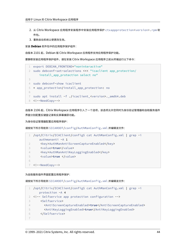- 2. 从 Citrix Workspace 应用程序安装程序中安装应用程序保护 ctxappprotection<version>.rpm 软 件包。
- 3. 重新启动系统以使更改生效。

安装 **Debian** 软件包中的应用程序保护组件:

自版本 2101 起, Debian 版 Citrix Workspace 应用程序支持应用程序保护功能。

要静默安装应用程序保护组件,请在安装 Citrix Workspace 应用程序之前从终端运行以下命令:

```
1 export DEBIAN_FRONTEND="noninteractive"
2 sudo debconf-set-selections <<< "icaclient app_protection/
      install_app_protection select no"
3
4 sudo debconf-show icaclient
5 * app_protection/install_app_protection: no
6
7 sudo apt install -f ./icaclient_<version>._amd64.deb
8 <!--NeedCopy-->
```
自版本 2106 起, Citrix Workspace 应用程序引入了一个选项,该选项允许您同时为身份验证管理器和自助服务插件 界面分别配置反键盘记录和反屏幕捕获功能。

为身份验证管理器配置应用程序保护:

请按如下所示导航到 \$ICAROOT/config/AuthManConfig.xml 并编辑该文件:

|               | /opt/Citrix/ICAClient/config\$ cat AuthManConfig.xml   grep -i |
|---------------|----------------------------------------------------------------|
|               | authmananti -A 1                                               |
|               | <key>AuthManAntiScreenCaptureEnabled</key>                     |
| $\mathcal{R}$ | <value>true</value>                                            |
| $\Delta$      | <key>AuthManAntiKeyLoggingEnabled</key>                        |
| 5             | <value>true </value>                                           |
| 6             |                                                                |
|               | 7 NeedCopy                                                     |

为自助服务插件界面配置应用程序保护:

请按如下所示导航到 \$ICAROOT/config/AuthManConfig.xml 并编辑该文件:

```
1 /opt/Citrix/ICAClient/config$ cat AuthManConfig.xml | grep -i
     protection -A 4
2 <!-- Selfservice app protection configuration -->
3 <Selfservice>
4 <AntiScreenCaptureEnabled>true</AntiScreenCaptureEnabled>
5 <AntiKeyLoggingEnabled>true</AntiKeyLoggingEnabled>
6 </Selfservice>
7
```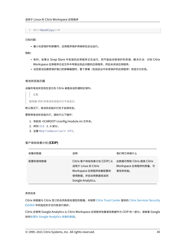8 <!--NeedCopy-->

已知问题:

• 最小化受保护的屏幕时,应用程序保护将继续在后台运行。

限制:

- 有时,如果从 Snap Store 中安装的应用程序正在运行,则不能启动受保护的资源。解决方法: 识别 Citrix Workspace 应用程序日志文件中导致出现此问题的应用程序,然后关闭该应用程序。
- 当您尝试创建受保护窗口的屏幕截图时,整个屏幕(包括后台中未受保护的应用程序)将显示为灰色。

#### 电池状态指示器

设备的电池状态现在显示在 Citrix 桌面会话的通知区域中。

注意:

服务器 VDA 的电池状态指示灯不会显示。

默认情况下,电池状态指示灯处于启用状态。

要禁用电池状态指示灯,请执行以下操作:

- 1. 导航到 <ICAROOT>/config/module.ini 文件夹。
- 2. 转到 ICA 3.0 部分。
- 3. 设置 MobileReceiver= Off。

## 客户体验改善计划 **(CEIP)**

| 收集的数据   | 说明                                                                                                           | 我们用它来做什么                                                 |
|---------|--------------------------------------------------------------------------------------------------------------|----------------------------------------------------------|
| 配置和使用数据 | Citrix 客户体验改善计划 (CEIP) 从<br>适用于 Linux 的 Citrix<br>Workspace 应用程序收集配置和<br>使用数据,并自动将数据发送到<br>Google Analytics. | 此数据可帮助 Citrix 提高 Citrix<br>Workspace 应用程序的质量、可<br>靠性和性能。 |

#### 其他信息

Citrix 将根据与 Citrix 签订的合同条款处理您的数据,并按照 Citrix Trust Center 提供的 Citrix Services Security Exhibit 中所指定的方式对其进行保护。

Citrix 还使用 Google Analytics 从 Citrix Workspace 应[用程序收集某些数据作为](https://www.citrix.com/about/trust-center/privacy-compliance.html) CEIP 的一部分。请查看 [Google](https://www.citrix.com/buy/licensing/citrix-services-security-exhibit.html) [如何处理](https://www.citrix.com/buy/licensing/citrix-services-security-exhibit.html)为 Google Analytics 收集的数据。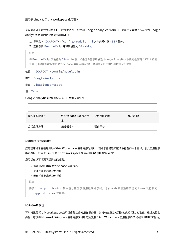可以通过以下方式关闭将 CEIP 数据发送到 Citrix 和 Google Analytics 的功能(下面第二个表中 \* 指示的为 Google Analytics 收集的两个数据元素除外):

1. 导航到 \<ICAROOT\>/config/module.ini 文件夹并转到 CEIP 部分。

2. 选择条目 EnableCeip 并将其设置为 Disable。

注意:

将 EnableCeip 项设置为 Disable 后,如果您希望禁用发送 Google Analytics 收集的最后两个 CEIP 数据 元素(即操作系统版本和 Workspace 应用程序版本),请导航到以下部分并按建议设置值:

位置: <ICAROOT>/config/module.ini

- 部分: GoogleAnalytics
- 条目: DisableHeartBeat
- 值: True

Google Analytics 收集的特定 CEIP 数据元素包括:

| 操作系统版本 * | Workspace 应用程序版<br>本 * | 应用程序名称 | 客户端 ID |
|----------|------------------------|--------|--------|
| 会话启动方法   | 编译器版本                  | 硬件平台   |        |

## 应用程序指示器图标

应用程序指示器在您启动 Citrix Workspace 应用程序时启动。该指示器是通知区域中存在的一个图标。引入应用程序 指示器后,适用于 Linux 的 Citrix Workspace 应用程序的登录性能得以改进。

您可以在以下情况下观察性能提高:

- 首次启动 Citrix Workspace 应用程序
- 关闭并重新启动应用程序
- 退出并重新启动应用程序

注意:

需要 libappindicator 软件包才能显示应用程序指示器。请从 Web 安装适用于您的 Linux 发行版的 libappindicator 软件包。

# **ICA‑to‑X** 代理

可以将运行 Citrix Workspace 应用程序的工作站用作服务器,并将输出重定向到其他支持 X11 的设备。通过执行此 操作,可以将 Microsoft Windows 应用程序交付给无法使用 Citrix Workspace 应用程序的 X 终端或 UNIX 工作站。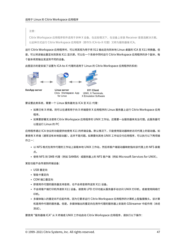注意:

Citrix Workspace 应用程序软件适用于多种 X 设备,在这些情况下,在设备上安装 Receiver 是首选解决方案。 以此种方式运行 Citrix Workspace 应用程序 (即作为 ICA-to-X 代理) 又称为服务器端 ICA。

运行 Citrix Workspace 应用程序时,可以将其视为用于将 X11 输出定向到本地 Linux 桌面的 ICA 至 X11 转换器。但 是,可以将该输出重定向到其他 X11 显示屏。可以在一个系统中同时运行 Citrix Workspace 应用程序的多个副本,每 个副本将其输出发送到不同的设备。

此图显示的是安装了设置为 ICA‑to‑X 代理的适用于 Linux 的 Citrix Workspace 应用程序的系统:



Linux server X11 Client UNIX, X Terminals. Citrix Workspace App for Linux X Emulation Software

要设置此类系统,需要一个 Linux 服务器充当 ICA 至 X11 代理:

- 如果已有 X 终端,则可以在通常用于向 X 终端提供 X 应用程序的 Linux 服务器上运行 Citrix Workspace 应用 程序。
- 如果要部署无法使用 Citrix Workspace 应用程序的 UNIX 工作站,还需要一台服务器来充当代理。此服务器可 以是运行 Linux 的 PC

应用程序通过 ICA 协议的功能提供给使用 X11 的终端设备。默认情况下,只能使用驱动器映射访问代理上的驱动器。如 果使用 X 终端(通常没有本地驱动器),这并不是问题。如果要向其他 UNIX 工作站交付应用程序,可以执行以下两项操 作之一:

- 以 NFS 格式在用作代理的工作站上装载本地 UNIX 工作站,然后将客户端驱动器映射指向该代理上的 NFS 装载 点。
- 使用 NFS 到 SMB 代理(例如 SAMBA)或服务器上的 NFS 客户端(例如 Microsoft Services for UNIX)。

某些功能不会传递到终端设备:

- USB 重定向
- 智能卡重定向
- COM 端口重定向
- 即使用作代理的服务器支持音频,也不会将音频传送到 X11 设备。
- 不会将客户端打印机传递到 X11 设备。请使用 LPD 打印功能从服务器手动访问 UNIX 打印机,或者使用网络打 印机。
- 多媒体输入的重定向不应起作用,因为它要求运行 Citrix Workspace 应用程序的计算机上配备摄像头,该计算 机是用作代理的服务器。但是,多媒体输出的重定向在用作代理的服务器上安装的 GStreamer 中起作用(未经 测试)。

要使用 "服务器端 ICA" 从 X 终端或 UNIX 工作站启动 Citrix Workspace 应用程序,请执行以下操作: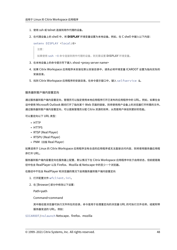- 1. 使用 ssh 或 telnet 连接到用作代理的设备。
- 2. 在代理设备上的 shell 中,将 **DISPLAY** 环境变量设置为本地设备。例如,在 C shell 中键入以下内容:

```
setenv DISPLAY <local:0>
```
注意:

如果使用 ssh -X 命令连接到用作代理的设备,则无需设置 **DISPLAY** 环境变量。

- 3. 在本地设备上的命令提示符下键入 xhost <proxy server name>
- 4. 如果 Citrix Workspace 应用程序未安装在默认安装目录中,请务必将环境变量 ICAROOT 设置为指向实际的 安装目录。
- 5. 找到 Citrix Workspace 应用程序的安装目录。在命令提示窗口中,键入 selfservice &。

服务器到客户端内容重定向

通过服务器到客户端内容重定向,管理员可以指定使用本地应用程序打开已发布的应用程序中的 URL。例如,如果在会 话中使用 Microsoft Outlook 期间打开了指向某个 Web 页面的链接,则将使用用户设备上的浏览器打开所需的文件。 通过服务器到客户端内容重定向,可以提高管理员分配 Citrix 资源的效率,从而使用户体验到更好的性能。

可以重定向以下 URL 类型:

- HTTP
- HTTPS
- RTSP (Real Player)
- RTSPU (Real Player)
- PNM (旧版 Real Player)

如果适用于 Linux 的 Citrix Workspace 应用程序没有合适的应用程序或无法直接访问内容,则将使用服务器应用程 序打开 URL。

服务器到客户端内容重定向在服务器上配置,默认情况下在 Citrix Workspace 应用程序中处于启用状态,但前提是路 径中包含 RealPlayer 以及 Firefox、Mozilla 或 Netscape 中的至少一个浏览器。

在路径中不包含 RealPlayer 和浏览器的情况下启用服务器到客户端内容重定向

- 1. 打开配置文件 wfclient.ini。
- 2. 在 [Browser] 部分中修改以下设置:

Path=path

Command=command

其中路径是浏览器可执行文件所在的目录,命令是用于处理重定向的浏览器 URL 的可执行文件名称,结尾附带 服务器发送的 URL。例如:

\$ICAROOT/nslaunch Netscape、firefox、mozilla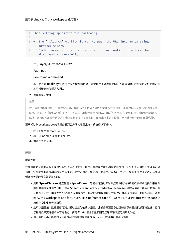```
1 This setting specifies the following:
```

```
3 - The `nslaunch` utility is run to push the URL into an existing
     browser window
```

```
4 - Each browser in the list is tried in turn until content can be
     displayed successfully
```
# 1. 在 [Player] 部分中修改以下设置:

Path=path

## Command=command

其中路径是 RealPlayer 可执行文件所在的目录,命令是用于处理重定向的多媒体 URL 的可执行文件名称,结 尾附带服务器发送的 URL。

## 2. 保存并关闭文件。

注意:

2

对于这两种路径设置,只需要指定浏览器和 RealPlayer 可执行文件所在的目录,不需要指定可执行文件的完整 路径。例如,在 [Browser] 部分中,可以将 Path 设置为 /usr/X11R6/bin 而非 /usr/X11R6/bin/netscape。 此外,还可以使用冒号分隔的列表方式指定多个目录名称。如果未指定这些设置,则将使用用户的当前 \$PATH。

## 要从 Citrix Workspace 关闭服务器到客户端内容重定向,请执行以下操作:

- 1. 打开配置文件 module.ini。
- 2. 将 CREnabled 设置更改为 Off。
- 3. 保存并关闭文件。

## 连接

## 配置连接

在处理能力有限的设备上或是只能提供有限带宽的环境中,需要在性能和功能之间找到一个平衡点。用户和管理员可以 选择一个可接受的复杂功能和交互式性能的组合。通常在服务器(而非用户设备)上作出一项或多项此类更改,从而降 低连接所需的带宽并提高性能:

- 启用 **SpeedScreen** 延迟加速 ‑ SpeedScreen 延迟加速通过即时响应用户键入的数据或鼠标单击操作来提升 高延时连接条件下的性能。使用 SpeedScreen Latency Reduction Manager 可在服务器上启用此功能。默 认情况下,在 Citrix Workspace 应用程序中, 此功能对键盘禁用, 并且仅针对高延迟连接下的鼠标启用。请参 阅 "Citrix Workspace app for Linux OEM's Reference Guide"(《适用于 Linux 的 Citrix Workspace 应 用程序 OEM 参考指南》)。
- 启用数据压缩 数据压缩可减少通过连接传输的数据量。此操作需要更多处理器资源来压缩和解压缩数据,但可 以提高低带宽连接条件下的性能。使用 **Citrix** 音频质量和图像压缩策略设置可启用此功能。
- 减小窗口大小 将窗口大小更改到您能够轻松使用的最小大小。在场中设置会话选项。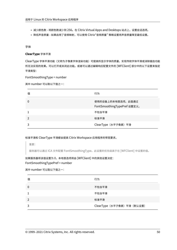- 减少颜色数 将颜色数减少到 256。在 Citrix Virtual Apps and Desktops 站点上, 设置会话选项。
- 降低声音质量 ‑ 如果启用了音频映射,可以使用 Citrix"音频质量" 策略设置将声音质量降至最低设置。

字体

## **ClearType** 字体平滑

ClearType 字体平滑功能(又称为子像素字体渲染功能)可提高所显示字体的质量,实现传统字体平滑或消除锯齿功能 所无法实现的效果。可以打开或关闭此功能。或者可以通过编辑响应配置文件的 [WFClient] 部分中的以下设置来指定 平滑类型:

FontSmoothingType = number

其中 number 可以取以下值之一:

| 值 | 行为                                               |
|---|--------------------------------------------------|
| 0 | 使用的设备上的本地首选项。此值通过<br>FontSmoothingTypePref 设置定义。 |
|   | 不包含平滑                                            |
|   | 标准平滑                                             |
|   | ClearType (水平子像素) 平滑                             |

# 标准平滑和 ClearType 平滑都会提高 Citrix Workspace 应用程序的带宽要求。

重要:

服务器可以通过 ICA 文件配置 FontSmoothingType。此设置的优先级高于在 [WFClient] 中设置的值。

# 如果服务器将该值设置为 0,本地首选项将由 [WFClient] 中的其他设置决定: FontSmoothingTypePref = number

## 其中 number 可以取以下值之一:

| 值 | 行为                          |
|---|-----------------------------|
| 0 | 不包含平滑                       |
|   | 不包含平滑                       |
|   | 标准平滑                        |
|   | ClearType (水平子像素) 平滑 (默认设置) |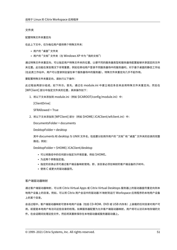文件夹

## 配置特殊文件夹重定向

在此上下文中,仅为每位用户提供两个特殊文件夹:

- 用户的 "桌面" 文件夹
- 用户的"文档"文件夹(在 Windows XP 中为"我的文档")

通过特殊文件夹重定向,可以指定用户特殊文件夹的位置,以便不同的服务器类型和服务器场配置能够共享固定的文件 夹位置。此功能在某些情况下非常重要,例如在移动用户登录不同服务器场中的服务器时。对于基于桌面的静态工作站 (在此类工作站中,用户可以登录到驻留在单个服务器场中的服务器),特殊文件夹重定向几乎不起作用。

要配置特殊文件夹重定向,请执行以下操作:

此过程由两部分组成,如下所示。首先,通过在 module.ini 中建立相应条目来启用特殊文件夹重定向,然后在 [WFClient] 部分中指定文件夹的位置,具体操作如下:

1. 将以下文本添加到 module.ini (例如 \$ICAROOT/config/module.ini) 中:

[ClientDrive]

SFRAllowed = True

2. 将以下文本添加到 [WFClient] 部分(例如 \$HOME/.ICAClient/wfclient.ini)中:

DocumentsFolder = documents

DesktopFolder = desktop

其中 documents 和 desktop 为 UNIX 文件名, 包括要分别用作用户的"文档"和"桌面"文件夹的目录的完整 路径。例如:

DesktopFolder = \$HOME/.ICAClient/desktop

- 可以将路径中的任何部分指定为环境变量,例如 \$HOME。
- 为这两个参数指定值。
- 指定的目录必须可通过客户端设备映射使用。即,该目录必须在映射的客户端设备的子树中。
- 使用 C 或更大的驱动器盘符。

## 客户端驱动器映射

通过客户端驱动器映射,可以将 Citrix Virtual Apps 或 Citrix Virtual Desktops 服务器上的驱动器盘符重定向到本 地用户设备上的目录。例如,可以将 Citrix 用户会话中的驱动器 H 映射到运行 Workspace 应用程序的本地用户设备 上的某个目录。

会话过程中,客户端驱动器映射可使本地用户设备(包括 CD‑ROM、DVD 或 USB 内存条)上装载的任何目录对用户可 用,前提是本地用户有访问这些目录的权限。如果服务器配置为允许客户端驱动器映射,用户将可以访问本地存储的文 件,在会话期间处理这些文件,然后将其重新保存在本地驱动器或服务器驱动器上。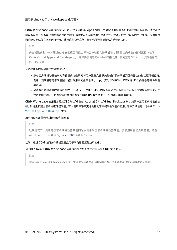Citrix Workspace 应用程序支持针对 Citrix Virtual Apps and Desktops 服务器连接的客户端设备映射。通过客户 端设备映射,服务器上运行的远程应用程序将能够访问与本地用户设备相连的设备。对用户设备的用户而言,应用程序 和系统资源就像在本地运行一样。使用这些功能之前,请确保服务器支持客户端设备映射。

注意:

安全增强式 Linux (SELinux) 安全模型可能会影响客户端驱动器映射和 USB 重定向功能的正常运行(在两个 Citrix Virtual Apps and Desktops 上)。如果需要使用其中一种或两种功能,请先禁用 SELinux, 然后在服务 器上进行配置。

#### 有两种类型的驱动器映射可供选择:

- 静态客户端驱动器映射允许管理员在登录时将用户设备文件系统的任何部分映射到服务器上的指定驱动器盘符。 例如,该映射可用于映射整个或部分用户的主目录或 /tmp,以及 CD‑ROM、DVD 或 USB 内存条等硬件设备 装载点。
- 动态客户端驱动器映射负责监视 CD‑ROM、DVD 和 USB 内存条等硬件设备在用户设备上的常规装载目录。在 会话期间出现的任何新设备装载目录都将自动映射到服务器上下一个可用的驱动器盘符。

Citrix Workspace 应用程序连接到 Citrix Virtual Apps 或 Citrix Virtual Desktops 时,如果未禁用客户端设备映 射,则将重新建立客户端驱动器映射。可以使用策略来更好地控制客户端设备映射的应用。有关详细信息,请参阅 Citrix Virtual Apps and Desktops 文档。

## 用户可以使用首选项对话框映射驱动器。

[注意:](https://docs.citrix.com/zh-cn/citrix-virtual-apps-desktops.html)

默认情况下,启用静态客户端驱动器映射同时会启用动态客户端驱动器映射。要禁用后者但启用前者,请在 wfclient.ini 中将 DynamicCDM 设置为 False。

# 以前,通过 CDM 访问文件的设置已应用于所有已配置的应用商店。

# 自 2012 版起,Citrix Workspace 应用程序允许您配置每应用商店 CDM 文件访问。

注意:

使用适用于 Web 的 Workspace 时,文件访问设置在会话中保持不变。该设置默认设置为每次都询问选项。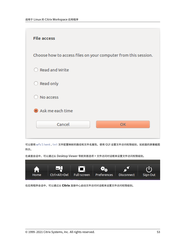

可以使用 wfclient.ini 文件配置映射的路径和文件名属性。使用 GUI 设置文件访问权限级别,如前面的屏幕截图 所示。

在桌面会话中,可以通过从 Desktop Viewer 导航到首选项 > 文件访问对话框来设置文件访问权限级别。



在应用程序会话中,可以通过从 **Citrix** 连接中心启动文件访问对话框来设置文件访问权限级别。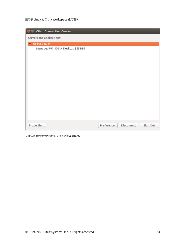| <b>Citrix Connection Center</b>       |                           |          |  |
|---------------------------------------|---------------------------|----------|--|
| Servers and applications:             |                           |          |  |
| 10.151.246.35<br>$\blacktriangledown$ |                           |          |  |
| Managed Win10 SIN Desktop \$552-86    |                           |          |  |
|                                       |                           |          |  |
| Properties                            | Disconnect<br>Preferences | Sign Out |  |

文件访问对话框包括映射的文件夹名称及其路径。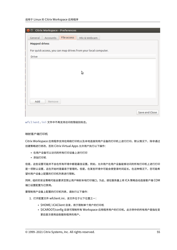## 适用于 Linux 的 Citrix Workspace 应用程序

| Citrix Workspace - Preferences                                 |                |
|----------------------------------------------------------------|----------------|
| File access<br>General<br>Accounts<br>Mic & Webcam             |                |
| <b>Mapped drives</b>                                           |                |
| For quick access, you can map drives from your local computer. |                |
| <b>Drive</b>                                                   |                |
|                                                                |                |
|                                                                |                |
| P                                                              |                |
|                                                                |                |
|                                                                |                |
|                                                                |                |
| Add<br>Remove                                                  |                |
|                                                                |                |
|                                                                | Save and Close |

wfclient.ini 文件中不再支持访问权限级别标志。

# 映射客户端打印机

Citrix Workspace 应用程序支持在网络打印机以及本地连接到用户设备的打印机上进行打印。默认情况下,除非通过 创建策略进行修改,否则 Citrix Virtual Apps 允许用户执行以下操作:

- 在用户设备可以访问的所有打印设备上进行打印
- 添加打印机

但是,这些设置可能并不会在所有环境中都是最佳设置。例如,允许用户在用户设备能够访问的所有打印机上进行打印 是一项默认设置,这在开始时是最易于管理的。但是,在某些环境中可能会使登录时间延长。在这种情况下,您可能希 望对用户设备上配置的打印机列表进行限制。

同样,组织的安全策略可能会要求您禁止用户映射本地打印端口。为此,请在服务器上将 ICA 策略自动连接客户端 COM 端口设置配置为已禁用。

要限制用户设备上配置的打印机列表,请执行以下操作:

- 1. 打开配置文件 wfclient.ini,该文件位于以下位置之一:
	- \$HOME/.ICAClient 目录,用于限制单个用户的打印机
	- \$ICAROOT/config 目录可限制所有 Workspace 应用程序用户的打印机。此示例中的所有用户是指在变 更后首次使用自助服务程序的用户。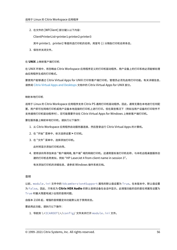2. 在文件的 [WFClient] 部分键入以下内容:

ClientPrinterList=printer1:printer2:printer3

其中 printer1、printer2 等是所选打印机的名称。用冒号 (:) 分隔各打印机名称条目。

3. 保存并关闭文件。

## 在 **UNIX** 上映射客户端打印机

在 UNIX 环境中,将忽略由 Citrix Workspace 应用程序定义的打印机驱动程序。用户设备上的打印系统必须能够处理 由应用程序生成的打印格式。

要使用户能够通过 Citrix Virtual Apps for UNIX 打印到客户端打印机,管理员必须先启用打印功能。有关详细信息, 请参阅 Citrix Virtual Apps and Desktops 文档中的 Citrix Virtual Apps for UNIX 部分。

## 映射本[地打印机](https://docs.citrix.com/zh-cn/citrix-virtual-apps-desktops.html)

适用于 Linux 的 Citrix Workspace 应用程序支持 Citrix PS 通用打印机驱动程序。因此,通常无需在本地进行任何配 置,用户即可在网络打印机或用户设备本地连接的打印机上进行打印。但在某些情况下(例如当用户设备的打印软件不 支持通用打印机驱动程序时),您可能需要手动在 Citrix Virtual Apps for Windows 上映射客户端打印机。

要在服务器上映射本地打印机,请执行以下操作:

- 1. 从 Citrix Workspace 应用程序启动服务器连接,然后登录运行 Citrix Virtual Apps 的计算机。
- 2. 在 "开始" 菜单中,依次选择设置 **>** 打印机。
- 3. 在 "文件" 菜单中,选择添加打印机。

此时将显示添加打印机向导。

4. 使用该向导添加来自 "客户端网络, 客户端" 域的网络打印机。这通常是标准打印机名称,与本机远程桌面服务创 建的打印机名称类似,例如 "HP LaserJet 4 from client name in session 3"。

有关添加打印机的详细信息,请参阅 Windows 操作系统文档。

## 音频

以前, module.ini 文件中的 VdcamVersion4Support 属性的默认值设置为 True。在本版本中,默认值设置 为 False。因此,只有名为 **Citrix HDX Audio** 的默认音频设备在会话中显示。此增强功能的目的是在将属性设置为 True 时最大限度地减少出现的音频问题。

自版本 2108 起,增强的音频重定向功能默认处于禁用状态。

## 要启用此功能,请执行以下操作:

1. 导航到 \<ICAROOT\>/config/ 文件夹并打开 module.ini 文件。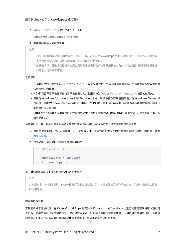2. 转至 clientaudio 部分并添加以下条目:

VdcamVersion4Support=True

3. 重新启动会话以使更改生效。

注意:

- 启用了增强的音频重定向功能时,适用于 Linux 的 Citrix Workspace 应用程序将显示会话中可用的所有 本地音频设备。您可以切换到会话中动态可用的任何设备。
- 默认情况下,首选项对话框中的麦克风和网络摄像机选项处于禁用状态。有关如何启用麦克风和网络摄像机 的信息,请参阅首选项。

已知限制:

- 在 Windows Ser[ver 20](https://docs.citrix.com/zh-cn/citrix-workspace-app-for-linux/get-started.html#preferences)16 上运行的 VDA 中,您无法在会话中更改选择的音频设备。所选音频设备仅设置为默 认音频输入和输出。
- HDMI 和蓝牙音频设备不支持音频设备重定向。此限制与为 VdcamVersion4Support 设置的值无关。
- 只能在 Windows 10、Windows 7 和 Windows 8 操作系统中更改默认音频设备。在 Windows Server 操 作系统 (例如 Windows Server 2012、2016、2019 中),由于 Microsoft 远程桌面会话中存在限制,因此不 能更改默认音频设备。
- Citrix Workspace 应用程序可能会显示会话中不可用的音频设备(例如 HDMI 音频设备)。此问题是由第三方 限制导致的。

通常情况下,默认音频设备是为系统配置的默认 ALSA 设备。可以通过以下操作步骤指定其他设备:

- 1. 根据受更改影响的用户,选择并打开一个配置文件。有关特定配置文件的更新如何影响不同用户的信息,请参 阅默认设置。
- 2. 如有必要,请添加以下选项以创建相应部分:

```
1 [ClientAudio]
\mathcal{L}3 AudioDevice = <device>
4 <!--NeedCopy-->
```
其中 device 信息位于操作系统的 ALSA 配置文件中。

```
注意:
```

```
并非所有 Linux 操作系统中的这一信息都位于上述位置。Citrix 建议您查阅操作系统文档,了解有关查找此信息
的详细信息。
```
#### 映射客户端音频

实现客户端音频映射后,在 Citrix Virtual Apps 服务器或 Citrix Virtual Desktops 上运行的应用程序将可以通过用 户设备上安装的声音设备来播放声音。您可以在服务器上针对每个连接设置音频质量,而用户可以在用户设备上设置音 频质量。如果用户设备与服务器的音频质量设置不同,将采用两者中较低的设置。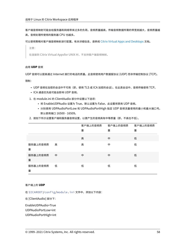客户端音频映射可能会给服务器和网络带来过多的负荷。音频质量越高,传输音频数据所需的带宽就越大,音频质量越 高,音频处理所使用的服务器 CPU 也越多。

可以使用策略对客户端音频映射进行配置。有关详细信息,请参阅 Citrix Virtual Apps and Desktops 文档。

注意:

在连接到 Citrix Virtual Appsfor UNIX 时,不支持客户端音[频映射。](https://docs.citrix.com/zh-cn/citrix-virtual-apps-desktops.html)

## 启用 **UDP** 音频

UDP 音频可以提高通过 Internet 拨打的电话的质量。此音频使用用户数据报协议 (UDP) 而非传输控制协议 (TCP)。 限制:

- UDP 音频在加密的会话中不可用(即,使用 TLS 或 ICA 加密的会话)。在此类会话中,音频传输使用 TCP。
- ICA 通道优先级可能会影响 UDP 音频。
- 1. 在 module.ini 的 ClientAudio 部分中设置以下选项:
	- 将 EnableUDPAudio 设置为 True。默认设置为 False,此设置将禁用 UDP 音频。
	- 分别使用 UDPAudioPortLow 和 UDPAudioPortHigh 指定 UDP 音频流量使用的最小和最大端口号。 默认使用端口 16500 ‑ 16509。
- 2. 按如下所示设置客户端和服务器音频设置,以便产生的音频具有中等质量(即,不高也不低)。

|               |   | 客户端上的音频质 | 客户端上的音频质 | 客户端上的音频质 |
|---------------|---|----------|----------|----------|
|               |   | 量        | 量        | 量        |
|               |   | 高        | 中        | 低        |
| 服务器上的音频质<br>量 | 高 | 高        | 中        | 低        |
| 服务器上的音频质<br>量 | 中 | 中        | 中        | 低        |
| 服务器上的音频质<br>量 | 低 | 低        | 低        | 低        |

#### 客户端上的 **UDP**

在 \$ICAROOT/config/module.ini 文件中,添加以下内容:

在 [ClientAudio] 部分下:

EnableUDPAudio=True UDPAudioPortLow=int

UDPAudioPortHigh=int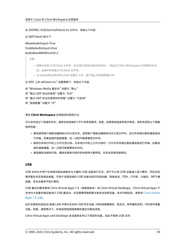在 \$HOME/.ICAClient/wfclient.ini 文件中,添加以下内容:

在 [WFClient] 部分下:

AllowAudioInput=True EnableAudioInput=true AudioBandWidthLimit=1

注意:

- 如果未找到.ICAClient 文件夹(仅在首次安装并启动时发生),请启动 Citrix Workspace 应用程序并关 闭。此操作将创建.ICAClient 文件夹。
- 当 AudioBandWidthLimit 设置为 1 时,客户端上的音频质量为中。

在 DDC 上的 wfclient.ini.\* 设置策略下,添加以下内容:

将 "Windows Media 重定向" 设置为 "禁止" 将 "通过 UDP 协议的音频" 设置为 "允许" 将 "通过 UDP 协议的音频实时传输" 设置为 "已启用"

将 "音频质量" 设置为 "中"

# 更改 **Citrix Workspace** 应用程序的使用方法

ICA 技术经过了高度的优化,通常没有很高的 CPU 和带宽要求。但是,如果使用连接带宽非常低,请考虑采取以下措施 保持性能:

- 避免使用客户端驱动器映射访问大型文件。使用客户端驱动器映射访问大型文件时,该文件将通过服务器连接进 行传输。如果连接的速度缓慢,这一过程可能需要很长时间。
- 避免在本地打印机上打印大型文档。在本地打印机上打印文档时,打印文件将通过服务器连接进行传输。如果连 接的速度缓慢,这一过程可能需要很长时间。
- 避免播放多媒体内容。播放多媒体内容时将会使用大量带宽,并且会导致性能降低。

## **USB**

USB 支持允许用户在连接到虚拟桌面时与大量的 USB 设备进行交互。用户可以将 USB 设备插入其计算机,然后该设 备将重定向至其虚拟桌面。可用于远程连接的 USB 设备包括闪存驱动器、智能电话、PDA、打印机、扫描仪、MP3 播 放器、安全设备和平板计算机。

USB 重定向要求使用 Citrix Virtual Apps 7.6 (或更高版本)或 Citrix Virtual Desktops。Citrix Virtual Apps 不 支持对大容量存储设备进行 USB 重定向,并且需要特殊配置才能支持音频设备。有关详细信息,请参阅 Citrix Virtual Apps 7.6 文档。

此外在典型的低延迟/高速 LAN 环境中还支持 USB 同步设备(例如网络摄像机、麦克风、扬声器和耳机[\)中的常时等量](https://docs.citrix.com/zh-cn/categories/legacy-archive/xenapp-and-xendesktop.html) 功能。但是,通常情况下,标准音频或网络摄像机重定向更加适用。

[Citrix Virtual](https://docs.citrix.com/zh-cn/categories/legacy-archive/xenapp-and-xendesktop.html) Apps and Desktops 会话直接支持以下类型的设备,因此不使用 USB 支持: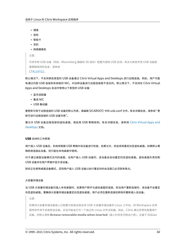- 键盘
- 鼠标
- 智能卡
- 耳机
- 网络摄像机

注意:

可将专用 USB 设备(例如, Bloomberg 键盘和 3D 鼠标)配置为使用 USB 支持。有关为其他专用 USB 设备配 置策略规则的信息,请参阅

CTX119722。

默认情况下,不支持某些类型的 USB 设备通过 Citrix Virtual Apps and Desktops 进行远程连接。例如,用户可能 有通过内部 USB 连接到系统板的 NIC。对这种设备进行远程连接是不适合的。默认情况下,不支持在 Citrix Virtual Ap[ps and Desk](http://support.citrix.com/article/ctx119722)tops 会话中使用以下类型的 USB 设备:

- 蓝牙适配器
- 集成 NIC
- USB 集线器

要更新可用于远程连接的 USB 设备的默认列表,请编辑 \$ICAROOT/ 中的 usb.conf 文件。有关详细信息,请参阅 "更 新可进行远程连接的 USB 设备列表"。

要允许 USB 设备远程连接到虚拟桌面,请启用 USB 策略规则。有关详细信息,请参阅 Citrix Virtual Apps and Desktops 文档。

#### **[USB](https://docs.citrix.com/zh-cn/citrix-virtual-apps-desktops.html)** 支持的工作原理

用户插入 USB 设备后,系统将根据 USB 策略对该设备进行检查,如果允许,则会将其重定向至虚拟桌面。如果默认策 略拒绝连接此设备,则只能在本地桌面中使用。

对于通过桌面设备模式访问的桌面,当用户插入 USB 设备时,该设备会自动重定向至虚拟桌面。虚拟桌面负责控制 USB 设备并在用户界面中显示该设备。

除非正在使用桌面设备模式,否则用户插入 USB 设备以执行重定向时会话窗口必须具有焦点。

大容量存储设备

当 USB 大容量存储设备仍插入本地桌面时,如果用户断开与虚拟桌面的连接,则当用户重新连接时,该设备不会重定 向至虚拟桌面。要确保大容量存储设备重定向至虚拟桌面,用户必须在重新连接后移除并重新插入该设备。

注意:

如果将大容量存储设备插入已配置为拒绝远程支持 USB 大容量存储设备的 Linux 工作站,则 Workspace 应用 程序软件将不会接受该设备。并且可能会打开一个独立的 Linux 文件浏览器。因此,Citrix 建议您预先配置用户 设备,并默认清除 **Browse removable media when inserted**(插入时浏览可移动介质)。在基于 Debian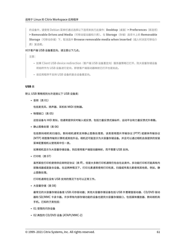的设备中,请使用 Debian 菜单栏通过选择以下选项来执行此操作:**Desktop**(桌面)**> Preferences**(首选项) **> Removable Drives and Media**(可移动驱动器和介质)。在 **Storage**(存储)选项卡上的 **Removable Storage**(可移动存储)下,取消选中 **Browse removable media when inserted**(插入时浏览可移动介 质)复选框。

对于客户端 USB 设备重定向,请注意以下几点。

注意:

- 如果 Client USB device redirection(客户端 USB 设备重定向)服务器策略已打开,则大容量存储设备 将始终作为 USB 设备进行定向,即使客户端驱动器映射已打开也是如此。
- 该应用程序不支持 USB 设备的复合设备重定向。

#### **USB** 类

默认 USB 策略规则允许连接以下 USB 设备类:

• 音频(类 01)

包括麦克风、扬声器、耳机和 MIDI 控制器。

• 物理接口(类 05)

这些设备与 HID 类似,但通常提供实时输入或反馈,包括力量反馈式操纵杆、运动平台和力量反馈式外骨骼。

• 静止图像处理(类 06)

包括数码相机和扫描仪。数码相机通常支持静止图像处理类,该类使用图片传输协议 (PTP) 或媒体传输协议 (MTP) 将图像传输到计算机或其他外设。相机还可能显示为大容量存储设备。并且可以通过相机自身提供的安装 菜单配置相机以使用其中任一类。

如果相机显示为大容量存储设备,则应使用客户端驱动器映射,而不需要 USB 支持。

• 打印机(类 07)

虽然某些打印机使用供应商特定协议(类 ff),但是大多数打印机通常仍包含在此类中。多功能打印机可能具有内 部集线器或是复合设备。在这两种情况下,打印元素通常使用打印机类,扫描或传真元素使用其他类,例如,静 止图像处理。

打印机通常在没有 USB 支持的情况下也可以正常工作。

• 大容量存储(类 08)

最常见的大容量存储设备是 USB 闪存驱动器;其他大容量存储设备包括 USB 外置硬盘驱动器、CD/DVD 驱动 器和 SD/MMC 卡读卡器。许多带有内部存储功能的设备也提供大容量存储接口,包括媒体播放器、数码相机和 手机。已知的子类包括:

- 01 受限的闪存设备
- 02 典型的 CD/DVD 设备 (ATAPI/MMC‑2)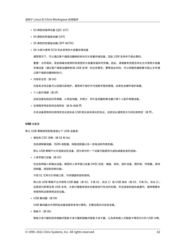- 03 典型的磁带设备 (QIC‑157)
- 04 典型的软盘驱动器 (UFI)
- 05 典型的软盘驱动器 (SFF‑8070i)
- 06 大部分使用 SCSI 的此变体的大容量存储设备

通常情况下,可以通过客户端驱动器映射来访问大容量存储设备,因此 USB 支持并不是必需的。

重要:众所周知,有些病毒会使用所有类型的大容量存储实时传播。因此,请慎重考虑是否存在允许使用大容量 存储设备(通过客户端驱动器映射或 USB 支持)的业务需求。要降低此风险,可以将服务器配置为阻止文件通 过客户端驱动器映射执行。

• 内容安全性(类 0d)

内容安全性设备可以加强内容保护,通常用于保护许可或数字版权管理。此类包含硬件保护装置。

• 个人医疗保健(类 0f)

这些设备包括血压传感器、心率监测器、步程计、药片监测器和肺活量计等个人医疗保健设备。

• 应用程序特定和供应商特定(类 fe 和类 ff)

许多设备使用供应商特定协议或未由 USB 联合会标准化的协议,这些协议通常显示为供应商特定(类 ff)。

#### **USB** 设备类

默认 USB 策略规则拒绝连接以下 USB 设备类:

• 通信和 CDC 控制 (类 02 和 0a)

包括调制解调器、ISDN 适配器、网络适配器以及一些电话和传真机器。

默认 USB 策略不允许连接这些设备,因为其中的一个设备可能提供与虚拟桌面自身的连接。

• 人体学接口设备(类 03)

包含各种输入和输出设备。典型的人体学接口设备 (HID) 包括:键盘、鼠标、指针设备、图形板、传感器、游戏 控制器、按钮和控制功能。

子类 01 又称为引导接口类,可供键盘和鼠标使用。

默认的 USB 策略不允许使用 USB 键盘 (类 03, 子类 01, 协议 1)或 USB 鼠标 (类 03, 子类 01, 协议 2)。 这是因为即使没有 USB 支持,大部分键盘和鼠标也能够进行恰当的处理。并且连接到虚拟桌面时,通常需要本 地使用和远程使用这些设备。

• USB 集线器(类 09)

USB 集线器允许将附加设备连接到本地计算机。无需远程访问这些设备。

• 智能卡 (类 0b)

智能卡读卡器包括非接触式智能卡读卡器和接触式智能卡读卡器,以及具有嵌入式智能卡等效芯片的 USB 令牌。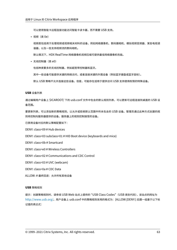可以使用智能卡远程连接功能访问智能卡读卡器,而不需要 USB 支持。

• 视频(类 0e)

视频类包括用于处理视频或视频相关材料的设备,例如网络摄像机、数码摄相机、模拟视频变频器、某些电视调 谐器,以及一些支持视频流的数码相机。

默认情况下,HDX RealTime 网络摄像机视频压缩可提供最佳网络摄像机性能。

• 无线控制器(类 e0)

包括种类繁多的无线控制器,例如超宽带控制器和蓝牙。

其中一些设备可能提供关键的网络访问,或者连接关键的外围设备(例如蓝牙键盘或蓝牙鼠标)。

默认 USB 策略不允许连接这些设备。但是,可能存在适用于提供访问 USB 支持使用权限的特殊设备。

**USB** 设备列表

通过编辑用户设备上 \$ICAROOT/ 下的 usb.conf 文件中包含的默认规则列表,可以更新可远程连接到桌面的 USB 设 备范围。

要更新列表,可以添加新的策略规则,以允许或拒绝默认范围中所未包含的 USB 设备。管理员通过此种方式创建的规 则将控制向服务器提供的设备。服务器上的规则控制接受的设备。

已禁用设备对应的默认策略配置如下:

DENY: class=09 # Hub devices

DENY: class=03 subclass=01 # HID Boot device (keyboards and mice)

DENY: class=0b # Smartcard

DENY: class=e0 # Wireless Controllers

DENY: class=02 # Communications and CDC Control

DENY: class=03 # UVC (webcam)

DENY: class=0a # CDC Data

ALLOW: # 最终回退: 允许所有其他设备

#### **USB** 策略规则

提示:创建策略规则时,请参阅 USB Web 站点上提供的 "USB Class Codes"(USB 类别代码),该站点的网址为 http://www.usb.org/。用户设备上 usb.conf 中的策略规则采用的格式为:{ALLOW:|DENY:} 后跟一组基于以下标 记值的表达式: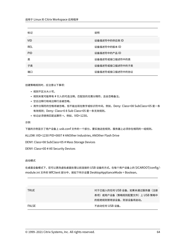| 标记         | 说明              |
|------------|-----------------|
| <b>VID</b> | 设备描述符中的供应商ID    |
| REL        | 设备描述符中的版本 ID    |
| <b>PID</b> | 设备描述符中的产品 ID    |
| 类          | 设备描述符或接口描述符中的类  |
| 子类         | 设备描述符或接口描述符中的子类 |
| 端口         | 设备描述符或接口描述符中的协议 |

创建策略规则时,应注意以下事项:

- 规则不区分大小写。
- 规则末尾可能带有 # 引入的可选注释。匹配目的无需分隔符,且会忽略备注。
- 空白注释行和纯注释行会被忽略。
- 用作分隔符的空格将被忽略,但不能出现在数字或标识符中间。例如,Deny: Class=08 SubClass=05 是一条 有效规则;Deny: Class=0 8 Sub Class=05 是一条无效规则。
- 标记必须使用匹配运算符 =。例如,VID=1230。

示例

下面的示例显示了用户设备上 usb.conf 文件的一个部分。要实施这些规则,服务器上必须存在相同的一组规则。

ALLOW: VID=1230 PID=0007 # ANOther Industries, ANOther Flash Drive

DENY: Class=08 SubClass=05 # Mass Storage Devices

DENY: Class=0D # All Security Devices

## 启动模式

在桌面设备模式下,您可以更改虚拟桌面处理以前连接的 USB 设备的方式。在每个用户设备上的 \$ICAROOT/config/module.ini 文件的 WfClient 部分中,按如下所示设置 DesktopApplianceMode = Boolean。

| <b>TRUE</b> | 对于已插入的任何 USB 设备,如果未通过服务器(注册 |
|-------------|-----------------------------|
|             | 表项)或用户设备(策略规则配置文件)上 USB 策略中 |
|             | 的拒绝规则禁用该设备,则该设备将启动。         |
| FALSE       | 不启动仟何 USB 设备。               |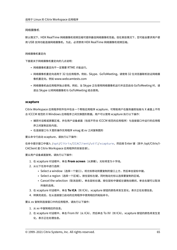## 网络摄像机

默认情况下,HDX RealTime 网络摄像机视频压缩可提供最佳网络摄像机性能。但在某些情况下,您可能会要求用户使 用 USB 支持功能连接网络摄像机。为此,必须禁用 HDX RealTime 网络摄像机视频压缩。

## 网络摄像机重定向

下面是关于网络摄像机重定向的几点说明:

- 网络摄像机重定向不一定需要 RTME 才能运行。
- 网络摄像机重定向适用于 32 位应用程序。例如,Skype、GoToMeeting。请使用 32 位浏览器联机验证网络摄 像机重定向。例如 www.webcamtests.com
- 网络摄像机由应用程序独占使用。例如,当 Skype 正在使用网络摄像机运行并且您启动 GoToMeeting 时,请 退出 Skype 以将网络摄像机与 GoToMeeting 结合使用。

## **xcapture**

Citrix Workspace 应用程序软件包中包含一个帮助应用程序 xcapture,可帮助用户在服务器剪贴板与 X 桌面上不符 合 ICCCM 规范的 X Windows 应用程序之间交换图形数据。用户可以使用 xcapture 执行以下操作:

- 捕获对话框或屏幕区域,并在用户设备桌面(包括不符合 ICCCM 规范的应用程序)与连接窗口中运行的应用程 序之间复制这些内容。
- 在连接窗口与 X 图形操作实用程序 xmag 或 xv 之间复制图形

要从命令行启动 xcapture,请执行以下操作:

在命令提示窗口中键入 /opt/Citrix/ICAClient/util/xcapture,然后按 Enter 键(其中 /opt/Citrix/I‑ CAClient 是 Citrix Workspace 应用程序的安装目录)。

要从用户设备桌面复制,请执行以下操作:

- 1. 在 xcapture 对话框中,单击 **From screen**(从屏幕)。光标将变为十字线。
- 2. 从以下任务中进行选择:
	- Select a window(选择一个窗口)。将光标移动到要复制的窗口上方,然后单击鼠标中键。
	- Select a region (选择一个区域)。按住鼠标左键,同时拖动光标以选择要复制的区域。
	- Cancel the selection(取消选择)。单击鼠标右键。按住鼠标中键或左键拖动期间,单击右键可以取消 所做的选择。
- 3. 在 xcapture 对话框中,单击 To ICA (到 ICA)。xcapture 按钮的颜色将发生变化,表示正在处理信息。
- 4. 转换完成后, 在从连接窗口启动的应用程序中使用相应的粘贴命令。

要从 xv 复制到连接窗口中的应用程序,请执行以下操作:

- 1. 从 xv 中复制相应的信息。
- 2. 在 xcapture 对话框中,单击 From XV(从 ICA),然后单击 To XV(到 ICA)。xcapture 按钮的颜色将发生变 化,表示正在处理信息。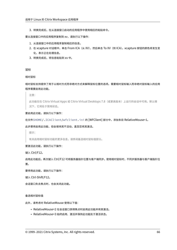3. 转换完成后, 在从连接窗口启动的应用程序中使用相应的粘贴命令。

要从连接窗口中的应用程序复制到 xv,请执行以下操作:

- 1. 从连接窗口中的应用程序复制相应的信息。
- 2. 在 xcapture 对话框中,单击 From ICA(从 XV),然后单击 To XV(到 ICA)。xcapture 按钮的颜色将发生变 化,表示正在处理信息。
- 3. 转换完成后,将信息粘贴到 xv 中。

#### 鼠标

相对鼠标

相对鼠标支持提供了用于以相对方式而非绝对方式来解释鼠标位置的选项。需要相对鼠标输入而非绝对鼠标输入的应用 程序需要启用此功能。

注意:

此功能仅在 Citrix Virtual Apps 或 Citrix Virtual Desktops 7.8(或更高版本)上运行的会话中可用。默认情 况下,它将处于禁用状态。

#### 要启用此功能,请执行以下操作:

在文件\$HOME/.ICAClient/wfclient.ini 的 [WFClient] 部分中,添加条目 RelativeMouse=1。

#### 此步骤将启用此功能,但会保持其不活动,直至您将其激活。

提示:

有关启用相对鼠标功能的更多信息,请参阅备选相对鼠标值部分。

要激活此功能,请执行以下操作:

键入 Ctrl/F12。

启用此功能后,再次键入 Ctrl/F12 可将服务器指针位置与客户端同步。使用相对鼠标时,不同步服务器与客户端指针位 置。

要停用此功能,请执行以下操作:

键入 Ctrl‑Shift/F12。

会话窗口失去焦点时,也会关闭此功能。

#### 备选相对鼠标值

此外,请考虑对 RelativeMouse 使用以下值:

- RelativeMouse=2 在会话窗口获得焦点时启用此功能并将其激活。
- RelativeMouse=3 始终启用、激活并保持此功能处于激活状态。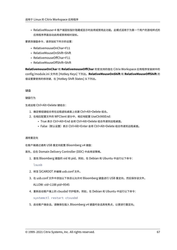• RelativeMouse=4 客户端鼠标指针隐藏或显示时启用或禁用此功能。此模式适用于为第一个用户的游戏样式的 应用程序界面自动启用或禁用相对鼠标。

要更改键盘命令,请添加如下所示的设置:

- RelativemouseOnChar=F11
- RelativeMouseOnShift=Shift
- RelativemouseOffChar=F11
- RelativeMouseOffShift=Shift

**RelativemouseOnChar** 和 **RelativemouseOffChar** 的受支持的值在 Citrix Workspace 应用程序安装树中的 config/module.ini 文件的 [Hotkey Keys] 下列出。**RelativeMouseOnShift** 和 **RelativeMouseOffShift** 的 值设置要使用的修改键,在 [Hotkey Shift States] 头下列出。

键盘

# 键盘行为

生成远程 Ctrl+Alt+Delete 键组合:

- 1. 确定哪组键组合将在远程虚拟桌面上创建 Ctrl+Alt+Delete 组合。
- 2. 在相应配置文件的 WFClient 部分中,相应地配置 UseCtrlAltEnd:
	- True 表示 Ctrl+Alt+End 会将 Ctrl+Alt+Delete 组合传递到远程桌面。
	- False(默认设置)表示 Ctrl+Alt+Enter 会将 Ctrl+Alt+Delete 组合传递到远程桌面。

# 通用重定向

在客户端通过通用 USB 重定向配置 Bloomberg v4 键盘:

- 首先,应在 Domain Delivery Controller (DDC) 中启用该策略。
	- 1. 查找 Bloomberg 键盘的 vid 和 pid。例如,在 Debian 和 Ubuntu 中运行以下命令:

lsusb

- 2. 转至 \$ICAROOT 并编辑 usb.conf 文件。
- 3. 在 usb.conf 文件中添加以下条目以允许对 Bloomberg 键盘进行 USB 重定向, 然后保存该文件。 ALLOW: vid=1188 pid=9545
- 4. 重新启动客户端上的 ctxusbd 守护程序。例如,在 Debian 和 Ubuntu 中运行以下命令:

systemctl restart ctxusbd

5. 启动客户端会话。请确保在插入 Bloomberg v4 键盘时会话具有焦点,以便进行重定向。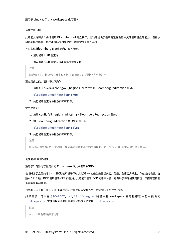#### 选择性重定向

此功能允许跨多个会话使用 Bloomberg v4 键盘接口。此功能提供了在所有远程会话中灵活使用键盘的能力,但指纹 和音频接口除外。指纹和音频接口像以前一样重定向到单个会话。

可以实现 Bloomberg 键盘重定向,如下所示:

- 通过通用 USB 重定向
- 通过通用 USB 重定向以及选择性擦除支持

注意:

默认情况下, 此功能对 x86 和 x64 平台启用, 对 ARMHF 平台禁用。

#### 要启用此功能,请执行以下操作:

1. 请按如下所示编辑 config/All\_Regions.ini 文件中的 BloombergRedirection 部分。

BloombergRedirection=**true**

2. 执行通用重定向中提及的所有步骤。

#### 禁用此功能:

- 1. 编辑 config/all\_regions.ini 文件中的 BloombergRedirection 部分。
- 2. 将 BloombergRedirection 值设置为 false。

BloombergRedirection=**false**

3. 执行通用重定向中提及的所有步骤。

注意:

将该值设置为 false 会将功能还原到早期版本的客户端中出现的行为,即所有接口都重定向到单个会话。

#### 浏览器内容重定向

#### 适用于浏览器内容重定向的 **Chromium** 嵌入式框架 **(CEF)**

在 1912 版之前的版本中,BCR 使用基于 WebkitGTK+ 的叠加来呈现内容。但是,在瘦客户端上,存在性能问题。自 版本 1912 起,BCR 使用基于 CEF 的叠加。此功能丰富了 BCR 的用户体验。它有助于将网络使用情况、页面处理和图 形渲染卸载到端点。

自版本 2106 起,基于 CEF 的浏览器内容重定向齐全起作用。默认情况下启用该功能。

如 果 需 要, 可 以 在 \$ICAROOT/cef/libffmpeg.so 路 径 中 将 Workspace 应 用 程 序 软 件 包 中 提 供 的 libffmpeg.so 文件替换为具有所需编解码器的合适文件 libffmpeg.so。

注意:

armhf 平台不支持此功能。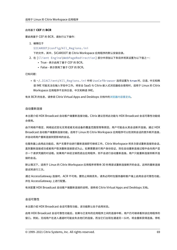#### 启用基于 **CEF** 的 **BCR**

要启用基于 CEF 的 BCR,请执行以下操作:

1. 编辑位于

\$ICAROOT/config/All\_Regions.ini

下的文件,其中,\$ICAROOT 是 Citrix Workspace 应用程序的默认安装目录。

- 2. 在 [Client Engine\WebPageRedirection] 部分中添加以下条目并将其设置为以下值之一:
	- True ‑ 表示启用了基于 CEF 的 BCR。
	- False ‑ 表示禁用了基于 CEF 的 BCR。

已知问题:

• 在 ~/.ICAClient/All\_Regions.ini 中将 UseCefBrowser 选项设置为 **true** 时,日语、中文和韩 语 IME 可能无法在输入字段中工作。将安全 SaaS 与 Citrix 嵌入式浏览器结合使用时,适用于 Linux 的 Citrix Workspace 应用程序不支持日语、中文和韩语 IME。

有关 BCR 的信息,请参阅 Citrix Virtual Apps and Desktops 文档中的浏览器内容重定向。

#### 自动重新连接

本主题介绍 HDX Broadcast 自动客户端重新连接功能。Citrix 建议您将此功能与 HDX Broadcast 会话可靠性功能结 合使用。

由于网络不稳定、网络延迟变化无常或者无线设备的覆盖范围受限等原因,用户可能会从其会话断开连接。通过 HDX Broadcast 自动客户端重新连接功能,适用于 Linux 的 Citrix Workspace 应用程序可以检测到会话的意外断开连接, 并自动将用户重新连接到受影响的会话。

在服务器上启用此功能后,用户无需手动进行重新连接即可继续工作。Citrix Workspace 将多次尝试重新连接到会话, 直到重新连接成功或者用户取消重新连接尝试为止。如果需要进行用户身份验证,则在自动重新连接过程中会向用户显 示一个请求凭据的对话框。如果用户未经注销而退出应用程序,则不会进行自动重新连接。用户只能重新连接到断开连 接的会话。

默认情况下,适用于 Linux 的 Citrix Workspace 应用程序将等待 30 秒再尝试重新连接断开的会话,这样的重新连接 尝试将进行三次。

通过 AccessGateway 连接时,ACR 不可用。要防止网络丢失,请务必同时在服务器和客户端上启用会话可靠性功能, 并在 AccessGateway 上进行配置。

有关配置 HDX Broadcast 自动客户端重新连接的说明,请参阅 Citrix Virtual Apps and Desktops 文档。

#### 会话可靠性

本主题介绍 HDX Broadcast 会话可靠性功能,该功能默认处于启用状态。

启用 HDX Broadcast 会话可靠性功能后,如果与已发布的应用程序之间的连接中断,用户仍可继续看到该应用程序的 窗口。例如,无线用户在进入通道时可能会失去他们的连接,而当它们出现在通道另一头时,将会重新获得连接。停机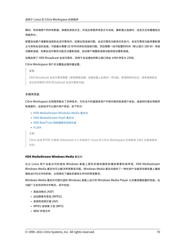期间,将存储用户的所有数据、按键及其他交互,并且应用程序将显示为冻结。重新建立连接时,这些交互将重播至应 用程序中。

配置自动客户端重新连接和会话可靠性时,如果出现连接问题,会话可靠性功能将优先执行。会话可靠性功能将重新建 立与现有会话的连接。可能最长需要 25 秒时间来检测连接问题。然后需要一段可配置的时间(默认值为 180 秒)来尝 试重新连接。如果会话可靠性功能无法重新连接,自动客户端重新连接功能将尝试重新连接。

如果启用了 HDX Broadcast 会话可靠性,则用于会话通信的默认端口将由 1494 转变为 2598。

Citrix Workspace 用户无法覆盖此服务器设置。

重要:

HDX Broadcast 会话可靠性需要(使用策略设置)在服务器上启用另一项功能,即通用网关协议。禁用通用网关 协议还将禁用 HDX Broadcast 会话可靠性功能。

# 多媒体性能

Citrix Workspace 应用程序融合了多种技术,可在当今的富媒体用户环境中提供高清用户体验。连接到托管应用程序 和桌面时,这些技术可以提升用户体验,如下所示:

- HDX MediaStream Windows Media 重定向
- HDX MediaStream Flash 重定向
- HDX RealTime 网络摄像机视频压缩
- [H.264](https://docs.citrix.com/zh-cn/citrix-workspace-app-for-linux/configure-xenapp.html#hdx-mediastream-windows-media-redirection)

注[意:](https://docs.citrix.com/zh-cn/citrix-workspace-app-for-linux/configure-xenapp.html#hdx-mediastream-flash-redirection)

Cit[rix](https://docs.citrix.com/zh-cn/citrix-workspace-app-for-linux/configure-xenapp.html#h264) 支持 RTOP 与使用 [GStreamer 0](https://docs.citrix.com/zh-cn/citrix-workspace-app-for-linux/configure-xenapp.html#hdx-realtime-webcam-video-compression).1 的适用于 Linux 的 Citrix Workspace 应用程序 1901 及更高版本 共存。

# **HDX MediaStream Windows Media** 重定向

在从 Linux 用户设备访问的虚拟 Windows 桌面上提供多媒体捕获和播放需要较高带宽,HDX Mediastream Windows Media 重定向可以解决带宽需求问题。Windows Media 重定向提供了一种在用户设备而非服务器上播放 媒体运行时文件的机制,从而降低了播放多媒体文件时的带宽要求。

Windows Media 重定向可提升虚拟 Windows 桌面上运行的 Windows Media Player 以及兼容播放器的性能。此 功能广泛支持多种文件格式,其中包括:

- 高级流格式 (ASF)
- 运动图像专家组 (MPEG)
- 音频和视频交错 (AVI)
- MPEG 音频第 3 层 (MP3)
- WAV 声音文件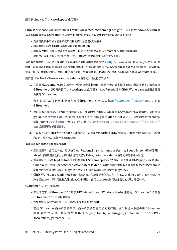Citrix Workspace 应用程序中包含基于文本的转换表 MediaStreamingConfig.tbl, 用于将 Windows 特定的媒体 格式 GUID 转换成 GStreamer 可以使用的 MIME 类型。可以更新此转换表以执行以下操作:

- 向此转换表中添加之前未知或不支持的媒体过滤器/文件格式。
- 阻止存在问题的 GUID 以强制回退到服务器端呈现。
- 向现有 MIME 字符串中添加更多参数,以允许通过更改流的 GStreamer 参数解决格式问题。
- 根据用户设备上的 GStreamer 支持的媒体文件类型管理和部署自定义配置。

通过客户端提取,还可以允许用户设备直接通过流技术推送来自格式为 http://、<mms://> 或 <rtsp://> 的 URL 的 媒体,而非通过 Citrix 服务器利用流技术推送媒体。服务器负责将用户设备定向到媒体以及发送控制命令(包括播放、 暂停、停止、音量和跳转)。但是,服务器不处理任何媒体数据。此功能要求设备上具有高级多媒体 GStreamer 库。

要实现 HDX MediaStream Windows Media 重定向,请执行以下操[作:](http://)

1. 在需要 GStreamer 0.10 的每个用户设备上安装此软件,这是一个开源多媒体框架。通常情况下,请先安装 GStreamer,然后再安装 Citrix Workspace 应用程序,以允许安装过程将 Citrix Workspace 应用程序配置 为使用 GStreamer。

大 多 数 Linux 发 行 版 本 中 都 包 含 GStreamer。 也 可 以 从 http://gstreamer.freedesktop.org 下 载 GStreamer。

- 2. 要启用客户端提取,请为用户将要在设备上播放的文件类型安装所需的 GStreamer 协议源插件。可以使用 gst-launch 实用程序验证插件是否已安装且可运行。如果 gst-launch 可以播放 URL, 则所需的插件即可运行。 例如,请运行 gst-launch-0.10 playbin2 uri=<http://example-source/file.wmv> 并 检查视频是否能够正确播放。
- 3. 在设备上安装 Citrix Workspace 应用程序时,如果要使用 tarball 脚本,请选择 GStreamer 选项 (对于.deb 和.rpm 软件包,此操作将自动完成)。

请注意与客户端提取功能有关的事项:

- 默认情况下,启用此功能。可以使用 All-Regions.ini 的 Multimedia 部分中的 SpeedScreenMMACSFEnabled 选项禁用此功能。如果将此选项设置为 False, Windows Media 重定向将用于媒体处理。
- 默认情况下,所有 MediaStream 功能都使用 GStreamer playbin2 协议。可以使用 All‑Regions.ini 的 Mul‑ timedia 部分中的 SpeedScreenMMAEnablePlaybin2 选项将除客户端提取以外的所有 MediaStream 功 能使用的协议还原到较早的 playbin 协议,客户端提取功能则继续使用 playbin2。
- Citrix Workspace 应用程序无法识别播放列表文件或流配置信息文件,例如.asx 或.nsc 文件。如有可能,用 户必须指定一个不引用这些文件类型的标准 URL。使用 gst‑launch 可验证指定的 URL 是否有效。

GStreamer 1.0 的注意事项:

- 默认情况下,GStreamer 0.10 用于 HDX MediaStream Windows Media 重定向。GStreamer 1.0 仅在 GStreamer 0.10 不可用时使用。
- 如果要使用 GStreamer 1.0,请按照下面的说明进行操作:
- 1. 查找 GStreamer 插件的安装目录。插件的安装位置因您的发行版、操作系统体系结构和 GStreamer 的 安 装 方 式 而 异。 典 型 的 安 装 路 径 为 /usr/lib/x86\_64‑linux‑gnu/gstreamer‑1.0 or \$HOME/ .local/share/gstreamer‑1.0。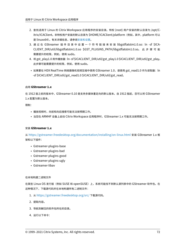- 2. 查找适用于 Linux 的 Citrix Workspace 应用程序的安装目录。特权 (root) 用户安装的默认目录为 /opt/C‑ itrix/ICAClient。非特权用户安装的默认目录为 \$HOME/ICAClient/platform (例如, 其中, platform 可以 是 linuxx64)。有关详细信息,请参阅安装和设置。
- 3. 通过在 GStreamer 插件目录中设置一个符号链接来安装 libgstflatstm1.0.so: ln -sf \$ICA-CLIENT\_DIR/util/libgstflatstm1.0.so \$GST\_PLUGINS\_PATH/libgstflatstm1.0.so。 此 步 骤 可 能 需要提升的权限,例如,使用 sudo。
- 4. 将 gst\_play1.0 用作播放器:ln ‑sf \$ICACLIENT\_DIR/util/gst\_play1.0 \$ICACLIENT\_DIR/util/gst\_play。 此步骤可能需要提升的权限,例如,使用 sudo。
- 如果要在 HDX RealTime 网络摄像机视频压缩中使用 GStreamer 1.0,请使用 gst\_read1.0 作为读取器: In ‑sf \$ICACLIENT\_DIR/util/gst\_read1.0 \$ICACLIENT\_DIR/util/gst\_read。

# 启用 **GStreamer 1.x**

在 1912 版之前的版本中, GStreamer 0.10 是支持多媒体重定向的默认版本。自 1912 版起, 您可以将 GStreamer 1.x 配置为默认版本。

限制:

- 播放视频时,向前和向后搜索可能无法按预期工作。
- 当您在 ARMHF 设备上启动 Citrix Workspace 应用程序时,GStreamer 1.x 可能无法按预期工作。

# 安装 **GStreamer 1.x**

从 https://gstreamer.freedesktop.org/documentation/installing/on‑linux.html 安装 GStreamer 1.x 框 架和以下插件:

- Gstreamer-plugins-base
- Gstreamer-plugins-bad
- Gstreamer‑plugins‑good
- Gstreamer-plugins-ugly
- Gstreamer‑libav

## 在本地构建二进制文件

在某些 Linux OS 发行版(例如 SUSE 和 openSUSE)上,系统可能找不到默认源列表中的 GStreamer 软件包。在 这种情况下,下载源代码并在本地构建所有二进制文件:

- 1. 从 https://gstreamer.freedesktop.org/src/ 下载源代码。
- 2. 提取内容。
- 3. 导[航到解压的软件包所在的目录。](https://gstreamer.freedesktop.org/src/)
- 4. 运行以下命令: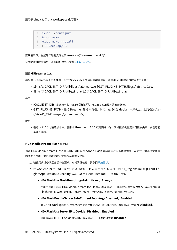- 1 \$sudo ./configure
- 2 \$sudo make
- 3 \$sudo make install
- 4 <!--NeedCopy-->

默认情况下,生成的二进制文件位于 */usr/local/lib/gstreamer‑1.0/*。

有关故障排除的信息,请参阅知识中心文章 CTX224988。

# 配置 **GStreamer 1.x**

要配置 GStreamer 1.x 以便与 Citrix Wor[kspace](https://support.citrix.com/article/CTX224988) 应用程序结合使用,请使用 shell 提示符应用以下配置:

- \$ln ‑sf \$ICACLIENT\_DIR/util/libgstflatstm1.0.so \$GST\_PLUGINS\_PATH/libgstflatstm1.0.so.
- \$In-sf \$ICACLIENT\_DIR/util/gst\_play1.0 \$ICACLIENT\_DIR/util/gst\_play

其中,

- ICACLIENT\_DIR ‑ 是适用于 Linux 的 Citrix Workspace 应用程序的安装路径。
- GST\_PLUGINS\_PATH ‑ 是 GStreamer 的插件路径。例如,在 64 位 debian 计算机上,此路径为 */us‑ r/lib/x86\_64‑linux‑gnu/gstreamer‑1.0/*。

限制:

• 在版本 2106 之前的版本中,使用 GStreamer 1.15.1 或更高版本时,网络摄像机重定向可能会失败,会话可能 会断开连接。

# **HDX MediaStream Flash** 重定向

通过 HDX MediaStream Flash 重定向,可以实现 Adobe Flash 内容在用户设备本地播放,从而在不提高带宽要求 的情况下为用户提供高清晰度的音频和视频播放效果。

- 1. 确保用户设备满足各项功能要求。有关详细信息,请参阅系统要求。
- 2. 在 wfclient.ini 的 [WFClient] 部分 (适用于特定用户的所有连接) 或 All\_Regions.ini 的 [Client Engine\Application Launching] 部分 (适用于环境中的所有用户) 添加以下参数:
	- **HDXFlashUseFlashRemoting=Ask**:**Never**;**[Alwa](https://docs.citrix.com/zh-cn/citrix-workspace-app-for-linux/system-requirements.html)ys**

在用户设备上启用 HDX MediaStream for Flash。默认情况下,此参数设置为 **Never**,当连接到包含 Flash 内容的 Web 页面时,将向用户显示一个对话框,询问用户是否优化该内容。

• **HDXFlashEnableServerSideContentFetching=Disabled**;**Enabled**

对 Citrix Workspace 应用程序启用或禁用服务器端内容提取功能。默认情况下设置为 **Disabled**。

• **HDXFlashUseServerHttpCookie=Disabled**;**Enabled**

启用或禁用 HTTP Cookie 重定向。默认情况下,此参数设置为 **Disabled**。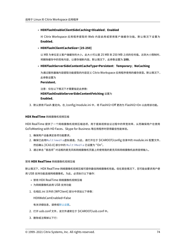# • **HDXFlashEnableClientSideCaching=Disabled**;**Enabled**

对 Citrix Workspace 应用程序提取的 Web 内容启用或禁用客户端缓存功能。默认情况下设置为 **Enabled**。

# • **HDXFlashClientCacheSize= [25‑250]**

以 MB 为单位定义客户端缓存的大小。此大小可以是 25 MB 到 250 MB 之间的任何值。达到大小限制时, 将删除缓存中的现有内容,以便存储新内容。默认情况下,此参数设置为 **100**。

# • **HDXFlashServerSideContentCacheType=Persistent**:**Temporary**;**NoCaching**

为通过服务器端内容提取功能提取的内容定义 Citrix Workspace 应用程序使用的缓存类型。默认情况下, 此参数设置为

**Persistent**。

注意:仅在以下情况下才需要指定此参数: **HDXFlashEnableServerSideContentFetching** 设置为

**Enabled**。

3. 默认禁用 Flash 重定向。在 /config/module.ini 中,将 FlashV2=Off 更改为 FlashV2=On 以启用该功能。

# **HDX RealTime** 网络摄像机视频压缩

HDX RealTime 提供了一个网络摄像机视频压缩选项,用于提高视频会议过程中的带宽效率,从而确保用户在使用 GoToMeeting with HD Faces、Skype for Business 等应用程序时获得最佳性能体验。

- 1. 确保用户设备满足各项功能要求。
- 2. 确保已启用Multimedia虚拟通道。为此,请打开位于 \$ICAROOT/config 目录中的 module.ini 配置文件, 然后确认 [ICA3.0] 部分中的 MultiMedia 已设置为 "On"。
- 3. 通过单击 "首选项" 对话框的麦克风和网络摄像机页面上的使用我的麦克风和网络摄像机启用音频输入。

### 禁用 **HDX RealTime** 网络摄像机视频压缩

默认情况下,HDX RealTime 网络摄像机视频压缩可提供最佳网络摄像机性能。但在某些情况下,您可能会要求用户使 用 USB 支持功能连接网络摄像机。为此,必须执行以下操作:

- 禁用 HDX RealTime 网络摄像机视频压缩
- 为网络摄像机启用 USB 支持功能
- 1. 在相应.ini 文件的 [WFClient] 部分中添加以下参数:

HDXWebCamEnabled=False

有关详细信息,请参阅默认设置。

- 2. 打开 usb.conf 文件,该文件通常位于 \$ICAROOT/usb.conf 中。
- 3. 删除或注释掉以下行: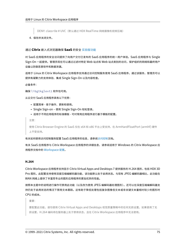DENY: class=0e # UVC (默认通过 HDX RealTime 网络摄像机视频压缩)

4. 保存并关闭文件。

# 通过 **Citrix** 嵌入式浏览器确保 **SaaS** 的安全 实验版功能

对 SaaS 应用程序的安全访问提供了向用户交付已发布的 SaaS 应用程序的统一用户体验。SaaS 应用程序与 Single Sign-On 一起提供。管理员现在可以通过过滤对特定 [Web](https://docs.citrix.com/zh-cn/citrix-workspace-app-for-linux/whats-new.html#experimental-features) 站点和 Web 站点类别的访问,保护组织的网络和最终用户 设备以防御恶意软件和数据泄漏。

适用于 Linux 的 Citrix Workspace 应用程序支持通过访问控制服务使用 SaaS 应用程序。通过该服务,管理员可以 提供有凝聚力的支持体验、集成 Single Sign-On 以及内容检查。

必备条件:

确保 libgtkglext1 软件包可用。

从云交付 SaaS 应用程序具有以下优势:

- 配置简单 ‑ 易于操作、更新和使用。
- Single Sign-on 使用 Single Sign-On 轻松登录。
- 适用于不同应用程序的标准模板 ‑ 可对常用应用程序进行基于模板的配置。

注意:

使用 Citrix Browser Engine 的 SaaS 仅在 x64 和 x86 平台上受支持,在 ArmHardFloatPort (armhf) 硬件 上不受支持。

有关如何使用访问控制服务配置 SaaS 应用程序的信息,请参阅访问控制文档。

有关 SaaS 应用程序与 Citrix Workspace 应用程序的详细信息,请参阅适用于 Windows 的 Citrix Workspace 应 用程序文档中的 Workspace 配置。

# **H.264**

Citrix Workspace 应用程序支持显示 Citrix Virtual Apps and Desktops 7 提供服务的 H.264 图形,包括 HDX 3D Pro 图形。此配置支持使用深度压缩编解码器功能,该功能默认处于启用状态。与现有 JPEG 编解码器相比,此功能在 WAN 网络上提供了丰富而专业的图形应用程序的更加优异的性能。

按照本主题中的说明进行操作可禁用此功能(以及改为使用 JPEG 编解码器处理图形)。还可以在深度压缩编解码器支 持仍处于启用状态的情况下禁用文本跟踪。这有助于降低处理包括复杂图像但文本或非关键文本量相对较少的图形时 CPU 的成本。

重要:

要配置此功能,请勿使用 Citrix Virtual Apps and Desktops 视觉质量策略中的任何无损设置。如果使用了无 损设置,H.264 编码将在服务器上处于禁用状态,且在 Citrix Workspace 应用程序中无法使用。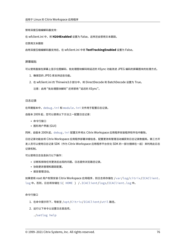禁用深度压缩编解码器支持:

在 wfclient.ini 中,将 **H264Enabled** 设置为 False。这样还会禁用文本跟踪。

仅禁用文本跟踪

启用深度压缩编解码器支持后,在 wfclient.ini 中将 **TextTrackingEnabled** 设置为 False。

#### 屏幕磁贴

可以使用直接在屏幕上显示位图解码、批处理图块解码和延迟的 XSync 功能改进 JPEG 编码的屏幕图块的处理方式。

- 1. 确保您的 JPEG 库支持这些功能。
- 2. 在 wfclient.ini 的 Thinwire3.0 部分中,将 DirectDecode 和 BatchDecode 设置为 True。

注意:启用 "批处理图块解码" 还将禁用 "延迟的 XSync"。

#### 日志记录

在早期版本中,debug.ini 和 module.ini 文件用于配置日志记录。

自版本 2009 起,您可以使用以下方法之一配置日志记录:

- 命令行接口
- 图形用户界面 (GUI)

同样,自版本 2009 起,debug.ini 配置文件将从 Citrix Workspace 应用程序安装程序软件包中删除。

日志记录功能会将 Citrix Workspace 应用程序部署详细信息、配置更改和管理活动捕获到日志记录数据库。第三方开 发人员可以使用日志记录 SDK (作为 Citrix Workspace 应用程序平台优化 SDK 的一部分捆绑在一起) 来利用此日志 记录机制。

可以使用日志信息执行以下操作:

- 诊断和排除任何更改后出现的问题。日志提供浏览路径记录。
- 协助更改管理和跟踪配置。
- 报告管理活动。

如果使用 root 用户权限安装 Citrix Workspace 应用程序,则日志将存储在 /var/log/citrix/ICAClient. log 中。否则,日志将存储在 \${ HOME } /.ICAClient/logs/ICAClient.log 中。

命令行接口

- 1. 在命令提示符下,导航至 /opt/Citrix/ICAClient/util 路径。
- 2. 运行以下命令以设置日志首选项。

./setlog help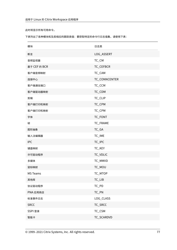此时将显示所有可用命令。

下表列出了各种模块和及其相应的跟踪类值:要获取特定的命令行日志值集,请使用下表:

| 模块              | 日志类           |
|-----------------|---------------|
| 断言              | LOG_ASSERT    |
| 音频监视器           | TC_CM         |
| 基于 CEF 的 BCR    | TC_CEFBCR     |
| 客户端音频映射         | TC_CAM        |
| 连接中心            | TC_CONNCENTER |
| 客户端通信端口         | TC_CCM        |
| 客户端驱动器映射        | TC_CDM        |
| 剪辑              | TC_CLIP       |
| 客户端打印机映射        | TC_CPM        |
| 客户端打印机映射        | TC_CPM        |
| 字体              | TC_FONT       |
| 帧               | TC_FRAME      |
| 图形抽象            | TC_GA         |
| 输入法编辑器          | TC_IME        |
| <b>IPC</b>      | TC_IPC        |
| 键盘映射            | TC_KEY        |
| 许可驱动程序          | TC_VDLIC      |
| 多媒体             | TC_MMVD       |
| 鼠标映射            | TC_MOU        |
| <b>MS Teams</b> | TC_MTOP       |
| 其他库             | TC_LIB        |
| 协议驱动程序          | $TC_PD$       |
| PNA 应用商店        | TC_PN         |
| 标准事件日志          | LOG_CLASS     |
| <b>SRCC</b>     | TC_SRCC       |
| SSPI 登录         | TC_CSM        |
| 智能卡             | TC_SCARDVD    |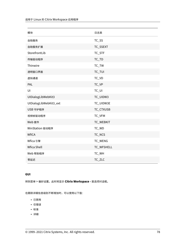| 模块                     | 日志类        |
|------------------------|------------|
| 自助服务                   | TC_SS      |
| 自助服务扩展                 | TC_SSEXT   |
| StorefrontLib          | TC_STF     |
| 传输驱动程序                 | TC_TD      |
| Thinwire               | TC_TW      |
| 透明窗口界面                 | TC_TUI     |
| 虚拟通道                   | TC_VD      |
| PAL                    | TC_VP      |
| UI                     | $TC_U$     |
| UIDialogLibWebKit3     | TC_UIDW3   |
| UIDialogLibWebKit3_ext | TC_UIDW3E  |
| USB 守护程序               | TC_CTXUSB  |
| 视频帧驱动程序                | TC_VFM     |
| Web 套件                 | TC_WEBKIT  |
| WinStation 驱动程序        | TC_WD      |
| <b>WfICA</b>           | TC_NCS     |
| Wfica 引擎               | TC_WENG    |
| Wfica Shell            | TC_WFSHELL |
| Web 帮助程序               | TC_WH      |
| 零延迟                    | TC_ZLC     |
|                        |            |

# **GUI**

转到菜单 > 偏好设置。此时将显示 **Citrix Workspace ‑** 首选项对话框。

在跟踪详细信息级别不断增加时,可以使用以下值:

- 已禁用
- 仅错误
- 标准
- 详细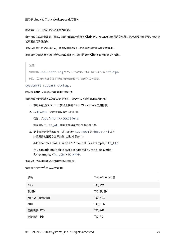默认情况下,日志记录选项设置为普通。

由于可以生成大量数据,因此,跟踪可能会严重影响 Citrix Workspace 应用程序的性能。除非故障转移需要,否则建 议不要使用详细级别。

选择所需的日志记录级别后,单击保存并关闭。这些更改将在会话中动态应用。

单击日志记录选项下拉菜单旁边的设置图标。此时将显示 **Citrix** 日志首选项对话框。

注意:

如果删除 ICAClient.log 文件,则必须重新启动日志记录服务 ctxlogd。

例如,如果您使用的是系统支持的安装程序,请运行以下命令:

systemctl restart ctxlogd。

在版本 **2006** 及更早版本中启用日志记录:

如果您使用的是版本 2006 及更早版本,请使用以下过程启用日志记录:

- 1. 下载并在您的 Linux 计算机上安装 Citrix Workspace 应用程序。
- 2. 将 ICAROOT 环境变量设置为安装位置。

例如,/opt/Citrix/ICAClient。

默认情况下,TC\_ALL 类处于启用状态以提供所有跟踪。

3. 要收集特定模块的日志,请打开位于 \$ICAROOT 的 debug.ini 文件 并将所需的跟踪参数添加到 [wfica] 部分中。

Add the trace classes with a "+" symbol. For example, +TC\_LIB.

You can add multiple classes separated by the pipe symbol. For example, +TC\_LIB|+TC\_MMVD.

下表列出了各种模块和及其相应的跟踪类值:

请参照下表为 wfica 部分设置值:

| 模块           | TraceClasses 值 |
|--------------|----------------|
| 图形           | TC_TW          |
| <b>EUEM</b>  | TC_EUEM        |
| WFICA (会话启动) | TC_NCS         |
| 打印           | TC_CPM         |
| 连接顺序 - WD    | TC_WD          |
| 连接顺序 - PD    | TC_PD          |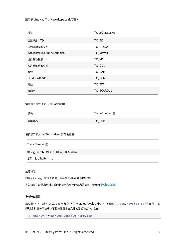| 模块              | TraceClasses 值 |
|-----------------|----------------|
| 连接顺序 - TD       | TC_TD          |
| 与代理相关的文件        | TC_PROXY       |
| 多媒体虚拟驱动程序/网络摄像机 | TC_MMVD        |
| 虚拟驱动程序          | TC_VD          |
| 客户端驱动器映射        | TC_CDM         |
| 音频              | TC_CAM         |
| COM (通信端口)      | TC_CCM         |
| 无缝              | TC_TWI         |
| 智能卡             | TC_SCARDVD     |

请参照下表为连接中心部分设置值:

| 模块   | TraceClasses 值 |
|------|----------------|
| 连接中心 | TC_CSM         |

请参照下表为 setWebHelper 部分设置值:

| TraceClasses 值                  |
|---------------------------------|
| 将 logSwitch 设置为 1 (启用) 或 0 (禁用) |
| 示例:logSwitch = 1                |

### 故障排除:

如果 ctxlogd 变得无响应,则会在 syslog 中跟踪日志。

有关获取在后续启动时生成的新日志和更新的日志的信息,请参阅 Syslog 配置。

# **Syslog** 配置

默认情况下,所有 syslog 日志都保存在 /var/log/syslog 中。可以通过在 /etc/rsyslog.conf 文件中的 [RULES] 部分下编辑以下行来配置日志文件的路径和名称。例如,

```
1 user.* -/var/log/logfile_name.log
```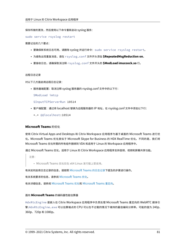保存所做的更改,然后使用以下命令重新启动 syslog 服务:

sudo service rsyslog restart

需要记住的几个要点:

- 要确保新系统日志可用,请删除 syslog 并运行命令:sudo service rsyslog restart。
- 为避免出现重复消息,请在 rsyslog.conf 文件开头添加 **\$RepeatedMsgReduction on**。
- 要接收日志,请确保取消注释 rsyslog.conf 文件开头的 **\$ModLoad imuxsock.so** 行。

### 远程日志记录

对以下几方面启用远程日志记录:

• 服务器端配置:取消注释 syslog 服务器的 rsyslog.conf 文件中的以下行:

\$ModLoad imtcp

\$InputTCPServerRun 10514

- 客户端配置: 通过将 localhost 替换为远程服务器的 IP 地址, 在 rsyslog.conf 文件中添加以下行:
	- \*.\* @@localhost:10514

# **Microsoft Teams** 的优化

使用 Citrix Virtual Apps and Desktops 和 Citrix Workspace 应用程序为基于桌面的 Microsoft Teams 进行优 化。Microsoft Teams 优化类似于 Microsoft Skype for Business 的 HDX RealTime 优化。不同的是,我们将 Microsoft Teams 优化所需的所有组件捆绑到 VDA 和适用于 Linux 的 Workspace 应用程序中。

通过 Microsoft Teams 优化,适用于 Linux 的 Citrix Workspace 应用程序支持音频、视频和屏幕共享功能。

注意:

• Microsoft Teams 优化仅在 x64 Linux 发行版上受支持。

有关如何启用日志记录的信息,请按照 Microsoft Teams 的日志记录下提及的步骤进行操作。

有关系统要求的信息,请参阅 Microsoft Teams 优化。

有关详细信息,请参阅 Microsoft Teams 优化和 [Microsoft Teams](https://docs.citrix.com/zh-cn/citrix-workspace-app-for-linux/configure-xenapp.html#logging-for-microsoft-teams) 重定向。

### 面向 **Microsoft Teams** [的编码器性能估算器](https://docs.citrix.com/zh-cn/citrix-virtual-apps-desktops/multimedia/opt-ms-teams.html)

HdxRtcEngine 是嵌入在 Citrix Workspace 应用程序中负责处理 Microsoft Teams 重定向的 WebRTC 媒体引 擎.HdxRtcEngine.exe 可以估算端点的 CPU 可以在不过载的情况下维持的最佳编码分辨率。可能的值为 240p、 360p、720p 和 1080p。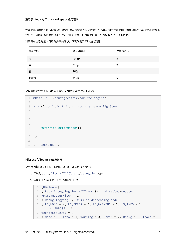性能估算过程将利用宏块代码来确定可通过特定端点实现的最佳分辨率。调用设置期间的编解码器协商包括尽可能高的 分辨率。编解码器协商可以是对等方之间的协商,也可以是对等方与会议服务器之间的协商。

对于具有自己的最大可用分辨率的端点,下表列出了四种性能类别:

| 端点性能 | 最大分辨率 | 注册表项值 |
|------|-------|-------|
| 快    | 1080p | 3     |
| 中    | 720p  | 2     |
| 慢    | 360p  |       |
| 非常慢  | 240p  | 0     |

要设置编码分辨率值(例如 360p),请从终端运行以下命令:

```
1 mkdir -p ~/.config/citrix/hdx_rtc_engine/
2
3 vim ~/.config/citrix/hdx_rtc_engine/config.json
4
5 {
6
7
8 "OverridePerformance":1
Q10 }
11
12 <!--NeedCopy-->
```
### **Microsoft Teams** 的日志记录

要启用 Microsoft Teams 的日志记录,请执行以下操作:

- 1. 导航到 /opt/Citrix/ICAClient/debug.ini 文件。
- 2. 请按如下所示修改 [HDXTeams] 部分:

```
1 [HDXTeams]
2 ; Retail logging for HDXTeams 0/1 = disabled/enabled
3 HDXTeamsLogSwitch = 1
4 ; Debug logging; , It is in decreasing order
5 ; LS_NONE = 4, LS_ERROR = 3, LS_WARNING = 2, LS_INFO = 1,
      LS_VERBOSE = 0
6 WebrtcLogLevel = 0
7; None = 5, Info = 4, Warning = 3, Error = 2, Debug = 1, Trace = 0
```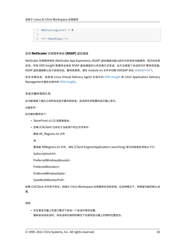```
8 WebrpcLogLevel = 0
9
10 <!--NeedCopy-->
```
# 支持 **NetScaler** 应用程序体验 **(NSAP)** 虚拟通道

NetScaler 应用程序体验 (NetScaler App Experience, NSAP) 虚拟通道功能以前作为实验性功能提供,现已完全受 支持。所有 HDX Insight 数据完全来自 NSAP 虚拟通道并以未压缩方式发送。此方法提高了会话的可扩展性和性能。 NSAP 虚拟通道默认处于启用状态。要将其禁用,请在 module.ini 文件中切换 VDNSAP 标志 VDNSAP=Off。

有关详细信息,请参阅 Linux Virtual Delivery Agent 文档中的 HDX Insight 和 Citrix Application Delivery Management 服务文档中的 HDX Insight。

### 多显示器布局持久性

此功能保留了端点之间的会话显示器布局信息。会话将在所配置的显示器上显示。

必备条件:

此功能的要求如下:

- StoreFront v3.15 或更高版本。
- 如果.ICAClient 已存在于当前用户的主文件夹中:

删除 All\_Regions.ini 文件

或

要保留 AllRegions.ini 文件,请在 [Client Engine\Application Launching] 部分的结尾处添加以下行:

SubscriptionUrl=

PreferredWindowsBounds=

PreferredMonitors=

PreferredWindowState=

SaveMultiMonitorPref=

如果.ICAClient 文件夹不存在,则指示 Citrix Workspace 应用程序的全新安装。在这种情况下,将保留功能的默认设 置。

用例

• 在任意显示器上在窗口模式下启动一个会话并保存设置。 重新启动该会话时,该会话将在相同的模式下在相同显示器上的相同位置显示。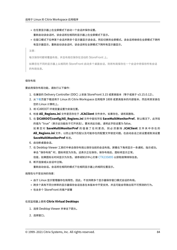- 在任意显示器上在全屏模式下启动一个会话并保存设置。 重新启动该会话时,该会话将在相同的显示器上在全屏模式下显示。
- 在窗口模式下拉伸某个会话并跨多个显示器显示该会话,然后切换到全屏模式。该会话将继续在全屏模式下跨所 有显示器显示。重新启动该会话时,该会话将在全屏模式下跨所有显示器显示。

注意:

每次保存时都将覆盖布局,并且布局仅保存在活动的 StoreFront 上。

如果您在不同的显示器上从相同的 StoreFront 启动多个桌面会话,则将布局保存在一个会话中将保存所有会话 的布局信息。

### 保存布局

要启用保存布局功能,请执行以下操作:

- 1. 在兼容的 Delivery Controller (DDC) 上安装 StoreFront 3.15 或更高版本(等于或高于 v3.15.0.12)。
- 2. 从下载页面下载适用于 Linux 的 Citrix Workspace 应用程序 1808 或更高版本的内部版本,然后将其安装在 您的 Linux 计算机上。
- 3. 将 ICAROOT 环境变量设置为安装位置。
- 4. 检[查](https://www.citrix.com/downloads/) **All\_Regions.ini** 文件是否存在于 **.ICAClient** 文件夹中。如果存在,请将其删除。
- 5. 在 **\$ICAROOT/config/All\_Regions.ini** 文件中查找字段 **SaveMultiMonitorPref**。默认情况下,此字段 的值为 "true"(表示此功能处于打开状态)。要关闭此功能,请将此字段设置为 false。 如 果 您 对 **SaveMultiMonitorPref** 的 值 做 了 任 何 更 改, 则 必 须 删 除 **.ICAClient** 文 件 夹 中 存 在 的 **All\_Regions.ini** 文件,以防止值不匹配以及可能存在的配置文件锁定问题。在启动会话之前设置或取消设置 **SaveMultiMonitorPref** 标志。
- 6. 启动新桌面会话。
- 7. 在 Desktop Viewer 工具栏中单击保存布局以保存当前的会话布局。屏幕右下角将显示一条通知,指示成功。 单击 "保存布局" 时,图标将变为灰色。这表示正在保存。保存布局后,图标将显示正常。 但是,如果图标长时间显示为灰色,请参阅知识中心文章 CTX235895 以获取故障排除信息。
- 8. 断开连接或从会话中注销。

重新启动会话。会话将在相同的模式下在相同显示器上的相同位置显示。

局限性与不受支持的场景:

- 由于 Linux 显示管理器存在局限性,因此,不支持跨多个显示器保存窗口模式会话的布局。
- 跨多个具有不同分辨率的显示器保存会话信息在本版本中不受支持,并且可能会导致出现不可预测的行为。
- 包含多个 StoreFront 的客户部署

### 在双监视器上使用 **Citrix Virtual Desktops**

- 1. 选择 Desktop Viewer 并单击下箭头。
- 2. 选择窗口。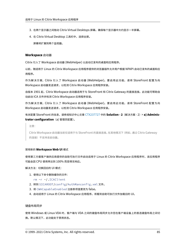- 3. 在两个显示器之间拖动 Citrix Virtual Desktops 屏幕。确保每个显示器中大约显示一半屏幕。
- 4. 在 Citrix Virtual Desktop 工具栏中,选择全屏。

屏幕将扩展到两个监视器。

### **Workspace** 启动器

Citrix 引入了 Workspace 启动器 (WebHelper) 以启动已发布的桌面和应用程序。

以前,随适用于 Linux 的 Citrix Workspace 应用程序提供的浏览器插件允许用户根据 NPAPI 启动已发布的桌面和应 用程序。

作为解决方案,Citrix 引入了 Workspace 启动器 (WebHelper)。要启用此功能,请将 StoreFront 配置为向 Workspace 启动器发送请求,以检测 Citrix Workspace 应用程序安装。

自版本 1901 起,Citrix Workspace 启动器适用于与 StoreFront 和 Citrix Gateway 的直接连接。此功能可帮助自 动启动 ICA 文件并检测 Citrix Workspace 应用程序安装。

作为解决方案,Citrix 引入了 Workspace 启动器 (WebHelper)。要启用此功能,请将 StoreFront 配置为向 Workspace 启动器发送请求,以检测 Citrix Workspace 应用程序安装。

有关配置 StoreFront 的信息,请参阅知识中心文章 CTX237727 中的 **Solution ‑ 2**(解决方案 ‑ 2)> **a) Adminis‑ trator configuration**(a) 管理员配置)。

注意:

Citrix Workspace 启动器当前仅适用于与 Stor[eFront](https://support.citrix.com/article/CTX237727) 的直接连接。在其他情况下(例如,通过 Citrix Gateway 的连接)不支持该启动器。

#### 禁用新的 **Workspace Web UI** 模式

使用第三方瘦客户端供应商提供的自助可执行文件启动适用于 Linux 的 Citrix Workspace 应用程序时,该应用程序 可能会因 CPU 使用率达到 100% 而变得无响应。

### 解决方法:切换回旧的 UI 模式:

- 1. 使用以下命令删除缓存的文件:
	- rm -r ~/.ICAClient
- 2. 转到 \$ICAROOT/config/AuthManconfig.xml 文件。
- 3. 将 CWACapableEnabled 注册表项值更改为 false。
- 4. 启动适用于 Linux 的 Citrix Workspace 应用程序。将看到自助可执行文件加载旧的 UI。

#### 键盘布局同步

使用 Windows 或 Linux VDA 时,客户端与 VDA 之间的键盘布局同步允许您在客户端设备上的首选键盘布局之间切 换。默认情况下,此功能处于禁用状态。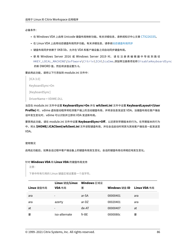必备条件:

- 在 Windows VDA 上启用 Unicode 键盘布局映射功能。有关详细信息,请参阅知识中心文章 CTX226335。
- 在 Linux VDA 上启用动态键盘布局同步功能。有关详细信息,请参阅动态键盘布局同步
- 键盘布局同步依赖于 XKB lib,允许在 VDA 和客户端设备之间自动同步键盘布局。
- 使 用 Windows Server 2016 或 Windows Server 2019 时[, 请 在 注 册 表 编](https://docs.citrix.com/zh-cn/linux-virtual-delivery-agent/current-release/configuration/dynamic-keyboard-layout-synchronization.html) 辑 器 中 导 航 到 路 径 HKEY\_LOCAL\_MACHINE\Software\Citrix\ICA\IcaIme,添加带注册表项名称 DisableKeyboardSync 的新 DWORD 值,然后将该值设置为 0。

要启用此功能,请将以下行添加到 module.ini 文件中:

 $[ICA 3.0]$ 

KeyboardSync=On

[KeyboardSync]

DriverName = VDIME.DLL

当您在 module.ini 文件中设置 **KeyboardSync=On** 并在 **wfclient.ini** 文件中设置 **KeyboardLayout=(User Profile)** 时,vdime 虚拟驱动程序将检测客户端上的活动键盘布局,并将该信息发送至 VDA。当键盘布局在客户端会 话中发生变化时,vdime 可以识别并立即向 VDA 发送新布局。

要禁用此功能,请在 module.ini 文件中设置 **KeyboardSync=Off**,以还原到早期版本的行为。在早期版本的行为 中,将从 **\$HOME/.ICAClient/wfclient.ini** 文件读取键盘布局,并在会话启动时将其与其他客户端信息一起发送至 VDA。

使用情况

启用此功能后,如果会话过程中客户端设备上的键盘布局发生变化,会话的键盘布局也将相应地发生变化。

# 针对 **Windows VDA** 和 **Linux VDA** 的键盘布局支持

注意:

下表中所有引用的 Linux 键盘区域设置是一个连字符。

|            | Linux 键盘/Linux           | Windows 区域设 |               |              |
|------------|--------------------------|-------------|---------------|--------------|
| Linux 键盘布局 | VDA 布局                   | 置           | Windows 键盘 ID | Linux VDA 布局 |
| ara        | $\overline{\phantom{a}}$ | ar-SA       | 00000401      | ara          |
| ara        | azerty                   | ar-DZ       | 00020401      | ara          |
| at         | $\overline{\phantom{a}}$ | de-AT       | 00000407      | at           |
| 要          | iso-alternate            | $fr-BE$     | 0000080c      | 要            |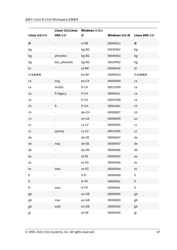| Linux 键盘布局 | Linux 键盘/Linux<br>VDA 布局 | Windows 区域设<br>置 | Windows 键盘 ID | Linux VDA 布局 |
|------------|--------------------------|------------------|---------------|--------------|
| 要          |                          | nl-BE            | 00000813      | 要            |
| bg         |                          | bg-BG            | 00030402      | bg           |
| bg         | phonetic                 | bg-BG            | 00040402      | bg           |
| bg         | bas_phonetic             | bg-BG            | 00020402      | bg           |
| br         |                          | pt-BR            | 00000416      | br           |
| 方法是使用      |                          | be-BY            | 00000423      | 方法是使用        |
| ca         | eng                      | en-CA            | 00000409      | ca           |
| ca         | multix                   | fr-CA            | 00011009      | ca           |
| ca         | fr-legacy                | fr-CA            | 00000c0c      | ca           |
| ca         |                          | fr-CA            | 00001009      | ca           |
| ch         | fr                       | fr-CH            | 0000100c      | ch           |
| ch         |                          | de-CH            | 00000807      | ch           |
| cn         |                          | en-US            | 00000409      | us           |
| ${\sf cz}$ |                          | $cs$ -CZ         | 00000405      | CZ           |
| <b>CZ</b>  | qwerty                   | $cs$ -CZ         | 00010405      | ${\sf CZ}$   |
| de         |                          | de-DE            | 00000407      | de           |
| de         | mac                      | de-DE            | 00000407      | de           |
| dk         |                          | da-DK            | 00000406      | dk           |
| ee         |                          | et-EE            | 00000425      | ee           |
| es         |                          | es-ES            | 0000040a      | es           |
| es         | mac                      | es-ES            | 0000040a      | es           |
| fi         |                          | $fi-Fl$          | 0000040b      | fi           |
| fr         |                          | $fr-FR$          | 0000040c      | fr           |
| fr         | mac                      | $fr-FR$          | 0000040c      | fr           |
| gb         |                          | $en-GB$          | 00000809      | gb           |
| gb         | mac                      | $en-GB$          | 00000809      | gb           |
| gb         | extd                     | $en-GB$          | 00000452      | gb           |
| gr         |                          | $el$ -GR         | 00000408      | gr           |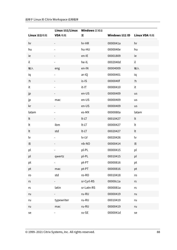| Linux 键盘布局             | Linux 键盘/Linux Windows 区域设<br>VDA 布局 | 置           | Windows 键盘 ID | Linux VDA 布局 |
|------------------------|--------------------------------------|-------------|---------------|--------------|
| hr                     |                                      | hr-HR       | 0000041a      | hr           |
| hu                     |                                      | hu-HU       | 0000040e      | hu           |
| ie                     |                                      | en-IE       | 00001809      | ie           |
| il                     |                                      | he-IL       | 0002040d      | il           |
| 输入                     | eng                                  | en-IN       | 00004009      | 输入           |
| iq                     |                                      | ar-IQ       | 00000401      | iq           |
| 为                      |                                      | is-IS       | 0000040f      | 为            |
| it                     |                                      | $it-IT$     | 00000410      | it           |
| jp                     |                                      | en-US       | 00000409      | us           |
| jp                     | mac                                  | en-US       | 00000409      | us           |
| kr                     |                                      | en-US       | 00000409      | us           |
| latam                  |                                      | es-MX       | 0000080a      | latam        |
| lt                     |                                      | $lt$ -LT    | 00010427      | lt           |
| lt                     | ibm                                  | $lt$ - $LT$ | 00000427      | lt           |
| lt                     | std                                  | $lt$ - $LT$ | 00020427      | lt           |
| lv                     |                                      | lv-LV       | 00020426      | lv           |
| 否                      |                                      | nb-NO       | 00000414      | 否            |
| pl                     |                                      | pl-PL       | 00000415      | pl           |
| pl                     | qwertz                               | pl-PL       | 00010415      | pl           |
| pt                     |                                      | pt-PT       | 00000816      | pt           |
| pt                     | mac                                  | pt-PT       | 00000816      | pt           |
| ro                     | std                                  | ro-RO       | 00010418      | ro           |
| $\mathsf{r}\mathsf{s}$ |                                      | sr-Cyrl-RS  | 00000c1a      | rs           |
| $\mathsf{r}\mathsf{s}$ | latin                                | sr-Latn-RS  | 0000081a      | rs           |
| ru                     |                                      | ru-RU       | 00000419      | ru           |
| ru                     | typewriter                           | ru-RU       | 00010419      | ru           |
| ru                     | mac                                  | ru-RU       | 00000419      | ru           |
| se                     |                                      | sv-SE       | 0000041d      | se           |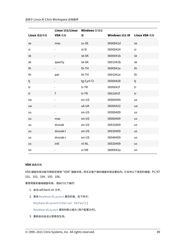| Linux 键盘布局 | Linux 键盘/Linux Windows 区域设<br>VDA 布局 | 置          | Windows 键盘 ID | Linux VDA 布局 |
|------------|--------------------------------------|------------|---------------|--------------|
| se         | mac                                  | sv-SE      | 0000041d      | se           |
| si         |                                      | sl-SI      | 00000424      | si           |
| sk         |                                      | sk-SK      | 0000041b      | sk           |
| sk         | qwerty                               | sk-SK      | 0001041b      | sk           |
| th         |                                      | th-TH      | 0000041e      | th           |
| th         | pat                                  | th-TH      | 0001041e      | th           |
| tj         |                                      | tg-Cyrl-TJ | 00000428      | tj           |
| tr         |                                      | $tr$ -TR   | 0000041f      | tr           |
| tr         | $\mathsf{f}$                         | $tr$ -TR   | 0001041f      | tr           |
| tw         |                                      | en-US      | 00000409      | us           |
| ua         |                                      | uk-UA      | 00000422      | ua           |
| us         |                                      | en-US      | 00000409      | us           |
| us         | mac                                  | en-US      | 00000409      | us           |
| us         | dvorak                               | en-US      | 00010409      | us           |
| us         | dvorak-l                             | en-US      | 00030409      | us           |
| us         | dvorak-r                             | en-US      | 00040409      | us           |
| <b>us</b>  | intl                                 | nl-NL      | 00020409      | us           |
| vn         |                                      | vi-VN      | 0000042a      | vn           |

# **VDA** 键盘布局

VDA 键盘布局功能可帮助您使用 "VDA" 键盘布局,而无论客户端的键盘布局设置如何。它支持以下类型的键盘:PC/XT 101、102、104、105、106。

要使用服务器端键盘布局,请执行以下操作:

- 1. 启动 wfclient.ini 文件。
- 2. 更改 KeyboardLayout 属性的值,如下所示:

KeyboardLayout=(Server Default)

KeyboardLayout 属性的默认值为 (用户配置文件)。

3. 重新启动会话以使更改生效。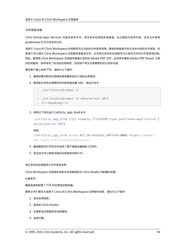# 文件类型关联

Citrix Virtual Apps Services 可能还发布文件,而非发布应用程序或桌面。此过程称为发布内容,并且允许使用 pnabrowse 打开已发布的文件。

适用于 Linux 的 Citrix Workspace 应用程序可以识别的文件类型有限。要使系统能够识别已发布内容的文件类型,并 使用户可以通过 Citrix Workspace 应用程序查看该文件,必须将已发布的应用程序与已发布文件的文件类型相关联。 例如,要使用 Citrix Workspace 应用程序查看已发布的 Adobe PDF 文件,必须发布诸如 Adobe PDF Viewer 之类 的应用程序。除非发布了恰当的应用程序,否则用户将无法查看相应的已发布内容。

要在客户端上启用 FTA,请执行以下操作:

- 1. 确保您要关联的应用程序是收藏夹或已订阅的应用程序。
- 2. 要获取已发布应用程序的列表和服务器 URL,请运行命令:

```
1 ./util/storebrowse -l
\mathcal{L}3 ./util/storebrowse -S <StoreFront URL>
4 <!--NeedCopy-->
```
3. 使用以下语法运行./util/ctx\_app\_bind 命令:

```
./util/ctx_app_bind [-p] example_file|MIME-type published-application [
server|server-URI]
```
例如,

./util/ctx\_app\_bind a.txt BVT\_DB.Notepad\_AWTSVDA-0001 https://awddc1. bvt.local/citrix/store/discovery

- 4. 确保要尝试打开的文件启用了客户端驱动器映射 (CDM)。
- 5. 双击该文件以使用关联的应用程序将其打开。

将已发布的应用程序与文件类型关联

Citrix Workspace 应用程序读取并应用管理员在 Citrix Studio 中配置的设置。

必备条件:

确保连接到配置了 FTA 的应用商店服务器。

要将文件扩展名与适用于 Linux 的 Citrix Workspace 应用程序关联,请执行以下操作:

- 1. 发布应用程序。
- 2. 登录到 Citrix Studio。
- 3. 右键单击应用程序并选择属性。
- 4. 选择位置。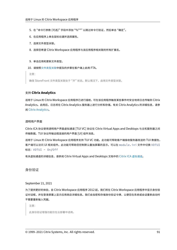- 5. 在"命令行参数 (可选)"字段中添加"%\*\*"以跳过命令行验证,然后单击"确定"。
- 6. 在应用程序上单击鼠标右键并选择属性。
- 7. 选择文件类型关联。
- 8. 选择您希望 Citrix Workspace 应用程序与该应用程序相关联的所有扩展名。
- 9. 单击应用和更新文件类型。
- 10. 请按照文件类型关联中提及的步骤在客户端上启用 FTA。

注意:

确保 Stor[eFront](https://docs.citrix.com/zh-cn/citrix-workspace-app-for-linux/configure-xenapp.html#file-type-association) 文件类型关联处于"开"状态。默认情况下,启用文件类型关联。

# 支持 **Citrix Analytics**

适用于 Linux 的 Citrix Workspace 应用程序已进行插桩,可在该应用程序触发某些事件时安全地将日志传输到 Citrix Analytics。启用后,日志将在 Citrix Analytics 服务器上进行分析和存储。有关 Citrix Analytics 的详细信息,请参 阅 Citrix Analytics。

### 透[明用户界面](https://docs.citrix.com/en-us/citrix-analytics/)

Citrix ICA 协议使用透明用户界面虚拟通道 [TUI VC] 协议在 Citrix Virtual Apps and Desktops 与主机服务器之间 传输数据。TUI 协议传输远程连接的用户界面 [UI] 组件消息。

适用于 Linux 的 Citrix Workspace 应用程序支持 TUI VC 功能。此功能可帮助客户端接收服务器发送的 TUI 数据包, 客户端可以访问 UI 相关组件。此功能可帮助您控制默认叠加屏幕的显示。可以在 module.ini 文件中切换 VDTUI 标志: VDTUI - On/Off

有关虚拟通道的详细信息,请参阅 Citrix Virtual Apps and Desktops 文档中的 Citrix ICA 虚拟通道。

身份验证

September 21, 2021

为了提供更好的体验,自 Citrix Workspace 应用程序 2012 起,我们将在 Citrix Workspace 应用程序中显示身份验 证对话框,并在登录屏幕上显示应用商店详细信息。我们会加密和存储身份验证令牌,以便您在系统或会话重新启动时 不需要重新输入凭据。

注意:

此身份验证增强功能仅在云部署中适用。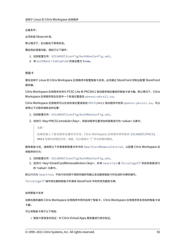必备条件:

必须安装 libsecret 库。

默认情况下,此功能处于禁用状态。

要启用此增强功能,请执行以下操作:

- 1. 找到配置文件: \$ICAROOT/config/AuthManConfig.xml。
- 2. 将 AuthManLiteEnabled 的值设置为 **true**。

智能卡

要在适用于 Linux 的 Citrix Workspace 应用程序中配置智能卡支持,必须通过 StoreFront 控制台配置 StoreFront 服务器。

Citrix Workspace 应用程序支持与 PCSC‑Lite 和 PKCS#11 驱动程序相应兼容的智能卡读卡器。默认情况下,Citrix Workspace 应用程序现在在其中一个标准位置查找 opensc-pkcs11.so。

Citrix Workspace 应用程序可以在非标准位置或其他 PKCS\##11 驱动程序中找到 opensc-pkcs11.so。可以 使用以下过程存储各自的位置:

- 1. 找到配置文件: \$ICAROOT/config/AuthManConfig.xml。
- 2. 找到行 <key>PKCS11module</key>,将驱动程序位置添加到紧跟该行的 <value> 元素中。

注意:

如果您输入了驱动程序位置的文件名,Citrix Workspace 应用程序将导航到 \$ICAROOT/PKCS\ ##11 目录中的相应文件。或者,可以使用以 "/" 开头的绝对路径。

删除智能卡后,请按照以下步骤更新配置文件中的 SmartCardRemovalAction,以配置 Citrix Workspace 应 用程序的行为:

- 1. 找到配置文件: \$ICAROOT/config/AuthManConfig.xml。
- 2. 找到行 <key>SmartCardRemovalAction</key>, 并将 noaction 或 forcelogoff 添加到紧跟该行 的 <value> 元素中。

默认行为为 noaction。不执行任何用于清除存储的凭据以及在删除智能卡时生成的令牌的操作。

forcelogoff 操作将在删除智能卡时清除 StoreFront 中的所有凭据和令牌。

启用智能卡支持

如果在服务器和 Citrix Workspace 应用程序中同时启用了智能卡,Citrix Workspace 应用程序将支持各种智能卡读 卡器。

可以将智能卡用于以下用途:

• 智能卡登录身份验证 ‑ 对 Citrix Virtual Apps 服务器进行身份验证。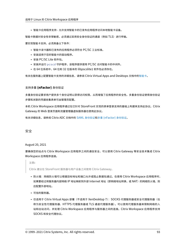• 智能卡应用程序支持 - 允许支持智能卡的已发布应用程序访问本地智能卡设备。

智能卡数据对安全性非常敏感,必须通过采用安全身份验证的通道(例如 TLS)进行传输。

要实现智能卡支持,必须具备以下条件:

- 智能卡读卡器和已发布的应用程序必须符合 PC/SC 工业标准。
- 安装适用于您的智能卡的驱动程序。
- 安装 PC/SC Lite 软件包。
- 安装并运行 pcscd 守护程序,该程序提供使用 PC/SC 访问智能卡的中间件。
- 在 64 位系统中, 64 位和 32 位版本的 libpscslite1 软件包必须存在。

有关在服务器上配置智能卡支持的详细信息,请参阅 Citrix Virtual Apps and Desktops 文档中的智能卡。

# 支持多重 **(nFactor)** 身份验证

多重身份验证要求用户提供多个身份证明以获得访问权限,从而增强了应用程序的安全性。多重身份验证使得身份验证 步骤和关联的凭据收集表单可由管理员配置。

本机 Citrix Workspace 应用程序通过在已针对 StoreFront 实现的表单登录支持的基础上构建来支持此协议。Citrix Gateway 的 Web 登录页面和流量管理器虚拟服务器也使用此协议。

有关详细信息,请参阅 Citrix ADC 文档中的 SAML 身份验证和多重 (nFactor) 身份验证。

安全

August 20, 2021

要确保您的站点与 Citrix Workspace 应用程序之间的通信安全,可以使用 Citrix Gateway 等安全技术集成 Citrix Workspace 应用程序连接。

注意**:**

Citrix 建议在 StoreFront 服务器与用户设备之间使用 Citrix Gateway。

- 防火墙:网络防火墙可以根据目标地址和端口允许或阻止数据包通过。在使用 Citrix Workspace 应用程序时, 如果要经过将服务器内部网络 IP 地址映射到外部 Internet 地址(即网络地址转换,或 NAT)的网络防火墙,则 应配置外部地址。
- 可信的服务器。
- 仅适用于 Citrix Virtual Apps 部署(不适用于 XenDesktop 7):SOCKS 代理服务器或安全代理服务器(也 称为安全性代理服务器、HTTPS 代理服务器或 TLS 通道代理服务器)。可以使用代理服务器来限制网络的入 站和出站访问,并处理 Citrix Workspace 应用程序与服务器之间的连接。Citrix Workspace 应用程序支持 SOCKS 和安全代理协议。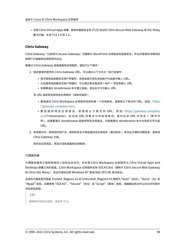• 仅限 Citrix Virtual Apps 部署:使用传输层安全性 (TLS) 协议的 Citrix Secure Web Gateway 或 SSL Relay 解决方案。支持 TLS 1.0 到 1.2。

# **Citrix Gateway**

Citrix Gateway (以前称为 Access Gateway) 可确保与 StoreFront 应用商店的连接安全,并允许管理员详细地控 制用户对桌面和应用程序的访问。

要通过 Citrix Gateway 连接桌面和应用程序,请执行以下操作:

- 1. 指定管理员提供的 Citrix Gateway URL。可以通过以下方式之一执行此操作:
	- 首次使用自助服务式用户界面时,系统会提示您在添加帐户对话框中输入 URL。
	- 以后使用自助服务式用户界面时,可以通过单击首选项 > 帐户 > 添加来输入 URL
	- 如果要通过 storebrowse 命令建立连接,请在命令行中输入 URL

该 URL 指定网关和特定应用商店(选择性指定):

- 要连接到 Citrix Workspace 应用程序找到的第一个应用商店,请使用以下格式的 URL,例如: https: //gateway.company.com。
- 要 连 接 到 特 定 应 用 商 店, 请 使 用 以 下 格 式 的 URL, 例 如:https://gateway.company. com?<storename>。 此 动 态 URL 的 格 式 为 非 标 准 格 式; 请 勿 在 该 URL 中 包 含 =([等 号 字](https://gateway.company.com) [符\)。如果要通过](https://gateway.company.com) storebrowse 连接到特定应用商店,可能需要在 storebrowse 命令中用双引号引起 URL。
- 2. 系统[提示时,](https://gateway.company.com)使用您的用户名、密码和安全令牌连接到该应用商店(通过网关)。有关此步骤的详细信息,请参阅 Citrix Gateway 文档。

身份验证完成后,将显示您的桌面和应用程序。

# 代理服务器

代理服务器用于限制网络的入站和出站访问,并处理 Citrix Workspace 应用程序与 Citrix Virtual Apps and Desktops 部署之间的连接。Citrix Workspace 应用程序支持 SOCKS 协议(随附于 Citrix Secure Web Gateway 和 Citrix SSL Relay)、安全代理协议和 Windows NT 质询/响应 (NTLM) 身份验证。

支持的代理类型列表被 Trusted\_Regions.ini 和 Untrusted\_Regions.ini 限制为 "Auto"(自动)、"None"(无)和 "Wpad"类型。如果使用"SOCKS"、"Secure"(安全)或"Script"(脚本)类型,请编辑这些文件以向允许列表中 添加其他类型。

注意**:** 要确保实现安全连接,请启用 TLS。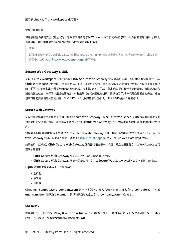### 安全代理服务器

将连接配置为使用安全代理协议时,意味着同时启用了对 Windows NT 质询/响应 (NTLM) 身份验证的支持。如果此 协议可用,则无需任何其他配置即可在运行时检测和使用此协议。

重要:

NTLM 支持需要 OpenSSL 1.1.1d 和 libcrypto.so 库。在用户设备上安装这些库。这些库通常包含在 Linux 发 行版中。也可以从 http://www.openssl.org/ 进行下载。

# **Secure Web Gat[eway](http://www.openssl.org/)** 和 **SSL**

可以将 Citrix Workspace 应用程序与 Citrix Secure Web Gateway 或安全套接字层 (SSL) 中继服务集成在一起。 Citrix Workspace 应用程序支持 TLS 协议。TLS(传输层安全性)是 SSL 协议的最新标准化版本。互联网工程工作小 组 (IETF) 在接管 SSL 开放式标准的开发任务后,将 SSL 更名为 TLS。TLS 通过提供服务器身份验证、数据流加密和 消息完整性检查,来保障数据通信的安全。有些组织(包括美国政府组织)要求使用 TLS 来保障数据通信的安全。这些 组织可能还要求使用验证的加密,例如 FIPS 140(联邦信息处理标准)。FIPS 140 是一个加密标准。

### **Secure Web Gateway**

可以在普通模式或中继模式下使用 Citrix Secure Web Gateway,来为 Citrix Workspace 应用程序与服务器之间的 通信提供安全通道。如果在普通模式下使用 Citrix Secure Web Gateway,则不需要配置 Citrix Workspace 应用程 序。

如果安全网络中的服务器上安装了 Citrix Secure Web Gateway 代理, 则可以在中继模式下使用 Citrix Secure Web Gateway 代理。有关详细信息,请参阅 Citrix Virtual Apps (Citrix Secure Web Gateway) 文档。

如果使用中继模式,Citrix Secure Web Gateway 服务器将相当于一个代理,并且必须配置 Citrix Workspace 应用 程序才能使用:

- Citrix Secure Web Gateway 服务器[的完全限定的域名](https://docs.citrix.com/zh-cn/xenapp-and-xendesktop/xenapp-6-5/xenapp65-w2k8-wrapper/sg-presentation-server-v2.html) (FQDN)。
- Citrix Secure Web Gateway 服务器的端口号。Citrix Secure Web Gateway 版本 2.0 不支持中继模式。

FQDN 必须按顺序列出以下三个组成部分:

- 主机名
- 中间域
- 顶级域

例如:my\_computer.my\_company.com 是一个 FQDN,因为它依次列出主机名 (my\_computer)、中间域 (my\_company) 和顶级域 (com)。中间域和顶级域的组合 (my\_company.com) 称为域名。

# **SSL Relay**

默认情况下,Citrix SSL Relay 使用 Citrix Virtual Apps 服务器上的 TCP 端口 443 进行 TLS 安全通信。SSL Relay 收到 TLS 连接时,先解密数据再将其重定向到服务器。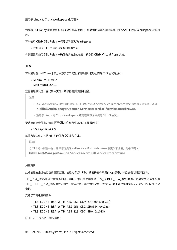如果将 SSL Relay 配置为侦听 443 以外的其他端口, 则必须将该非标准侦听端口号指定给 Citrix Workspace 应用程 序。

可以使用 Citrix SSL Relay 来保障以下情况下的通信安全:

• 在启用了 TLS 的用户设备与服务器之间

有关配置和使用 SSL Relay 来确保安装安全的信息,请参阅 Citrix Virtual Apps 文档。

# **TLS**

可以通过在 [WFClient] 部分中添加以下配置选项来控制能够协商的 TLS 协议的版本:

- MinimumTLS=1.2
- MaximumTLS=1.2

### 这些值是默认值,在代码中实现。请根据需要调整这些值。

注意**:**

- 无论何时启动程序,都会读取这些值。如果您在启动 selfservice 或 storebrowse 后更改了这些值,请键 入 **killall AuthManagerDaemon ServiceRecord selfservice storebrowse**。
- 适用于 Linux 的 Citrix Workspace 应用程序不允许使用 SSLv3 协议。

# 要选择密码套件集,请在 [WFClient] 部分中添加以下配置选项:

• SSLCiphers=GOV

此值为默认值。其他可识别的值为 COM 和 ALL。

注意**:**

与 TLS 版本配置一样,如果您在启动 selfservice 或 storebrowse 后更改了此值,则必须键入:

**killall AuthManagerDaemon ServiceRecord selfservice storebrowse**

### 加密更新

此功能是安全通信协议的重要变更。前缀为 TLS\_RSA\_ 的密码套件不提供向前保密,并且被视为弱密码套件。

TLS RSA 密码套件已被完全删除。相反,本版本支持高级 TLS ECDHE RSA 密码套件。如果您的环境未配置 TLS\_ECDHE\_RSA\_ 密码套件,则由于密码较弱,客户端启动将不受支持。对于客户端身份验证,支持 1536 位 RSA 密钥。

支持以下高级密码套件:

- TLS ECDHE\_RSA\_WITH\_AES\_256\_GCM\_SHA384 (0xc030)
- TLS ECDHE\_RSA\_WITH\_AES\_256\_CBC\_SHA384 (0xc028)
- TLS\_ECDHE\_RSA\_WITH\_AES\_128\_CBC\_SHA (0xc013)

DTLS v1.0 支持以下密码套件: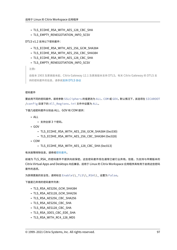- TLS\_ECDHE\_RSA\_WITH\_AES\_128\_CBC\_SHA
- TLS\_EMPTY\_RENEGOTIATION\_INFO\_SCSV

DTLS v1.2 支持以下密码套件:

- TLS ECDHE\_RSA\_WITH\_AES\_256\_GCM\_SHA384
- TLS ECDHE\_RSA\_WITH\_AES\_256\_CBC\_SHA384
- TLS\_ECDHE\_RSA\_WITH\_AES\_128\_CBC\_SHA
- TLS\_EMPTY\_RENEGOTIATION\_INFO\_SCSV

注意**:**

自版本 1903 及更高版本起,Citrix Gateway 12.1 及更高版本支持 DTLS。有关 Citrix Gateway 的 DTLS 支 持的密码套件的信息,请参阅支持 DTLS 协议

#### 密码套件

要启用不同的密码套件,请将参数 SSLCiphers 的值更改为 ALL、COM 或 GOV。默认情况下,该选项在 \$ICAROOT /config 目录下的 All\_Regions.ini 文件中设置为 ALL。

下面几组密码套件分别由 ALL、GOV 和 COM 提供:

- $\bullet$  ALL
	- **–** 支持全部 3 个密码。
- GOV
	- **–** TLS\_ECDHE\_RSA\_WITH\_AES\_256\_GCM\_SHA384 (0xc030)
	- **–** TLS\_ECDHE\_RSA\_WITH\_AES\_256\_CBC\_SHA384 (0xc028)
- COM
	- **–** TLS\_ECDHE\_RSA\_WITH\_AES\_128\_CBC\_SHA (0xc013)

有关故障排除信息,请参阅密码套件。

前缀为 TLS\_RSA\_ 的密码套件不提供向前保密。这些密码套件现在通常已被行业弃用。但是,为支持与早期版本的 Citrix Virtual Apps and [Desktop](https://docs.citrix.com/zh-cn/citrix-workspace-app-for-linux/troubleshooting.html#cipher-suites)s 向后兼容,适用于 Linux 的 Citrix Workspace 应用程序具有用于启用这些密码 套件的选项。

为获得更高的安全性,请将标志 Enable\\\_TLS\\\_RSA\\\_ 设置为 False。

下面是已弃用的密码套件列表:

- TLS RSA AES256 GCM SHA384
- TLS RSA AES128 GCM SHA256
- TLS RSA AES256 CBC SHA256
- TLS RSA AES256 CBC SHA
- TLS RSA AES128 CBC SHA
- TLS RSA 3DES CBC EDE SHA
- TLS RSA WITH RC4 128 MD5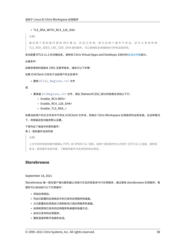#### • TLS\_RSA\_WITH\_RC4\_128\_SHA

注意**:**

最 后 两 个 密 码 套 件 使 用 RC4 算 法, 并 且 已 弃 用, 因 为 这 两 个 套 件 不 安 全。 还 可 以 考 虑 弃 用 TLS\_RSA\_3DES\_CBC\_EDE\_SHA 密码套件。可以使用标志来强制执行所有这些弃用。

有关配置 DTLS v1.2 的详细信息,请参阅 Citrix Virtual Apps and Desktops 文档中的自适应传输部分。

必备条件:

如果您使用的是版本 1901 及更早版本,请执行以下步骤:

如果.ICAClient 已存在于当前用户的主目录中:

• 删除 All\\\_Regions.ini 文件

或

- 要保留 AllRegions.ini 文件,请在 [Network\SSL] 部分的结尾处添加以下行:
	- **–** Enable\_RC4‑MD5=
	- **–** Enable\_RC4\_128\_SHA=
	- **–** Enable\_TLS\_RSA\_=

如果当前用户的主文件夹中不存在.ICAClient 文件夹,则指示 Citrix Workspace 应用程序的全新安装。在这种情况 下,将保留这些功能的默认设置。

下表列出了每组中的密码套件:

#### 表 1 ‑ 密码套件支持列表

注意**:**

上文中的所有密码套件都遵从 FIPS‑ 和 SP800‑52‑ 规则。前两个密码套件仅允许用于 (D)TLS1.2 连接。请参阅 表 **1 –** 密码套件支持列表,了解密码套件可支持性的综合表征。

# **Storebrowse**

September 18, 2021

Storebrowse 是一款在客户端与服务器之间进行交互的轻型命令行实用程序。通过使用 storebrowse 实用程序,管 理员可以自动执行以下日常操作:

- 添加应用商店。
- 列出已配置的应用商店中的已发布应用程序和桌面。
- 从已配置的应用商店订阅和取消订阅应用程序和桌面。
- 启用和禁用已发布的应用程序和桌面的快捷方式。
- 启动已发布的应用程序。
- 重新连接到断开连接的会话。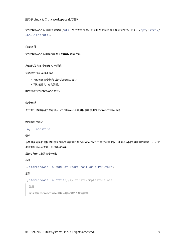storebrowse 实用程序通常在 /util 文件夹中提供。您可以在安装位置下找到该文件。例如,/opt/Citrix/ ICAClient/util。

# 必备条件

storebrowse 实用程序需要 **libxml2** 库软件包。

启动已发布的桌面和应用程序

有两种方法可以启动资源:

- 可以使用命令行和 storebrowse 命令
- 可以使用 UI 启动资源。

本文探讨 storebrowse 命令。

命令用法

以下部分详细介绍了您可以从 storebrowse 实用程序中使用的 storebrowse 命令。

# 添加新应用商店

```
-a, --addstore
```
说明:

添加包含网关和信标详细信息的新应用商店以及 ServiceRecord 守护程序进程。此命令返回应用商店的完整 URL。如 果添加应用商店失败,则将出现错误。

StoreFront 上的命令示例:

命令:

./storebrowse -a \*URL of StoreFront or a PNAStore\*

示例:

./storebrowse -a https://my.firstexamplestore.net

注意:

可以使用 storebrowse 实用程序添加多个应用商店。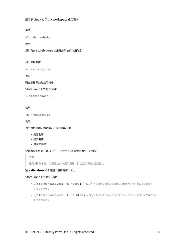帮助

-?, -h, --help

说明:

提供有关 storebrowse 实用程序用法的详细信息

#### 列出应用商店

-l --liststore

说明:

列出您已添加的应用商店。

StoreFront 上的命令示例:

./storebrowse -l

#### 枚举

-E --enumerate

说明:

列出可用资源。默认情况下将显示以下值:

- 资源名称
- 显示名称
- 资源文件夹

要查看详细信息,请将 -M --details 命令附加到 -E 命令。

注意:

运行 **‑E** 命令时,如果您之前未提供凭据,则会显示身份验证窗口。

# 输入 **‑liststore** 报告的整个应用商店 URL。

# StoreFront 上的命令示例:

- ./storebrowse.exe -E https://my.firstexamplestore.net/Citrix/Store/ discovery
- ./storebrowse.exe -E -M https://my.firstexamplestore.net/Citrix/Store/ discovery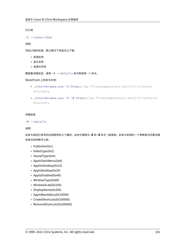已订阅

-S --subscribed

说明:

列出订阅的资源。默认情况下将显示以下值:

- 资源名称
- 显示名称
- 资源文件夹

要查看详细信息,请将 -M --details 命令附加到 -E 命令。

StoreFront 上的命令示例:

- ./storebrowse.exe -S https://my.firstexamplestore.net/Citrix/Store/ discovery
- ./storebrowse.exe -S -M https://my.firstexamplestore.net/Citrix/Store/ discovery

#### 详细信息

```
-M --details
```
说明:

此命令返回已发布的应用程序的几个属性。此命令通常与 **‑E** 和 **‑S** 命令一起使用。此命令采用的一个参数是与所需详细 信息对应的数字之和:

- Publisher(0x1)
- VideoType(0x2)
- SoundType(0x4)
- AppInStartMenu(0x8)
- AppOnDesktop(0x10)
- AppIsDesktop(0x20)
- AppIsDisabled(0x40)
- WindowType(0x80)
- WindowScale(0x100)
- DisplayName(0x200)
- AppIsMandatory(0x10000)
- CreateShortcuts(0x100000)
- RemoveShortcuts(0x200000)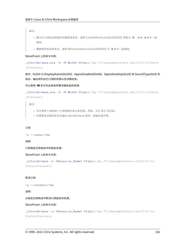备注:

- 要为已订阅的应用程序创建菜单条目,请将 CreateShortcuts(0x100000) 参数与 **‑S**、**‑s** 和 **‑u** 命令一起 使用。
- 要删除所有菜单条目,请将 RemoveShortcuts(0x200000) 与 **‑S** 命令一起使用。

StoreFront 上的命令示例:

./storebrowse.exe -S -M 0x264 https://my.firstexamplestore.net/Citrix/Store /discovery

其中,0x264 为 DisplayName(0x200)、AppIsDisabled(0x40)、AppIsDesktop(0x20) 和 SoundType(0x4) 的 组合。输出将列出已订阅的资源以及详细信息。

可以使用 **‑M** 命令列出具有所需详细信息的资源:

./storebrowse.exe -E -M 0x264 https://my.firstexamplestore.net/Citrix/Store /discovery

备注:

- 可以使用十进制或十六进制格式表示这些值。例如,512 表示 0x200。
- 如果某些详细信息无法通过 storebrowse 提供,则输出值为零。

订阅

-s --subscribe

说明:

订阅指定应用商店中的指定资源。

StoreFront 上的命令示例:

./storebrowse -s <Resource\_Name> https://my.firstexamplestore.net/Citrix/ Store/discovery

### 取消订阅

-u --unsubscribe

说明:

从指定应用商店中取消订阅指定的资源。

StoreFront 上的命令示例:

./storebrowse -u <Resource\_Name> https://my.firstexamplestore.net/Citrix/ Store/discovery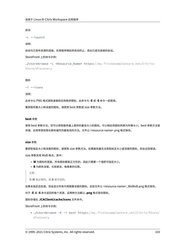### 启动

```
-L --launch
```
#### 说明:

启动与已发布资源的连接。实用程序随后将自动终止,退出已成功连接的会话。

StoreFront 上的命令示例:

```
./storebrowse -L <Resource_Name> https://my.firstexamplestore.net/Citrix/
Store/discovery
```
#### 图标

-i --icons

#### 说明:

此命令以 PNG 格式提取桌面和应用程序图标。此命令与 **‑E** 或 **‑S** 命令一起使用。

要获取所需大小和深度的图标,请使用 best 参数或 size 参数方法。

#### **best** 参数

使用 best 参数方法,您可以获取服务器上提供的最佳大小的图标。可以稍后将图标转换为所需大小。best 参数方法是 存储、应用带宽和简化脚本编写的最有效的方法。文件以 <resource name>.png 格式保存。

# **size** 参数

要获取指定大小和深度的图标,请使用 size 参数方法。如果服务器无法获取给定大小或深度的图标,则会出现错误。 size 参数采用 WxB 格式,其中:

- **W** 为图标的宽度。所有图标都是正方形的,因此只需要一个值即可指定大小。
- **B** 为颜色深度。也就是说,每像素的位数。

注意:

值 **W** 是必需的。值 **B** 是可选的。

如果未指定这些值,则会显示所有可用图像深度的图标。这些文件以 <resource name>\_WxWxB.png 格式保存。

对于 **‑E** 或 **‑S** 命令返回的每个资源,这两种方法都以 **.png** 格式保存图标。

图标存储在 **.ICAClient/cache/icons** 文件夹中。

StoreFront 上的命令示例:

• ./storebrowse -E -i best https://my.firstexamplestore.net/Citrix/Store/ discovery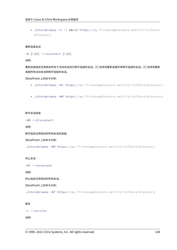• ./storebrowse -S -i 16x16 https://my.firstexamplestore.net/Citrix/Store /discovery

### 重新连接会话

```
-W [r|R] --reconnect [r|R]
```
说明:

重新连接指定应用商店的处于活动状态但已断开连接的会话。[r] 选项将重新连接所有断开连接的会话。[r] 选项将重新 连接所有活动会话和断开连接的会话。

StoreFront 上的命令示例:

- ./storebrowse -Wr https://my.firstexamplestore.net/Citrix/Store/discovery
- ./storebrowse -WR https://my.firstexamplestore.net/Citrix/Store/discovery

#### 断开会话连接

-WD --disconnect

说明:

断开指定应用商店的所有会话的连接。

StoreFront 上的命令示例:

./storebrowse -WD https://my.firstexamplestore.net/Citrix/Store/discovery

终止会话

-WT --terminate

说明:

终止指定应用商店的所有会话。

StoreFront 上的命令示例:

./storebrowse -WT https://my.firstexamplestore.net/Citrix/Store/discovery

### 版本

```
-v --version
```
说明: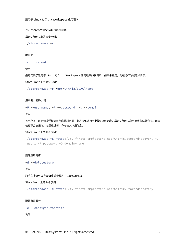显示 storebrowse 实用程序的版本。

StoreFront 上的命令示例:

./storebrowse -v

#### 根目录

```
-r --icaroot
```
说明:

指定安装了适用于 Linux 的 Citrix Workspace 应用程序的根目录。如果未指定,则在运行时确定根目录。

StoreFront 上的命令示例:

./storebrowse -r /opt/Citrix/ICAClient

用户名、密码、域

-U --username, -P --password, -D --domain

说明:

将用户名、密码和域详细信息传递给服务器。此方法仅适用于 PNA 应用商店。StoreFront 应用商店忽略此命令。详细 信息不会被缓存。必须通过每个命令输入详细信息。

### StoreFront 上的命令示例:

```
./storebrowse -E https://my.firstexamplestore.net/Citrix/Store/discovery -U
user1 -P password -D domain-name
```
### 删除应用商店

-d --deletestore

说明:

取消在 ServiceRecord 后台程序中注册应用商店。

StoreFront 上的命令示例:

./storebrowse -d https://my.firstexamplestore.net/Citrix/Store/discovery

#### 配置自助服务

```
-c --configselfservice
```
## 说明: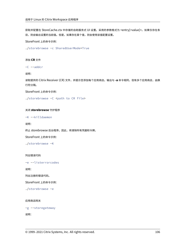获取并配置在 StoreCache.ctx 中存储的自助服务式 UI 设置。采用的参数格式为 <entry[=value]>。如果仅存在条 目,则会输出设置的当前值。但是,如果存在某个值,则会使用该值配置设置。

StoreFront 上的命令示例:

./storebrowse -c SharedUserMode=True

添加 **CR** 文件

-C --addcr

说明:

读取提供的 Citrix Receiver (CR) 文件, 并提示您添加每个应用商店。输出与 -a 命令相同, 但有多个应用商店, 由换 行符分隔。

StoreFront 上的命令示例:

./storebrowse -C <path to CR file>

关闭 **storebrowse** 守护程序

-K --killdaemon

说明:

终止 storebrowse 后台程序。因此,将清除所有凭据和令牌。

StoreFront 上的命令示例:

./storebrowse -K

列出错误代码

-e --listerrorcodes

说明:

列出注册的错误代码。

StoreFront 上的命令示例:

./storebrowse -e

### 应用商店网关

```
-g --storegateway
```
说明: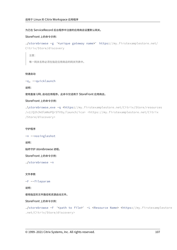### 为已在 ServiceRecord 后台程序中注册的应用商店设置默认网关。

#### StoreFront 上的命令示例:

```
./storebrowse -g "<unique gateway name>" https://my.firstexamplestore.net/
Citrix/Store/discovery
```
注意:

唯一网关名称必须在指定应用商店的网关列表中。

### 快速启动

-q, --quicklaunch

### 说明:

使用直接 URL 启动应用程序。此命令仅适用于 StoreFront 应用商店。

#### StoreFront 上的命令示例:

.\storebrowse.exe -q <https://my.firstexamplestore.net/Citrix/Store/resources /v2/Q2hJkOlmNoPQrSTV9y/launch/ica> <https://my.firstexamplestore.net/Citrix /Store/discovery>

### 守护程序

-n --nosingleshot

说明:

始终守护 storebrowse 进程。

StoreFront 上的命令示例:

./storebrowse -n

### 文件参数

-F --fileparam

说明:

使用指定的文件路径和资源启动文件。

StoreFront 上的命令示例:

./storebrowse -F "<path to file>" -L <Resource Name> <https://my.firstexamplestore .net/Citrix/Store/discovery>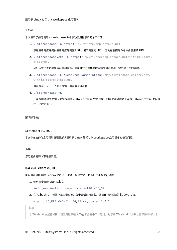### 工作流

本文演示了如何使用 storebrowse 命令启动应用程序的简单工作流:

1. ./storebrowse -a https://my.firstexamplestore.net

添加应用商店并提供应用商店的完整 URL。记下完整的 URL,因为在后面的命令中会使用该 URL。

2. ./storebrowse.exe -E https://my.firstexamplestore.net/Citrix/Store/ discovery

列出所有已发布的应用程序和桌面。使用针对已注册的应用商店显示的弹出窗口输入您的凭据。

3. ./storebrowse -L <Resource\_Name> https://my.firstexamplestore.net/ Citrix/Store/discovery

启动资源。从上一个命令的输出中获取资源名称。

4. ./storebrowse -K

此命令将清除之前输入的凭据并关闭 storebrowse 守护程序。如果未明确提及此命令, storebrowse 进程将 在一小时后退出。

# 故障排除

September 10, 2021

本文中包含的信息可帮助管理员解决适用于 Linux 的 Citrix Workspace 应用程序的任何问题。

### 连接

您可能会遇到以下连接问题。

# **ICA** 启动 **Fedora 29/30**

ICA 启动可能会在 Fedora 29/30 上失败。解决方法:按照以下步骤进行操作:

1. 使用命令安装 openssl10。

sudo yum install compat-openssl10.x86\_64

2. 在 ~/.bashrc 中设置环境变量以便为每个会话进行加载。此操作指向较旧的 libcrypto 库。

```
export LD_PRELOAD=/lib64/libcrypto.so.1.0.2o
```
注意:

与 Wayland 合成器相比,该应用程序在 X.Org 服务器中工作运行。对于将 Wayland 作为默认图形协议的发行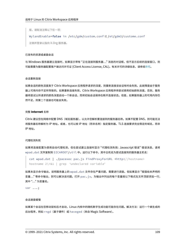版,请取消注释以下任一项:

WylandEnable=**false** in /etc/gdm/custom.conf 或 /et/gdm3/custome.conf

注销并登录以指向 X.Org 服务器。

#### 已发布的资源或桌面会话

与 Windows 服务器建立连接时,如果显示带有 "正在连接到服务器..." 消息的对话框,但不显示后续的连接窗口,则 可能需要为服务器配置客户端访问许可证 (Client Access License, CAL)。有关许可的详细信息,请参阅许可。

#### 会话重新连接

如果会话的颜色深度高于 Citrix Workspace 应用程序请求的深度,则重新连接该会话有时会失败。此故障是由于服务 器上可用内存不足所导致的。如果重新连接失败,Citrix Workspace 应用程序将尝试使用初始颜色深度。否则,服务 器将尝试以所请求的颜色深度启动一个新会话,而将初始会话保持在断开连接状态。但是,如果服务器上的可用内存仍 然不足,则第二个连接也可能会失败。

#### 完整 **Internet** 名称

Citrix 建议您在网络中配置 DNS(域名服务器),以允许您解析要连接到的服务器名称。如果不配置 DNS,则可能无法 将服务器名称解析为 IP 地址。或者,也可以按 IP 地址(而非名称)指定服务器。TLS 连接要求完全限定的域名,而非 IP 地址。

#### 代理检测失败

如果将连接配置为使用自动代理检测,但在尝试建立连接时显示 "代理检测失败: Javascript 错误" 错误消息,请将 wpad.dat 文件复制到 \$ICAROOT/util 中。运行以下命令,其中主机名为尝试连接到的服务器主机名:

```
cat wpad.dat | ./pacexec pac.js FindProxyForURL <http://hostname>
hostname 2\>&1 | grep "undeclared variable"
```
如果未显示命令输出,说明服务器上的 wpad.dat 文件存在严重问题,需要进行调查。但如果显示 "赋值给未声明的 变量..." 等命令输出,则可以解决该问题。打开 pac . j s,为输出中列出的每个变量按以下格式在文件顶部添加一行, 其中 "…" 为变量名。

var ...;

#### 会话速度缓慢

如果某个会话在您移动鼠标后才启动,Linux 内核中的随机数字生成功能可能存在问题。解决方法:运行一个熵生成的 后台程序, 例如 rngd(基于硬件)或 haveged(来自 Magic Software)。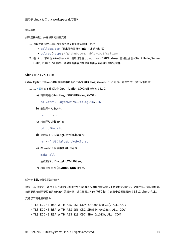## 密码套件

如果连接失败,并提供新的加密支持:

- 1. 可以使用各种工具来检查服务器支持的密码套件,包括:
	- Ssllabs.com(要求服务器具有 Internet 访问权限)
	- sslyze (https://github.com/nabla-c0d3/sslyze)
- 2. 在 Linux 客户端 WireShark 中,使用过滤器 (ip.addr == VDAIPAddress) 查找数据包 (Client Hello, Server Hello) 以查找 SSL 部分。结果包含由客户端发送并由服务器接受的密码套件。

# **Citrix** 优化 **SDK** 不正确

Citrix Optimization SDK 软件包中包含不正确的 UIDialogLibWebKit.so 版本。解决方法:执行以下步骤:

- 1. 从下载页面下载 Citrix Optimization SDK 软件包版本 18.10。
	- a) 转到路径 CitrixPluginSDK/UIDialogLib/GTK:

[c](https://www.citrix.co.in/downloads/workspace-app/legacy-workspace-app-for-linux/workspace-app-for-linux-1810.html)d CitrixPluginSDK/UIDialogLib/GTK

- b) 删除所有对象文件:
	- rm -rf \*.o
- c) 转到 WebKit 文件夹:
	- cd ../WebKit
- d) 删除现有 UIDialogLibWebKit.so 包:
	- rm -rf UIDialogLibWebKit.so
- e) 在 WebKit 目录中使用以下命令:
	- make all

生成新的 UIDialogLibWebKit.so。

f) 将新库复制到 **\$ICAROOT/lib** 目录中。

适用于 **SSL** 连接的弱密码套件

建立 TLS 连接时,适用于 Linux 的 Citrix Workspace 应用程序默认情况下将提供更加新式、更加严格的密码套件集。 如果要连接到需要较旧的密码套件的服务器,请在配置文件的 [WFClient] 部分中设置配置选项 SSLCiphers=ALL。

支持以下高级密码套件:

- TLS\_ECDHE\_RSA\_WITH\_AES\_256\_GCM\_SHA384 (0xc030)、ALL、GOV
- TLS\_ECDHE\_RSA\_WITH\_AES\_256\_CBC\_SHA384 (0xc028)、ALL、GOV
- TLS\_ECDHE\_RSA\_WITH\_AES\_128\_CBC\_SHA (0xc013)、ALL、COM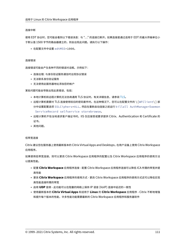#### 连接中断

使用 EDT 协议时,您可能会看到以下错误消息: 与 "..." 的连接已断开。 如果连接是通过适用于 EDT 的最大传输单位小 于默认值 1500 字节的路由器建立的,则会出现此问题。请执行以下操作:

• 在配置文件中设置 edtMSS=1000。

#### 连接错误

连接错误可能会产生各种不同的错误对话框。示例如下:

- 连接出错: 与身份验证服务通信时出现协议错误
- 无法联系身份验证服务
- 无法使用此服务器地址添加您的帐户

某些问题可能会导致出现此类错误,包括:

- 本地计算机和远程计算机无法协商通用 TLS 协议时。有关详细信息,请参阅 TLS。
- 远程计算机需要对 TLS 连接使用较旧的密码套件时。在这种情况下,您可以在配置文件的 \ [WFClient\] 部 分中设置配置选项 SSLCiphers=ALL,然后在重新启动连接之前运行 killall AuthManagerDaemon ServiceRecord selfservice storebrowse。
- 远程计算机不恰当地请求客户端证书时。IIS 仅应接受或要求提供 Citrix、Authentication 和 Certificate 的 证书。
- 其他问题。

#### 低带宽连接

Citrix 建议您在服务器上使用最新版本的 Citrix Virtual Apps and Desktops,在用户设备上使用 Citrix Workspace 应用程序。

如果使用低带宽连接,则可以更改 Citrix Workspace 应用程序的配置以及 Citrix Workspace 应用程序的使用方法 以提高性能。

- 配置 **Citrix Workspace** 应用程序连接 ‑ 配置 Citrix Workspace 应用程序连接可以降低 ICA 所需的带宽并提 高性能
- 更改 **Citrix Workspace** 应用程序的使用方式 ‑ 更改 Citrix Workspace 应用程序的使用方式还可以降低实现 高性能连接所需的带宽
- 启用 **UDP** 音频 ‑ 此功能可以在阻塞的网络上保持 IP 语音 (VoIP) 连接中延迟的一致性
- 使用最新版本的 **Citrix Virtual Apps** 和适用于 **Linux** 的 **Citrix Workspace** 应用程序 ‑ Citrix 不断地增强 和提升每个版本的性能,许多性能功能需要最新的 Citrix Workspace 应用程序和服务器软件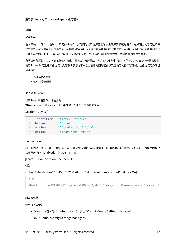## 显示

## 屏幕撕裂

在水平块中,两个(或多个)不同的帧的几个部分同时出现在屏幕上时会出现屏幕撕裂的情况。在桌面上内容更改频率 非常快的大型区域中此问题最常见。尽管在 VDA 中数据是通过避免撕裂的方式捕获的,并且数据通过不引入撕裂的方式 传递到客户端,X11 (Linux/Unix 图形子系统)仍然不提供通过阻止撕裂的方式一致地绘制到屏幕的方法。

为防止屏幕撕裂,Citrix 建议您使用将应用程序绘制与屏幕绘制同步的标准方法。即,等待 vsvnc 启动下一帧的绘制。 使用 Linux 时可选择某些选项,具体取决于您在客户端上使用的图形硬件以及您使用的窗口管理器。这些选项分为两组 解决方案:

- X11 GPU 设置
- 使用组合管理器

## **X11 GPU** 配置

对于 Intel 高清图形,请在名为 **20‑intel.conf** 的 xorg.conf.d 中创建一个包含以下内容的文件:

Section "Device"

| Identifier | "Intel Graphics"    |
|------------|---------------------|
| 2 Driver   | "intel"             |
| 3 Option   | "AccelMethod" "sna" |
| 4 Option   | "TearFree" "true"   |

# EndSection

对于 NVIDIA 图形,请在 xorg.conf.d 文件夹中找到包含您的配置的 "MetaModes" 选项的文件。对于所使用的每个 以逗号分隔的 MetaMode,请添加以下内容:

```
{ForceFullCompositionPipeline = On}
```
例如:

Option "MetaModes" "DFP‑0: 1920x1200 +0+0 {ForceFullCompositionPipeline = On}"

注意:

不同的 Linux 分发包使用不同的 xorg.conf.d 路径,例如 /etc/X11/xorg.conf.d 或 /user/share/X11/xorg.conf.d。

## 组合管理器

使用以下命令:

• Compiz(嵌入到 Ubuntu Unity 中)。安装 "CompizConfig Settings Manager"。

运行 "CompizConfig Settings Manager"。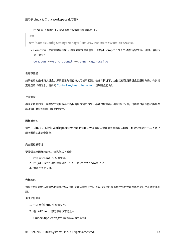#### 在"常规 -> 撰写"下,取消选中"取消重定向全屏窗口"。

注意:

使用"CompizConfig Settings Manager"时应谨慎,因为错误地更改值会阻止系统启动。

• Compton (加载项实用程序)。有关完整的详细信息,请参阅 Compton 的人工操作页面/文档。例如,请运行 以下命令:

compton --vsync opengl --vsync -aggressive

#### 击键不正确

如果使用的是非英文键盘,屏幕显示与键盘输入可能不匹配。在这种情况下,应指定所使用的键盘类型和布局。有关指 定键盘的详细信息,请参阅 Control keyboard behavior(控制键盘行为)。

#### 过度重绘

移动无缝窗口时,某些窗口管理器会不断报告新的窗口位置,导致过度重绘。要解决此问题,请将窗口管理器切换到在 移动窗口时仅绘制窗口轮廓的模式。

#### 图标兼容性

适用于 Linux 的 Citrix Workspace 应用程序将创建与大多数窗口管理器兼容的窗口图标,但这些图标并不与 X 客户 端间通信约定完全兼容。

#### 完全图标兼容性

要提供完全图标兼容性,请执行以下操作:

- 1. 打开 wfclient.ini 配置文件。
- 2. 在 [WFClient] 部分中编辑以下行:UseIconWindow=True
- 3. 保存并关闭文件。

#### 光标颜色

如果光标的颜色与背景色相同或相似,则可能难以看到光标。可以将光标区域的颜色强制设置为黑色或白色来修复此问 题。

#### 更改光标颜色

- 1. 打开 wfclient.ini 配置文件。
- 2. 在 [WFClient] 部分添加以下行之一:

CursorStipple=ffff,ffff(将光标设置为黑色)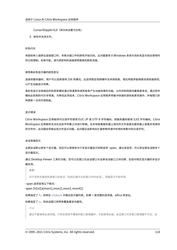CursorStipple=0,0 (将光标设置为白色)

3. 保存并关闭文件。

#### 彩色闪光

将鼠标移入或移出连接窗口时,非焦点窗口中的颜色开始闪烁。此问题是将 X Windows 系统与伪彩色显示结合使用时 的已知限制。如有可能,请为受影响的连接使用更高的颜色深度。

#### 使用真彩色显示器的颜色变化

连接到服务器时,用户可以选择使用 256 色模式。此选项假定视频硬件支持调色板,使应用程序能够更改调色板颜色, 以产生动画显示效果。

真彩色显示没有相应的机制来模拟通过快速更改调色板来产生动画效果的功能。从时间和网络流量角度来说,通过软件 模拟此机制的代价非常高。为降低此项成本,Citrix Workspace 应用程序将缓冲快速的调色板更改操作,并每隔几秒 钟更新一次实时调色板。

#### 显示错误

Citrix Workspace 应用程序对日语字符使用 EUC‑JP 或 UTF‑8 字符编码,而服务器则使用 SJIS 字符编码。Citrix Workspace 应用程序无法在这些字符集之间进行转换。在本地查看服务器上保存的文件或者在服务器上查看本地保存 的文件时,此问题会导致出现文件显示问题。此问题还会影响在扩展参数传递中所用的参数中的日语字符。

#### 会话宽幅显示

全屏会话默认跨多个显示器,但还可以使用命令行多显示器显示控制选项 ‑span。通过该选项,可以将全屏会话跨多个 显示器显示。

通过 Desktop Viewer 工具栏功能,您可以在窗口化会话窗口与全屏会话窗口之间切换,包括对相交显示器的多显示 器支持。

重要:

对于采用无缝或标准窗口的会话(包括已最大化的窗口中的会话),宽幅显示不起作用。

‑ span 选项采用以下格式:

‑span [h][o][a|mon1[,mon2[,mon3, mon4]]]

如果指定了 h,则将在 stdout 中输出显示器列表。如果 h 是完整的选项值, wfica 将退出。

## 如果指定了 o, 则会话窗口将带有覆盖重定向属性。

小心:

建议不要使用此选项值。只有在使用不兼容的窗口管理器时,才能使用此值。会话窗口对该窗口管理器不可见,没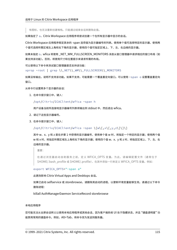有图标,也无法重新创建堆栈。只能通过结束会话来删除此值。

如果指定了 a,Citrix Workspace 应用程序将尝试创建一个在所有显示器中显示的会话。

Citrix Workspace 应用程序假定其余的 ‑span 选项值为显示器编号的列表。使用单个值可选择特定的显示器,使用两 个值可选择所需区域左上角和右下角的显示器,使用四个值可指定区域上、下、左、右边缘的显示器。

如果未指定 o, wfica 将使用 NET\_WM\_FULLSCREEN\_MONITORS 消息从窗口管理器中请求相应的窗口布局(如 果支持该功能)。否则,将使用尺寸和位置提示来请求所需的布局。

可以使用以下命令来测试窗口管理器是否支持该功能:

xprop -root | grep \\\_NET\\\_WM\\\_FULLSCREEN\\\_MONITORS

如果没有输出,说明不支持该功能。如果不支持,可能需要一个覆盖重定向窗口。可以使用 -span o 设置覆盖重定向 窗口。

从命令行设置跨多个显示器的会话:

1. 在命令提示窗口中,键入:

/opt/Citrix/ICAClient/wfica -span h

用户设备当前所连接地显示器编号列表将输出到 stdout 中,然后退出 wfica。

- 2. 请记下这些显示器编号。
- 3. 在命令提示窗口中,键入:

/opt/Citrix/ICAClient/wfica -span \[w\[,x\[,y,z\]\]\]

其中 w、x、y 和 z 是在步骤 1 中获得的显示器编号,使用单个值 w 时,将指定一个特定的显示器;使用两个值 w 和 x 时,将指定所需区域左上角和右下角的显示器;使用四个值 w、x、y 和 z 时,将指定区域上、下、左、右 边缘的显示器。

重要:

在通过浏览器启动自助服务之前,定义 WFICA\_OPTS 变量。为此,请编辑配置文件(通常位于 \$HOME/.bash\_profile 或 \$HOME/.profile), 在其中添加一行来定义 WFICA\_OPTS 变量。例如:

export WFICA\_OPTS="-span a"

此更改影响 Citrix Virtual Apps and Desktops 会话。

如果已启动 selfservice 或 storebrowse,请删除其启动的进程,以便新环境变量能够生效。请通过以下命令 删除进程:

killall AuthManagerDaemon ServiceRecord storebrowse

## 本地应用程序

您可能无法从全屏会话转义以使用本地应用程序或其他会话,因为客户端系统 UI 处于隐藏状态,并且 "键盘透明度" 功 能禁用常用的键盘命令。例如,Alt+Tab,将命令改为发送到服务器。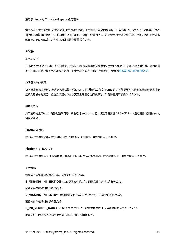解决方法:使用 Ctrl+F2 暂时关闭键盘透明度功能,直至焦点下次返回会话窗口。备选解决方法为在 \$ICAROOT/config/module.ini 中将 TransparentKeyPassthrough 设置为 No。这将禁用键盘透明度功能。但是,您可能需要通 过在 All\_regions.ini 文件中添加此设置来覆盖 ICA 文件。

#### 浏览器

#### 本地浏览器

在 Windows 会话中单击某个链接时,链接内容将显示在本地浏览器中。wfclient.ini 中启用了服务器到客户端内容重 定向功能。这将导致本地应用程序运行。要禁用服务器‑客户端内容重定向,请参阅服务器‑客户端内容重定向。

#### 访问已发布的资源

访问已发布的资源时,您的浏览器会提示保存文件。除 Firefox 和 Chrome 外,可能需要对其他浏览器进行配置才能 连接到已发布的资源。但在尝试通过单击该页面上的图标访问资源时,浏览器将提示您保存 ICA 文件。

#### 特定浏览器

如果使用特定 Web 浏览器时遇到问题,请在运行 setupwfc 前,设置环境变量 BROWSER,以指定所需浏览器的本地 路径和名称。

## **Firefox** 浏览器

在 Firefox 中启动桌面或应用程序时,如果页面没有响应,请尝试启用 ICA 插件。

## **Firefox** 中的 **ICA** 插件

在 Firefox 中启用了 ICA 插件时,桌面和应用程序会话可能未启动。在这种情况下,请尝试禁用 ICA 插件。

#### 配置错误

如果某个连接条目配置不正确,可能会出现以下错误。

**E\_MISSING\_INI\_SECTION ‑** 验证配置文件**:"…"**。配置文件中的 **"…"** 部分丢失。

配置文件存在编辑错误或已损坏。

**E\_MISSING\_INI\_ENTRY ‑** 验证配置文件**:"…"**。**"…"** 部分中必须包含条目 **"…"**。

配置文件存在编辑错误或已损坏。

**E\_INI\_VENDOR\_RANGE ‑** 验证配置文件**:"…"**。配置文件中的 **X** 服务器供应商范围 **"…"** 无效。

配置文件中的 X 服务器供应商信息已损坏。请与 Citrix 联系。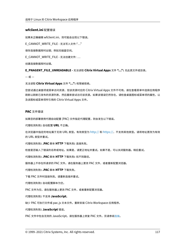## **wfclient.ini** 配置错误

如果未正确编辑 wfclient.ini, 则可能会出现以下错误。

E\_CANNOT\_WRITE\_FILE ‑ 无法写入文件:"…"

保存连接数据库时出错;例如无磁盘空间。

E\_CANNOT\_WRITE\_FILE ‑ 无法创建文件: …

创建连接数据库时出错。

**E\_PNAGENT\_FILE\_UNREADABLE ‑** 无法读取 **Citrix Virtual Apps** 文件 **"…":** 无此类文件或目录。

 $-\n$ 或 $-$ 

无法读取 **Citrix Virtual Apps** 文件 **"…":** 权限被拒绝。

您尝试通过桌面项或菜单访问资源,但该资源对应的 Citrix Virtual Apps 文件不可用。请在查看菜单中选择应用程序 刷新以刷新已发布的资源列表,然后重新尝试访问该资源。如果该错误仍然存在,请检查桌面图标或菜单项的属性,以 及该图标或菜单项所引用的 Citrix Virtual Apps 文件。

#### **PAC** 文件错误

如果您的部署使用代理自动配置 (PAC) 文件指定代理配置,则会发生以下错误。

代理检测失败**:** 自动配置 **URL** 不正确。

在浏览器中指定的地址属于无效 URL 类型。有效类型为 http:// 和 https://,不支持其他类型。请将地址更改为有效 的 URL 类型并重试。

代理检测失败**: .PAC** 脚本 **HTTP** 下载失败**:** 连接失败。

检查是否输入了错误的名称或地址。如果是,请更正地址[并重试。](http://)如[果不是,可](https://)以关闭服务器。稍后重试。

代理检测失败**: .PAC** 脚本 **HTTP** 下载失败**:** 找不到路径。

服务器上不存在所请求的 PAC 文件。请在服务器上更改 PAC 文件,或者重新配置浏览器。

代理检测失败**: .PAC** 脚本 **HTTP** 下载失败。

下载 PAC 文件时连接失败。请重新连接并重试。

代理检测失败**:** 自动配置脚本为空。

PAC 文件为空。请在服务器上更改 PAC 文件,或者重新配置浏览器。

代理检测失败**:** 不支持 **JavaScript**。

缺少 PAC 可执行文件或 pac.js 文本文件。重新安装 Citrix Workspace 应用程序。

#### 代理检测失败**: JavaScript** 错误。

PAC 文件中包含无效的 JavaScript。请在服务器上修复 PAC 文件。另请参阅连接。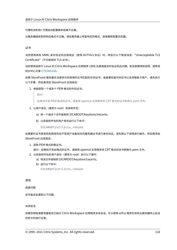代理检测失败**:** 代理自动配置脚本结果不正确。

从服务器接收到的响应格式不正确。请在服务器上修复响应的格式,或者重新配置浏览器。

证书

当您使用具有 SAML 身份验证的应用商店(使用 AUTHv3 协议)时, 将显示以下错误消息: "Unacceptable TLS Certificate"(不可接受的 TLS 证书)。

当您使用适用于 Linux 的 Citrix Workspace 应用程序 1906 及更高版本时会出现此问题。有关故障排除说明,请参阅 知识中心文章 CTX260336。

如果 StoreFront 服务器无法提供与所使用的证书匹配的中间证书,或者要安装中间证书以支持智能卡用户,请先执行 以下步骤,然后再添加 StoreFront 应用商店:

1. 单独获[取一个或多个](https://support.citrix.com/article/CTX260336) PEM 格式的中间证书。

提示:

如果找不到 PEM 格式的证书,请使用 openssl 实用程序将 CRT 格式的证书转换为.pem 文件。

- 2. 以用户身份(通常为 root)安装软件包:
	- a) 将一个或多个文件复制到 \$ICAROOT/keystore/intcerts。
	- b) 以安装软件包的用户身份运行以下命令:

\$ICAROOT/util/ctx\_rehash

如果要对证书颁发机构颁发的尚不受用户设备信任的服务器证书进行身份验证,请先按以下说明进行操作,然后再添加 StoreFront 应用商店:

1. 获取 PEM 格式的根证书。

提示:如果找不到此格式的证书,请使用 openssl 实用程序将 CRT 格式的证书转换为.pem 文件。

- 2. 以安装软件包的用户身份(通常为 root)执行以下操作:
	- a) 将该文件复制到 \$ICAROOT/keystore/cacerts。
	- b) 运行以下命令:

\$ICAROOT/util/ctx\_rehash

其他

连接问题

您可能还会遇到以下问题。

关闭会话

如果您想知道服务器是否已指示 Citrix Workspace 应用程序关闭会话,可以使用 *wfica* 程序在收到从服务器终止会话 的命令时进行记录。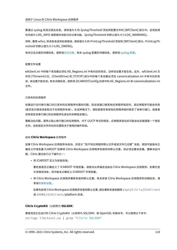要通过 syslog 系统记录此信息,请将值为 6 的 *SyslogThreshold* 添加到配置文件的 [WFClient] 部分中。这将启用 优先级为 LOG\_INFO 或更高的消息日志记录功能。*SyslogThreshold* 的默认值为 4 (=LOG\_WARNING)。

同样,要使 *wfica,* 将消息发送到标准错误,请将值为 6 的 *PrintLogThreshold* 添加到 [WFClient] 部分。*PrintLogTh‑ reshold* 的默认值为 0 (=LOG\_EMERG)。

有关日志记录的详细信息,请参阅日志记录,有关 syslog 配置的详细信息,请参阅 syslog 配置。

## 配置文件设置

wfclient.ini 中的每个条目都必须在 All\_Regions.ini 中有对应的条目,这样该设置才能生效。此外,wfclient.ini 文 件的 [Thinwire3.0]、[ClientDrive] 和 [TCP/IP] 部分中的每个条目都必须在 canonicalization.ini 中有对应的条 目,该设置才能生效。 有关详细信息,请参阅 \$ICAROOT/config 目录中的 All\_Regions.ini 和 canonicalization.ini 文件。

## 已发布的应用程序

如果运行访问串行端口的已发布的应用程序时遇到问题,则当该端口被其他应用程序锁定时,该应用程序可能会失败 (是否显示错误消息取决于应用程序本身)。在这种情况下,请检查是否有其他应用程序临时锁定了该串行端口,或者是 否有锁定该串行端口的应用程序在退出时未释放该端口。

要解决此问题,请停止阻止串行端口的应用程序。对于 UUCP 样式的锁定,应用程序退出后可能会在后面遗留一个锁定 文件。这些锁定文件所在的位置取决于使用的操作系统。

# 启动 **Citrix Workspace** 应用程序

如果 Citrix Workspace 应用程序未启动,并显示 "找不到应用程序默认文件或该文件已过期" 消息。原因可能是未正 确定义环境变量 ICAROOT 如果将 Citrix Workspace 应用程序安装到非默认位置,则必须设置该变量。要解决此问 题,Citrix 建议执行以下操作之一:

• 将 ICAROOT 定义为安装目录。

要检查是否正确定义了 ICAROOT 环境变量,请尝试从终端会话启动 Citrix Workspace 应用程序。如果仍显 示该错误消息,则可能未正确定义 ICAROOT 环境变量。

• 将 Citrix Workspace 应用程序重新安装到默认位置。有关安装 Citrix Workspace 应用程序的详细信息,请 参阅安装和设置。

如果先前将 Citrix Workspace 应用程序安装到默认位置,请在重新安装前删除 /opt/Citrix/ICAClient 或 \$[HOME/ICA](https://docs.citrix.com/zh-cn/citrix-workspace-app-for-linux/install.html)Client/platform 目录。

# **Citrix CryptoKit**(以前称为 **SSLSDK**)

要查找您正在运行的 Citrix CryptoKit(以前称为 SSLSDK)或 OpenSSL 的版本号,可以使用以下命令: strings libctxssl.so | grep "Citrix SSLSDK"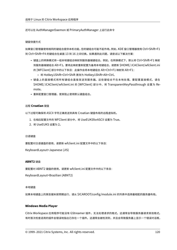还可以在 AuthManagerDaemon 或 PrimaryAuthManager 上运行此命令

# 键盘快捷方式

如果窗口管理器使用相同的键组合提供本机功能,您的键组合可能不起作用。例如,KDE 窗口管理器使用 Ctrl+Shift+F1 到 Ctrl+Shift+F4 的键组合在桌面 13 到 16 之间切换。如果遇到此问题,请尝试以下解决方案:

- 键盘上的转换模式将一组本地键组合映射到服务器端键组合。例如,在转换模式下,默认将 Ctrl+Shift+F1 映射 到服务器端键组合 Alt+F1。要将此映射重新配置为备用本地键组合,请更新 \$HOME/.ICAClient/wfclient.ini 的 [WFClient] 部分中的以下条目:此操作会将本地键组合 Alt+Ctrl+F1 映射到 Alt+F1:
	- **–** 将 Hotkey1Shift=Ctrl+Shift 更改为 Hotkey1Shift=Alt+Ctrl。
- 键盘上的直接模式将所有键组合直接发送到服务器。这些键组合不在本地处理。要配置直接模式,请在 \$HOME/.ICAClient/wfclient.ini 的 [WFClient] 部分中, 将 TransparentKeyPassthrough 设置为 Remote。
- 重新配置窗口管理器,使其阻止使用默认键盘组合。

# 远程 **Croatian** 键盘

以下过程可确保将 ASCII 字符正确发送到具有 Croatian 键盘布局的远程虚拟机。

- 1. 在相应配置文件的 WFClient 部分中,将 UseEUKSforASCII 设置为 True。
- 2. 将 UseEUKS 设置为 2。

# 日语键盘

要配置对日语键盘的使用,请更新 wfclient.ini 配置文件中的以下条目:

KeyboardLayout=Japanese (JIS)

# **ABNT2** 键盘

要配置对 ABNT2 键盘的使用,请更新 wfclient.ini 配置文件中的以下条目:

KeyboardLayout=Brazilian (ABNT2)

## 本地键盘

如果本地键盘上的某些键未按预期运行,请从 \$ICAROOT/config/module.ini 的列表中选择最相配的服务器布局。

# **Windows Media Player**

Citrix Workspace 应用程序可能没有 GStreamer 插件,无法处理请求的格式。这通常会导致服务器请求其他格式。 有时首次检查适用的插件会错误地指出已存在一个插件。这通常会被检测到,并且会导致服务器上显示一个错误对话框,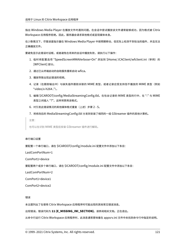指出 Windows Media Player 在播放文件时遇到问题。在会话中尝试播放该文件通常能够成功,因为格式被 Citrix Workspace 应用程序拒绝。因此,服务器会请求其他格式或呈现媒体本身。

在少数情况下,尽管进度指示器在 Windows Media Player 中按预期移动,但实际上检测不到恰当的插件,并且无法 正确播放文件。

要避免显示此错误对话框,或者避免在将来的会话中播放失败,请执行以下操作:

- 1. 临时将配置选项"SpeedScreenMMAVerbose=On"添加到 \$Home/.ICAClient/wfclient.ini(举例)的 [WFClient] 部分。
- 2. 通过已从终端启动的自助服务重新启动 wfica。
- 3. 播放导致出现此错误的视频。
- 4. 记录(在跟踪输出中)与缺失插件跟踪关联的 MIME 类型,或者记录应受支持但不播放的 MIME 类型(例如 "video/x‑h264..")。
- 5. 编辑 \$ICAROOT/config/MediaStreamingConfig.tbl。在包含记录的 MIME 类型的行中, 在":" 与 MIME 类型之间插入 "?"。这样将禁用该格式。
- 6. 对引发此错误情况的其他媒体格式重复(上述)步骤 2 ‑ 5。
- 7. 将修改后的 MediaStreamingConfig.tbl 分发到安装了相同的一组 GStreamer 插件的其他计算机。

注意:

也可以在识别 MIME 类型后安装 GStreamer 插件进行解码。

#### 串行端口设置

要配置一个串行端口,请在 \$ICAROOT/config/module.ini 配置文件中添加以下条目:

LastComPortNum=1

ComPort1=device

要配置两个或多个串行端口,请在 \$ICAROOT/config/module.ini 配置文件中添加以下条目:

LastComPortNum=2

ComPort1=device1

ComPort2=device2

## 错误

本主题列出了在使用 Citrix Workspace 应用程序时可能出现的其他常见错误消息。

出现错误。错误代码为 **11 (E\_MISSING\_INI\_SECTION)**。请参阅相关文档。正在退出。

从命令行运行 Citrix Workspace 应用程序时,此消息通常意味着在 appsrv.ini 文件中未找到命令行中指定的说明。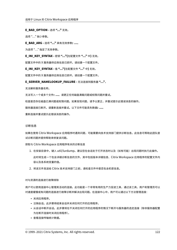## **E\_BAD\_OPTION ‑** 选项 **"…"** 无效。

选项 "…" 缺少参数。

**E\_BAD\_ARG ‑** 选项 **"…"** 具有无效参数**: …**。

为选项 "…" 指定了无效参数。

**E\_INI\_KEY\_SYNTAX ‑** 密钥 **"…"(**在配置文件 **"…"** 中**)** 无效。

配置文件中的 X 服务器供应商信息已损坏。请创建一个配置文件。

**E\_INI\_KEY\_SYNTAX ‑** 值 **"…"(**在配置文件 **"…"** 中**)** 无效。

配置文件中的 X 服务器供应商信息已损坏。请创建一个配置文件。

**E\_SERVER\_NAMELOOKUP\_FAILURE ‑** 无法连接到服务器 **"…"**。

无法解析服务器名称。

无法写入一个或多个文件**: …**。请更正任何磁盘满载问题或权限问题并重试。

检查是否存在磁盘已满问题或权限问题。如果发现问题,请予以更正,并重试提示此错误消息的操作。

服务器连接已断开。请重新连接并重试。以下文件可能丢失数据**: …**。

重新连接并重试提示此错误消息的操作。

诊断信息

如果在使用 Citrix Workspace 应用程序时遇到问题,可能需要向技术支持部门提供诊断信息。此信息可帮助此团队尝 试诊断问题并提供帮助来修复该问题。

获取与 Citrix Workspace 应用程序有关的诊断信息

- 1. 在安装目录中,键入 util/lurdump。建议您在会话处于打开状态时以及(如有可能)出现问题时执行此操作。 此时将生成一个包含详细诊断信息的文件,其中包括版本详细信息、Citrix Workspace 应用程序的配置文件内 容以及各系统变量的值。
- 2. 将该文件发送给 Citrix 技术支持部门之前,请检查文件中是否包含机密信息。

对与资源的连接进行故障排除

用户可以使用连接中心管理其活动的连接。此功能是一个非常有用的生产力促进工具,通过该工具,用户和管理员可以 对速度缓慢或有问题的连接进行故障诊断并解决出现问题。在连接中心中,用户可以通过以下方法管理连接:

- 关闭应用程序。
- 注销会话。此步骤将结束会话并关闭任何打开的应用程序。
- 从会话中断开会话。此步骤将在不关闭任何打开的应用程序的情况下断开与服务器的选定连接(除非服务器配置 为在断开连接时关闭应用程序)。
- 查看连接传输统计数据。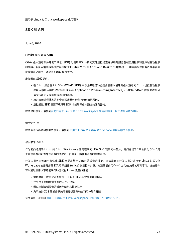# **SDK** 和 **API**

July 6, 2020

## **Citrix** 虚拟通道 **SDK**

Citrix 虚拟通道软件开发工具包 (SDK) 为使用 ICA 协议的其他虚拟通道提供编写服务器端应用程序和客户端驱动程序 的支持。服务器端虚拟通道应用程序位于 Citrix Virtual Apps and Desktops 服务器上。如果要为其他客户端平台编 写虚拟驱动程序,请联系 Citrix 技术支持。

虚拟通道 SDK 提供:

- 在 Citrix 服务器 API SDK (WFAPI SDK) 中与虚拟通道功能结合使用以创建新虚拟通道的 Citrix 虚拟驱动程序 应用程序编程接口 (Virtual Driver Application Programming Interface, VDAPI)。VDAPI 提供的虚拟通 道支持简化了编写虚拟通道的过程。
- 用来演示编程技术的多个虚拟通道示例程序的有效源代码。
- 虚拟通道 SDK 需要 WFAPI SDK 才能编写虚拟通道的服务器端。

有关详细信息,请参阅面向适用于 Linux 的 Citrix Workspace 应用程序的 Citrix 虚拟通道 SDK。

#### 命令行引用

有关命令行参考和参数的信息,请参阅 适用于 Linux 的 Citrix Workspace 应用程序命令参考。

## 平台优化 **SDK**

作为面向适用于 Linux 的 Citrix Workspace 应用程序的 HDX SoC 项目的一部分,我们提出了 "平台优化 SDK" 用 于实现具有创新性外观设置的低成本、低电量、高性能设备的生态系统。

开发人员可以使用平台优化 SDK 来提高基于 Linux 的设备的性能,方法是允许开发人员为适用于 Linux 的 Citrix Workspace 应用程序的 ICA 引擎组件 (wfica) 创建插件扩展。构建的插件用作 wfica 动态加载的可共享库。这些插件 可以通过启用以下功能来帮助您优化 Linux 设备的性能:

- 提供对用于绘制会话图像的 JPEG 和 H.264 数据的加速解码
- 控制用于绘制会话图像的内存的分配
- 通过控制会话图像的低级别绘制来提高性能
- 为不支持 X11 的操作系统环境提供图形输出和用户输入服务

有关信息,请参阅 适用于 Linux 的 Citrix Workspace 应用程序 ‑ 平台优化 SDK。